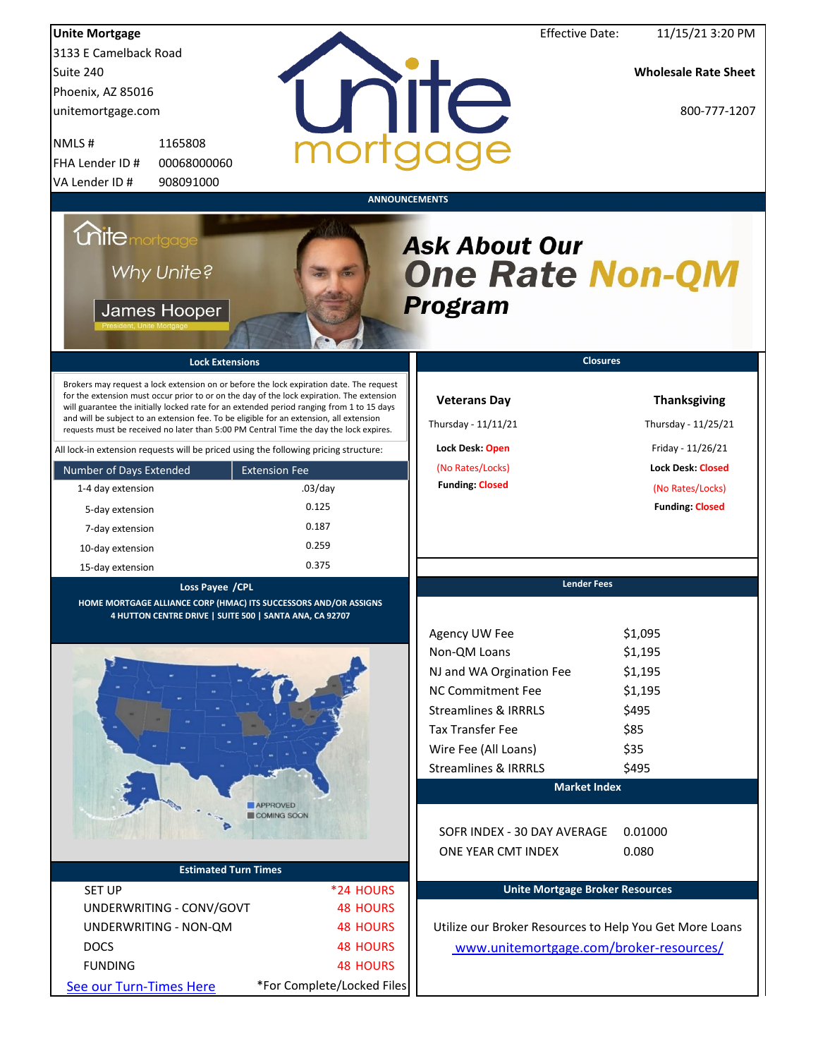| <b>Unite Mortgage</b>                                                                                       |                                                                                                                                                                                                                                         |                                                                                                                                                                                                                                                                                                                                                                                                                                     |                                                                                                                                                                                                  | <b>Effective Date:</b>                 | 11/15/21 3:20 PM                                                                                                                         |
|-------------------------------------------------------------------------------------------------------------|-----------------------------------------------------------------------------------------------------------------------------------------------------------------------------------------------------------------------------------------|-------------------------------------------------------------------------------------------------------------------------------------------------------------------------------------------------------------------------------------------------------------------------------------------------------------------------------------------------------------------------------------------------------------------------------------|--------------------------------------------------------------------------------------------------------------------------------------------------------------------------------------------------|----------------------------------------|------------------------------------------------------------------------------------------------------------------------------------------|
| 3133 E Camelback Road                                                                                       |                                                                                                                                                                                                                                         |                                                                                                                                                                                                                                                                                                                                                                                                                                     |                                                                                                                                                                                                  |                                        |                                                                                                                                          |
| Suite 240                                                                                                   |                                                                                                                                                                                                                                         |                                                                                                                                                                                                                                                                                                                                                                                                                                     |                                                                                                                                                                                                  |                                        | <b>Wholesale Rate Sheet</b>                                                                                                              |
| Phoenix, AZ 85016                                                                                           |                                                                                                                                                                                                                                         |                                                                                                                                                                                                                                                                                                                                                                                                                                     |                                                                                                                                                                                                  |                                        |                                                                                                                                          |
| unitemortgage.com                                                                                           |                                                                                                                                                                                                                                         |                                                                                                                                                                                                                                                                                                                                                                                                                                     | unite                                                                                                                                                                                            |                                        | 800-777-1207                                                                                                                             |
| NMLS#                                                                                                       | 1165808                                                                                                                                                                                                                                 | morta                                                                                                                                                                                                                                                                                                                                                                                                                               |                                                                                                                                                                                                  |                                        |                                                                                                                                          |
| FHA Lender ID #                                                                                             | 00068000060                                                                                                                                                                                                                             |                                                                                                                                                                                                                                                                                                                                                                                                                                     |                                                                                                                                                                                                  |                                        |                                                                                                                                          |
| VA Lender ID #                                                                                              | 908091000                                                                                                                                                                                                                               |                                                                                                                                                                                                                                                                                                                                                                                                                                     |                                                                                                                                                                                                  |                                        |                                                                                                                                          |
| <b>Chite</b> mortgage<br>Number of Days Extended<br>1-4 day extension<br>5-day extension<br>7-day extension | Why Unite?<br>James Hooper<br><b>Lock Extensions</b><br>and will be subject to an extension fee. To be eligible for an extension, all extension<br>All lock-in extension requests will be priced using the following pricing structure: | Brokers may request a lock extension on or before the lock expiration date. The request<br>for the extension must occur prior to or on the day of the lock expiration. The extension<br>will guarantee the initially locked rate for an extended period ranging from 1 to 15 days<br>requests must be received no later than 5:00 PM Central Time the day the lock expires.<br><b>Extension Fee</b><br>$.03$ /day<br>0.125<br>0.187 | <b>ANNOUNCEMENTS</b><br><b>Ask About Our</b><br><b>One Rate Non-QM</b><br>Program<br><b>Veterans Day</b><br>Thursday - 11/11/21<br>Lock Desk: Open<br>(No Rates/Locks)<br><b>Funding: Closed</b> | <b>Closures</b>                        | <b>Thanksgiving</b><br>Thursday - 11/25/21<br>Friday - 11/26/21<br><b>Lock Desk: Closed</b><br>(No Rates/Locks)<br><b>Funding Closed</b> |
| 10-day extension                                                                                            |                                                                                                                                                                                                                                         | 0.259                                                                                                                                                                                                                                                                                                                                                                                                                               |                                                                                                                                                                                                  |                                        |                                                                                                                                          |
| 15-day extension                                                                                            |                                                                                                                                                                                                                                         | 0.375                                                                                                                                                                                                                                                                                                                                                                                                                               |                                                                                                                                                                                                  |                                        |                                                                                                                                          |
|                                                                                                             | Loss Payee / CPL                                                                                                                                                                                                                        |                                                                                                                                                                                                                                                                                                                                                                                                                                     |                                                                                                                                                                                                  | <b>Lender Fees</b>                     |                                                                                                                                          |
|                                                                                                             | HOME MORTGAGE ALLIANCE CORP (HMAC) ITS SUCCESSORS AND/OR ASSIGNS<br>4 HUTTON CENTRE DRIVE   SUITE 500   SANTA ANA, CA 92707                                                                                                             |                                                                                                                                                                                                                                                                                                                                                                                                                                     | Agency UW Fee                                                                                                                                                                                    |                                        | \$1,095                                                                                                                                  |
|                                                                                                             |                                                                                                                                                                                                                                         |                                                                                                                                                                                                                                                                                                                                                                                                                                     | Non-QM Loans                                                                                                                                                                                     |                                        | \$1,195                                                                                                                                  |
|                                                                                                             |                                                                                                                                                                                                                                         |                                                                                                                                                                                                                                                                                                                                                                                                                                     | NJ and WA Orgination Fee                                                                                                                                                                         |                                        | \$1,195                                                                                                                                  |
|                                                                                                             |                                                                                                                                                                                                                                         |                                                                                                                                                                                                                                                                                                                                                                                                                                     | <b>NC Commitment Fee</b>                                                                                                                                                                         |                                        | \$1,195                                                                                                                                  |
|                                                                                                             |                                                                                                                                                                                                                                         |                                                                                                                                                                                                                                                                                                                                                                                                                                     | <b>Streamlines &amp; IRRRLS</b>                                                                                                                                                                  |                                        | \$495                                                                                                                                    |
|                                                                                                             |                                                                                                                                                                                                                                         |                                                                                                                                                                                                                                                                                                                                                                                                                                     | <b>Tax Transfer Fee</b>                                                                                                                                                                          |                                        | \$85                                                                                                                                     |
|                                                                                                             |                                                                                                                                                                                                                                         |                                                                                                                                                                                                                                                                                                                                                                                                                                     | Wire Fee (All Loans)                                                                                                                                                                             |                                        | \$35                                                                                                                                     |
|                                                                                                             |                                                                                                                                                                                                                                         |                                                                                                                                                                                                                                                                                                                                                                                                                                     | <b>Streamlines &amp; IRRRLS</b>                                                                                                                                                                  |                                        | \$495                                                                                                                                    |
|                                                                                                             |                                                                                                                                                                                                                                         |                                                                                                                                                                                                                                                                                                                                                                                                                                     |                                                                                                                                                                                                  | <b>Market Index</b>                    |                                                                                                                                          |
|                                                                                                             |                                                                                                                                                                                                                                         | <b>APPROVED</b><br><b>COMING SOON</b>                                                                                                                                                                                                                                                                                                                                                                                               |                                                                                                                                                                                                  |                                        |                                                                                                                                          |
|                                                                                                             |                                                                                                                                                                                                                                         |                                                                                                                                                                                                                                                                                                                                                                                                                                     | SOFR INDEX - 30 DAY AVERAGE<br>ONE YEAR CMT INDEX                                                                                                                                                |                                        | 0.01000<br>0.080                                                                                                                         |
|                                                                                                             | <b>Estimated Turn Times</b>                                                                                                                                                                                                             |                                                                                                                                                                                                                                                                                                                                                                                                                                     |                                                                                                                                                                                                  |                                        |                                                                                                                                          |
| <b>SET UP</b>                                                                                               |                                                                                                                                                                                                                                         | *24 HOURS                                                                                                                                                                                                                                                                                                                                                                                                                           |                                                                                                                                                                                                  | <b>Unite Mortgage Broker Resources</b> |                                                                                                                                          |
|                                                                                                             | UNDERWRITING - CONV/GOVT                                                                                                                                                                                                                | <b>48 HOURS</b>                                                                                                                                                                                                                                                                                                                                                                                                                     |                                                                                                                                                                                                  |                                        |                                                                                                                                          |
|                                                                                                             | UNDERWRITING - NON-QM                                                                                                                                                                                                                   | <b>48 HOURS</b>                                                                                                                                                                                                                                                                                                                                                                                                                     |                                                                                                                                                                                                  |                                        | Utilize our Broker Resources to Help You Get More Loans                                                                                  |
| <b>DOCS</b>                                                                                                 |                                                                                                                                                                                                                                         | <b>48 HOURS</b>                                                                                                                                                                                                                                                                                                                                                                                                                     |                                                                                                                                                                                                  |                                        | www.unitemortgage.com/broker-resources/                                                                                                  |
| <b>FUNDING</b>                                                                                              |                                                                                                                                                                                                                                         | <b>48 HOURS</b>                                                                                                                                                                                                                                                                                                                                                                                                                     |                                                                                                                                                                                                  |                                        |                                                                                                                                          |
| See our Turn-Times Here                                                                                     |                                                                                                                                                                                                                                         | *For Complete/Locked Files                                                                                                                                                                                                                                                                                                                                                                                                          |                                                                                                                                                                                                  |                                        |                                                                                                                                          |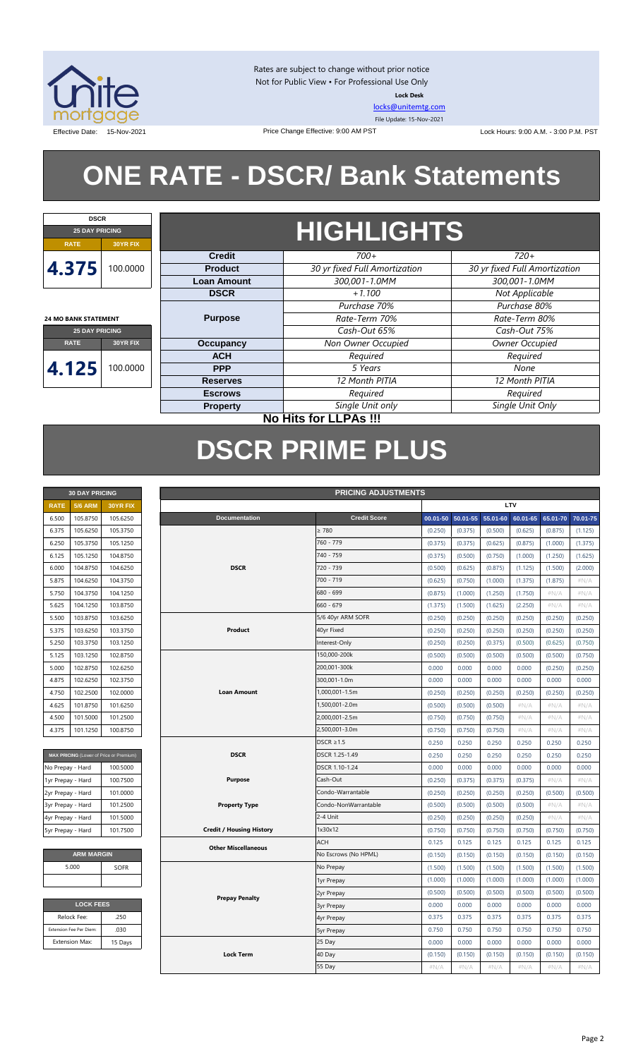

Rates are subject to change without prior notice Not for Public View • For Professional Use Only **Lock Desk**

[locks@unitemtg.com](mailto:locks@unitemtg.com) File Update: 15-Nov-2021

Effective Date: 15-Nov-2021 **Date: 15-Nov-2021** Price Change Effective: 9:00 AM PST Lock Hours: 9:00 A.M. - 3:00 P.M. PST

# **ONE RATE - DSCR/ Bank Statements**

Price Change Effective: 9:00 AM PST



**24 MO BANK STATEMENT**

## **HIGHLIGHTS**

|                                                                                                      |          | <b>Credit</b>      | $700+$                        | $720+$                        |
|------------------------------------------------------------------------------------------------------|----------|--------------------|-------------------------------|-------------------------------|
|                                                                                                      | 100.0000 | <b>Product</b>     | 30 yr fixed Full Amortization | 30 yr fixed Full Amortization |
|                                                                                                      |          | <b>Loan Amount</b> | 300,001-1.0MM                 | 300,001-1.0MM                 |
| 4.375<br>4 MO BANK STATEMENT<br><b>25 DAY PRICING</b><br><b>RATE</b><br>30YR FIX<br>4.125<br>00.0000 |          | <b>DSCR</b>        | $+1.100$                      | Not Applicable                |
|                                                                                                      |          |                    | Purchase 70%                  | Purchase 80%                  |
|                                                                                                      |          | <b>Purpose</b>     | Rate-Term 70%                 | Rate-Term 80%                 |
|                                                                                                      |          |                    | Cash-Out 65%                  | Cash-Out 75%                  |
|                                                                                                      |          | Occupancy          | Non Owner Occupied            | Owner Occupied                |
|                                                                                                      |          | <b>ACH</b>         | Required                      | Required                      |
|                                                                                                      |          | <b>PPP</b>         | 5 Years                       | None                          |
|                                                                                                      |          | <b>Reserves</b>    | 12 Month PITIA                | 12 Month PITIA                |
|                                                                                                      |          | <b>Escrows</b>     | Required                      | Required                      |
|                                                                                                      |          | <b>Property</b>    | Single Unit only              | Single Unit Only              |
|                                                                                                      |          |                    |                               |                               |

#### **No Hits for LLPAs !!!**

## **DSCR PRIME PLUS**

| <b>30 DAY PRICING</b> |                |                 |  |  |  |  |
|-----------------------|----------------|-----------------|--|--|--|--|
| <b>RATE</b>           | <b>5/6 ARM</b> | <b>30YR FIX</b> |  |  |  |  |
| 6.500                 | 105.8750       | 105.6250        |  |  |  |  |
| 6.375                 | 105.6250       | 105.3750        |  |  |  |  |
| 6.250                 | 105.3750       | 105.1250        |  |  |  |  |
| 6.125                 | 105.1250       | 104.8750        |  |  |  |  |
| 6.000                 | 104.8750       | 104.6250        |  |  |  |  |
| 5.875                 | 104.6250       | 104.3750        |  |  |  |  |
| 5.750                 | 104.3750       | 104.1250        |  |  |  |  |
| 5.625                 | 104.1250       | 103.8750        |  |  |  |  |
| 5.500                 | 103.8750       | 103.6250        |  |  |  |  |
| 5.375                 | 103.6250       | 103.3750        |  |  |  |  |
| 5.250                 | 103.3750       | 103.1250        |  |  |  |  |
| 5.125                 | 103.1250       | 102.8750        |  |  |  |  |
| 5.000                 | 102.8750       | 102.6250        |  |  |  |  |
| 4.875                 | 102.6250       | 102.3750        |  |  |  |  |
| 4.750                 | 102.2500       | 102,0000        |  |  |  |  |
| 4.625                 | 101.8750       | 101.6250        |  |  |  |  |
| 4.500                 | 101.5000       | 101.2500        |  |  |  |  |
| 4.375                 | 101.1250       | 100.8750        |  |  |  |  |

| MAX PRICING (Lower of Price or Premium) |          |
|-----------------------------------------|----------|
| No Prepay - Hard                        | 100.5000 |
| 1yr Prepay - Hard                       | 100.7500 |
| 2yr Prepay - Hard                       | 101.0000 |
| 3yr Prepay - Hard                       | 101.2500 |
| 4yr Prepay - Hard                       | 101.5000 |
| 5yr Prepay - Hard                       | 101.7500 |

| <b>ARM MARGIN</b> |             |  |  |  |  |  |
|-------------------|-------------|--|--|--|--|--|
| 5.000             | <b>SOFR</b> |  |  |  |  |  |
|                   |             |  |  |  |  |  |

| <b>LOCK FEES</b>        |         |  |  |  |  |  |
|-------------------------|---------|--|--|--|--|--|
| Relock Fee:             | .250    |  |  |  |  |  |
| Extension Fee Per Diem: | .030    |  |  |  |  |  |
| <b>Extension Max:</b>   | 15 Days |  |  |  |  |  |
|                         |         |  |  |  |  |  |

|                   | <b>PRICING ADJUSTMENTS</b><br><b>30 DAY PRICING</b> |                                         |  |                                 |                      |          |          |          |          |          |          |
|-------------------|-----------------------------------------------------|-----------------------------------------|--|---------------------------------|----------------------|----------|----------|----------|----------|----------|----------|
| <b>RATE</b>       | <b>5/6 ARM</b>                                      | 30YR FIX                                |  |                                 |                      |          |          |          | LTV      |          |          |
| 6.500             | 105.8750                                            | 105.6250                                |  | <b>Documentation</b>            | <b>Credit Score</b>  | 00.01-50 | 50.01-55 | 55.01-60 | 60.01-65 | 65.01-70 | 70.01-75 |
| 6.375             | 105.6250                                            | 105.3750                                |  |                                 | $\geq 780$           | (0.250)  | (0.375)  | (0.500)  | (0.625)  | (0.875)  | (1.125)  |
| 6.250             | 105.3750                                            | 105.1250                                |  |                                 | 760 - 779            | (0.375)  | (0.375)  | (0.625)  | (0.875)  | (1.000)  | (1.375)  |
| 6.125             | 105.1250                                            | 104.8750                                |  |                                 | 740 - 759            | (0.375)  | (0.500)  | (0.750)  | (1.000)  | (1.250)  | (1.625)  |
| 6.000             | 104.8750                                            | 104.6250                                |  | <b>DSCR</b>                     | 720 - 739            | (0.500)  | (0.625)  | (0.875)  | (1.125)  | (1.500)  | (2.000)  |
| 5.875             | 104.6250                                            | 104.3750                                |  |                                 | 700 - 719            | (0.625)  | (0.750)  | (1.000)  | (1.375)  | (1.875)  | #N/A     |
| 5.750             | 104.3750                                            | 104.1250                                |  |                                 | 680 - 699            | (0.875)  | (1.000)  | (1.250)  | (1.750)  | $\#N/A$  | $\#N/A$  |
| 5.625             | 104.1250                                            | 103.8750                                |  |                                 | 660 - 679            | (1.375)  | (1.500)  | (1.625)  | (2.250)  | $\#N/A$  | $\#N/A$  |
| 5.500             | 103.8750                                            | 103.6250                                |  |                                 | 5/6 40yr ARM SOFR    | (0.250)  | (0.250)  | (0.250)  | (0.250)  | (0.250)  | (0.250)  |
| 5.375             | 103.6250                                            | 103.3750                                |  | Product                         | 40yr Fixed           | (0.250)  | (0.250)  | (0.250)  | (0.250)  | (0.250)  | (0.250)  |
| 5.250             | 103.3750                                            | 103.1250                                |  |                                 | Interest-Only        | (0.250)  | (0.250)  | (0.375)  | (0.500)  | (0.625)  | (0.750)  |
| 5.125             | 103.1250                                            | 102.8750                                |  |                                 | 150,000-200k         | (0.500)  | (0.500)  | (0.500)  | (0.500)  | (0.500)  | (0.750)  |
| 5.000             | 102.8750                                            | 102.6250                                |  |                                 | 200,001-300k         | 0.000    | 0.000    | 0.000    | 0.000    | (0.250)  | (0.250)  |
| 4.875             | 102.6250                                            | 102.3750                                |  |                                 | 300,001-1.0m         | 0.000    | 0.000    | 0.000    | 0.000    | 0.000    | 0.000    |
| 4.750             | 102.2500                                            | 102.0000                                |  | <b>Loan Amount</b>              | 1,000,001-1.5m       | (0.250)  | (0.250)  | (0.250)  | (0.250)  | (0.250)  | (0.250)  |
| 4.625             | 101.8750                                            | 101.6250                                |  |                                 | 1,500,001-2.0m       | (0.500)  | (0.500)  | (0.500)  | $\#N/A$  | #N/A     | #N/A     |
| 4.500             | 101.5000                                            | 101.2500                                |  |                                 | 2,000,001-2.5m       | (0.750)  | (0.750)  | (0.750)  | $\#N/A$  | $\#N/A$  | #N/A     |
| 4.375             | 101.1250                                            | 100.8750                                |  |                                 | 2,500,001-3.0m       | (0.750)  | (0.750)  | (0.750)  | $\#N/A$  | #N/A     | #N/A     |
|                   |                                                     |                                         |  |                                 | $DSCR \geq 1.5$      | 0.250    | 0.250    | 0.250    | 0.250    | 0.250    | 0.250    |
|                   |                                                     | MAX PRICING (Lower of Price or Premium) |  | <b>DSCR</b>                     | DSCR 1.25-1.49       | 0.250    | 0.250    | 0.250    | 0.250    | 0.250    | 0.250    |
| No Prepay - Hard  |                                                     | 100.5000                                |  |                                 | DSCR 1.10-1.24       | 0.000    | 0.000    | 0.000    | 0.000    | 0.000    | 0.000    |
| 1yr Prepay - Hard |                                                     | 100.7500                                |  | <b>Purpose</b>                  | Cash-Out             | (0.250)  | (0.375)  | (0.375)  | (0.375)  | #N/A     | #N/A     |
| 2yr Prepay - Hard |                                                     | 101.0000                                |  |                                 | Condo-Warrantable    | (0.250)  | (0.250)  | (0.250)  | (0.250)  | (0.500)  | (0.500)  |
| 3yr Prepay - Hard |                                                     | 101.2500                                |  | <b>Property Type</b>            | Condo-NonWarrantable | (0.500)  | (0.500)  | (0.500)  | (0.500)  | #N/A     | #N/A     |
| 4yr Prepay - Hard |                                                     | 101.5000                                |  |                                 | 2-4 Unit             | (0.250)  | (0.250)  | (0.250)  | (0.250)  | $\#N/A$  | #N/A     |
| 5yr Prepay - Hard |                                                     | 101.7500                                |  | <b>Credit / Housing History</b> | 1x30x12              | (0.750)  | (0.750)  | (0.750)  | (0.750)  | (0.750)  | (0.750)  |
|                   |                                                     |                                         |  | <b>Other Miscellaneous</b>      | <b>ACH</b>           | 0.125    | 0.125    | 0.125    | 0.125    | 0.125    | 0.125    |
|                   | <b>ARM MARGIN</b>                                   |                                         |  |                                 | No Escrows (No HPML) | (0.150)  | (0.150)  | (0.150)  | (0.150)  | (0.150)  | (0.150)  |
|                   | 5.000                                               | SOFR                                    |  |                                 | No Prepay            | (1.500)  | (1.500)  | (1.500)  | (1.500)  | (1.500)  | (1.500)  |
|                   |                                                     |                                         |  |                                 | 1yr Prepay           | (1.000)  | (1.000)  | (1.000)  | (1.000)  | (1.000)  | (1.000)  |
|                   |                                                     |                                         |  | <b>Prepay Penalty</b>           | 2yr Prepay           | (0.500)  | (0.500)  | (0.500)  | (0.500)  | (0.500)  | (0.500)  |
|                   | <b>LOCK FEES</b>                                    |                                         |  |                                 | <b>3yr Prepay</b>    | 0.000    | 0.000    | 0.000    | 0.000    | 0.000    | 0.000    |
|                   | Relock Fee:                                         | .250                                    |  |                                 | 4yr Prepay           | 0.375    | 0.375    | 0.375    | 0.375    | 0.375    | 0.375    |
|                   | Extension Fee Per Diem:                             | .030                                    |  |                                 | 5yr Prepay           | 0.750    | 0.750    | 0.750    | 0.750    | 0.750    | 0.750    |
|                   | Extension Max:                                      | 15 Days                                 |  |                                 | 25 Day               | 0.000    | 0.000    | 0.000    | 0.000    | 0.000    | 0.000    |
|                   |                                                     |                                         |  | <b>Lock Term</b>                | 40 Day               | (0.150)  | (0.150)  | (0.150)  | (0.150)  | (0.150)  | (0.150)  |
|                   |                                                     |                                         |  |                                 | 55 Day               | #N/A     | #N/A     | #N/A     | #N/A     | #N/A     | #N/A     |
|                   |                                                     |                                         |  |                                 |                      |          |          |          |          |          |          |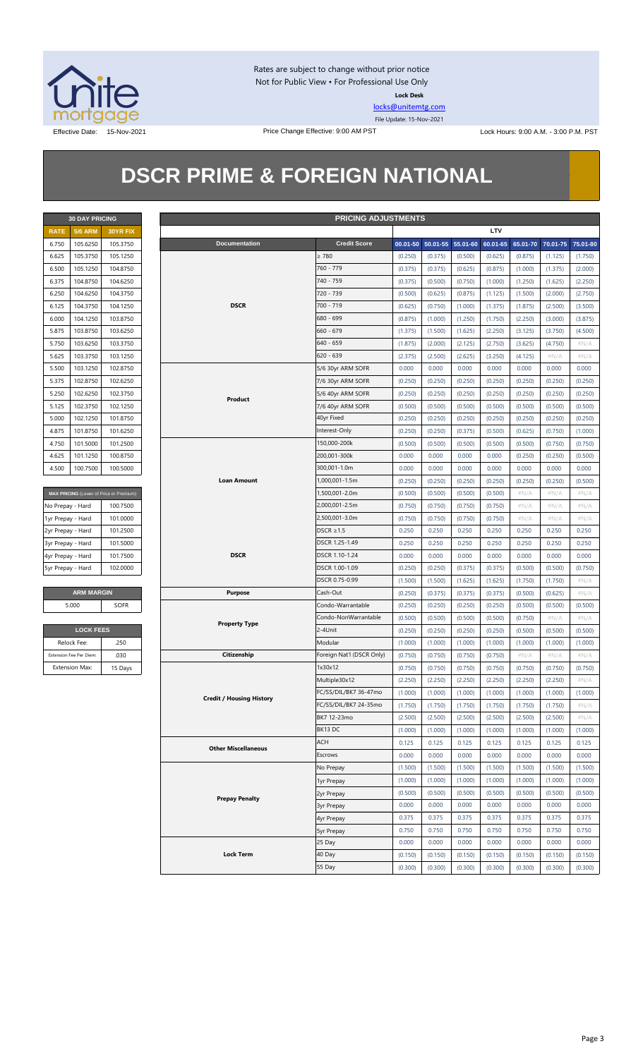

Rates are subject to change without prior notice Not for Public View • For Professional Use Only **Lock Desk**

[locks@unitemtg.com](mailto:locks@unitemtg.com) File Update: 15-Nov-2021

Effective Date: 15-Nov-2021 Price Change Effective: 9:00 AM PST Lock Hours: 9:00 A.M. - 3:00 P.M. PST

## **DSCR PRIME & FOREIGN NATIONAL**

|             | <b>30 DAY PRICING</b> |                 |
|-------------|-----------------------|-----------------|
| <b>RATE</b> | <b>5/6 ARM</b>        | <b>30YR FIX</b> |
| 6.750       | 105.6250              | 105.3750        |
| 6.625       | 105.3750              | 105.1250        |
| 6.500       | 105.1250              | 104.8750        |
| 6.375       | 104.8750              | 104.6250        |
| 6.250       | 104.6250              | 104.3750        |
| 6.125       | 104.3750              | 104.1250        |
| 6,000       | 104.1250              | 103.8750        |
| 5.875       | 103.8750              | 103.6250        |
| 5.750       | 103.6250              | 103.3750        |
| 5.625       | 103.3750              | 103.1250        |
| 5.500       | 103.1250              | 102.8750        |
| 5.375       | 102.8750              | 102.6250        |
| 5.250       | 102.6250              | 102.3750        |
| 5.125       | 102.3750              | 102.1250        |
| 5.000       | 102.1250              | 101.8750        |
| 4.875       | 101.8750              | 101.6250        |
| 4.750       | 101.5000              | 101.2500        |
| 4.625       | 101.1250              | 100.8750        |
| 4.500       | 100.7500              | 100.5000        |

| MAX PRICING (Lower of Price or Premium) |          |  |  |  |  |  |
|-----------------------------------------|----------|--|--|--|--|--|
| No Prepay - Hard                        | 100.7500 |  |  |  |  |  |
| 1yr Prepay - Hard                       | 101.0000 |  |  |  |  |  |
| 2yr Prepay - Hard                       | 101.2500 |  |  |  |  |  |
| 3yr Prepay - Hard                       | 101.5000 |  |  |  |  |  |
| 4yr Prepay - Hard                       | 101.7500 |  |  |  |  |  |
| 5yr Prepay - Hard                       | 102,0000 |  |  |  |  |  |

| <b>ARM MARGIN</b> |             |
|-------------------|-------------|
| 5.000             | <b>SOFR</b> |

| <b>LOCK FEES</b>        |         |  |  |  |  |  |
|-------------------------|---------|--|--|--|--|--|
| Relock Fee:             | .250    |  |  |  |  |  |
| Extension Fee Per Diem: | .030    |  |  |  |  |  |
| <b>Extension Max:</b>   | 15 Days |  |  |  |  |  |

|                   | <b>30 DAY PRICING</b><br><b>PRICING ADJUSTMENTS</b> |                                         |                                 |                           |         |                            |         |          |          |          |          |
|-------------------|-----------------------------------------------------|-----------------------------------------|---------------------------------|---------------------------|---------|----------------------------|---------|----------|----------|----------|----------|
| <b>RATE</b>       | <b>5/6 ARM</b>                                      | 30YR FIX                                |                                 |                           |         |                            |         | LTV      |          |          |          |
| 6.750             | 105.6250                                            | 105.3750                                | <b>Documentation</b>            | <b>Credit Score</b>       |         | 00.01-50 50.01-55 55.01-60 |         | 60.01-65 | 65.01-70 | 70.01-75 | 75.01-80 |
| 6.625             | 105.3750                                            | 105.1250                                |                                 | $\geq 780$                | (0.250) | (0.375)                    | (0.500) | (0.625)  | (0.875)  | (1.125)  | (1.750)  |
| 6.500             | 105.1250                                            | 104.8750                                |                                 | 760 - 779                 | (0.375) | (0.375)                    | (0.625) | (0.875)  | (1.000)  | (1.375)  | (2.000)  |
| 6.375             | 104.8750                                            | 104.6250                                |                                 | 740 - 759                 | (0.375) | (0.500)                    | (0.750) | (1.000)  | (1.250)  | (1.625)  | (2.250)  |
| 6.250             | 104.6250                                            | 104.3750                                |                                 | 720 - 739                 | (0.500) | (0.625)                    | (0.875) | (1.125)  | (1.500)  | (2.000)  | (2.750)  |
| 6.125             | 104.3750                                            | 104.1250                                | <b>DSCR</b>                     | 700 - 719                 | (0.625) | (0.750)                    | (1.000) | (1.375)  | (1.875)  | (2.500)  | (3.500)  |
| 6.000             | 104.1250                                            | 103.8750                                |                                 | 680 - 699                 | (0.875) | (1.000)                    | (1.250) | (1.750)  | (2.250)  | (3.000)  | (3.875)  |
| 5.875             | 103.8750                                            | 103.6250                                |                                 | $660 - 679$               | (1.375) | (1.500)                    | (1.625) | (2.250)  | (3.125)  | (3.750)  | (4.500)  |
| 5.750             | 103.6250                                            | 103.3750                                |                                 | $640 - 659$               | (1.875) | (2.000)                    | (2.125) | (2.750)  | (3.625)  | (4.750)  | $\#N/A$  |
| 5.625             | 103.3750                                            | 103.1250                                |                                 | $620 - 639$               | (2.375) | (2.500)                    | (2.625) | (3.250)  | (4.125)  | $\#N/A$  | $\#N/A$  |
| 5.500             | 103.1250                                            | 102.8750                                |                                 | 5/6 30yr ARM SOFR         | 0.000   | 0.000                      | 0.000   | 0.000    | 0.000    | 0.000    | 0.000    |
| 5.375             | 102.8750                                            | 102.6250                                |                                 | 7/6 30yr ARM SOFR         | (0.250) | (0.250)                    | (0.250) | (0.250)  | (0.250)  | (0.250)  | (0.250)  |
|                   |                                                     |                                         |                                 |                           |         |                            |         |          |          |          |          |
| 5.250             | 102.6250                                            | 102.3750                                | Product                         | 5/6 40yr ARM SOFR         | (0.250) | (0.250)                    | (0.250) | (0.250)  | (0.250)  | (0.250)  | (0.250)  |
| 5.125             | 102.3750                                            | 102.1250                                |                                 | 7/6 40yr ARM SOFR         | (0.500) | (0.500)                    | (0.500) | (0.500)  | (0.500)  | (0.500)  | (0.500)  |
| 5.000             | 102.1250                                            | 101.8750                                |                                 | 40yr Fixed                | (0.250) | (0.250)                    | (0.250) | (0.250)  | (0.250)  | (0.250)  | (0.250)  |
| 4.875             | 101.8750                                            | 101.6250                                |                                 | Interest-Only             | (0.250) | (0.250)                    | (0.375) | (0.500)  | (0.625)  | (0.750)  | (1.000)  |
| 4.750             | 101.5000                                            | 101.2500                                |                                 | 150,000-200k              | (0.500) | (0.500)                    | (0.500) | (0.500)  | (0.500)  | (0.750)  | (0.750)  |
| 4.625             | 101.1250                                            | 100.8750                                |                                 | 200,001-300k              | 0.000   | 0.000                      | 0.000   | 0.000    | (0.250)  | (0.250)  | (0.500)  |
| 4.500             | 100.7500                                            | 100.5000                                |                                 | 300,001-1.0m              | 0.000   | 0.000                      | 0.000   | 0.000    | 0.000    | 0.000    | 0.000    |
|                   |                                                     |                                         | <b>Loan Amount</b>              | 1,000,001-1.5m            | (0.250) | (0.250)                    | (0.250) | (0.250)  | (0.250)  | (0.250)  | (0.500)  |
|                   |                                                     | MAX PRICING (Lower of Price or Premium) |                                 | 1,500,001-2.0m            | (0.500) | (0.500)                    | (0.500) | (0.500)  | $\#N/A$  | $\#N/A$  | $\#N/A$  |
| No Prepay - Hard  |                                                     | 100.7500                                |                                 | 2,000,001-2.5m            | (0.750) | (0.750)                    | (0.750) | (0.750)  | $\#N/A$  | $\#N/A$  | # $N/A$  |
| 1yr Prepay - Hard |                                                     | 101.0000                                |                                 | 2,500,001-3.0m            | (0.750) | (0.750)                    | (0.750) | (0.750)  | $\#N/A$  | $\#N/A$  | $\#N/A$  |
| 2yr Prepay - Hard |                                                     | 101.2500                                |                                 | DSCR $\geq$ 1.5           | 0.250   | 0.250                      | 0.250   | 0.250    | 0.250    | 0.250    | 0.250    |
| 3yr Prepay - Hard |                                                     | 101.5000                                |                                 | DSCR 1.25-1.49            | 0.250   | 0.250                      | 0.250   | 0.250    | 0.250    | 0.250    | 0.250    |
| 4yr Prepay - Hard |                                                     | 101.7500                                | <b>DSCR</b>                     | DSCR 1.10-1.24            | 0.000   | 0.000                      | 0.000   | 0.000    | 0.000    | 0.000    | 0.000    |
| 5yr Prepay - Hard |                                                     | 102.0000                                |                                 | DSCR 1.00-1.09            | (0.250) | (0.250)                    | (0.375) | (0.375)  | (0.500)  | (0.500)  | (0.750)  |
|                   |                                                     |                                         |                                 | DSCR 0.75-0.99            | (1.500) | (1.500)                    | (1.625) | (1.625)  | (1.750)  | (1.750)  | $\#N/A$  |
|                   | <b>ARM MARGIN</b>                                   |                                         | <b>Purpose</b>                  | Cash-Out                  | (0.250) | (0.375)                    | (0.375) | (0.375)  | (0.500)  | (0.625)  | $\#N/A$  |
|                   | 5.000                                               | <b>SOFR</b>                             |                                 | Condo-Warrantable         | (0.250) | (0.250)                    | (0.250) | (0.250)  | (0.500)  | (0.500)  | (0.500)  |
|                   |                                                     |                                         |                                 | Condo-NonWarrantable      | (0.500) | (0.500)                    | (0.500) | (0.500)  | (0.750)  | $\#N/A$  | #N/A     |
|                   | <b>LOCK FEES</b>                                    |                                         | <b>Property Type</b>            | 2-4Unit                   | (0.250) | (0.250)                    | (0.250) | (0.250)  | (0.500)  | (0.500)  | (0.500)  |
|                   | Relock Fee:                                         | .250                                    |                                 | Modular                   | (1.000) | (1.000)                    | (1.000) | (1.000)  | (1.000)  | (1.000)  | (1.000)  |
|                   | Extension Fee Per Diem:                             | .030                                    | Citizenship                     | Foreign Nat'l (DSCR Only) | (0.750) | (0.750)                    | (0.750) | (0.750)  | $\#N/A$  | $\#N/A$  | $\#N/A$  |
|                   | <b>Extension Max:</b>                               | 15 Days                                 |                                 | 1x30x12                   | (0.750) | (0.750)                    | (0.750) | (0.750)  | (0.750)  | (0.750)  | (0.750)  |
|                   |                                                     |                                         |                                 | Multiple30x12             | (2.250) | (2.250)                    | (2.250) | (2.250)  | (2.250)  | (2.250)  | $\#N/A$  |
|                   |                                                     |                                         |                                 | FC/SS/DIL/BK7 36-47mo     |         |                            | (1.000) |          |          |          | (1.000)  |
|                   |                                                     |                                         | <b>Credit / Housing History</b> |                           | (1.000) | (1.000)                    |         | (1.000)  | (1.000)  | (1.000)  |          |
|                   |                                                     |                                         |                                 | FC/SS/DIL/BK7 24-35mo     | (1.750) | (1.750)                    | (1.750) | (1.750)  | (1.750)  | (1.750)  | # $N/A$  |
|                   |                                                     |                                         |                                 | BK7 12-23mo               | (2.500) | (2.500)                    | (2.500) | (2.500)  | (2.500)  | (2.500)  | # $N/A$  |
|                   |                                                     |                                         |                                 | BK13DC                    | (1.000) | (1.000)                    | (1.000) | (1.000)  | (1.000)  | (1.000)  | (1.000)  |
|                   |                                                     |                                         | <b>Other Miscellaneous</b>      | ACH                       | 0.125   | 0.125                      | 0.125   | 0.125    | 0.125    | 0.125    | 0.125    |
|                   |                                                     |                                         |                                 | Escrows                   | 0.000   | 0.000                      | 0.000   | 0.000    | 0.000    | 0.000    | 0.000    |
|                   |                                                     |                                         |                                 | No Prepay                 | (1.500) | (1.500)                    | (1.500) | (1.500)  | (1.500)  | (1.500)  | (1.500)  |
|                   |                                                     |                                         |                                 | 1yr Prepay                | (1.000) | (1.000)                    | (1.000) | (1.000)  | (1.000)  | (1.000)  | (1.000)  |
|                   |                                                     |                                         | <b>Prepay Penalty</b>           | 2yr Prepay                | (0.500) | (0.500)                    | (0.500) | (0.500)  | (0.500)  | (0.500)  | (0.500)  |
|                   |                                                     |                                         |                                 | 3yr Prepay                | 0.000   | 0.000                      | 0.000   | 0.000    | 0.000    | 0.000    | 0.000    |
|                   |                                                     |                                         |                                 | 4yr Prepay                | 0.375   | 0.375                      | 0.375   | 0.375    | 0.375    | 0.375    | 0.375    |
|                   |                                                     |                                         |                                 | 5yr Prepay                | 0.750   | 0.750                      | 0.750   | 0.750    | 0.750    | 0.750    | 0.750    |
|                   |                                                     |                                         |                                 | 25 Day                    | 0.000   | 0.000                      | 0.000   | 0.000    | 0.000    | 0.000    | 0.000    |
|                   |                                                     |                                         | <b>Lock Term</b>                | 40 Day                    | (0.150) | (0.150)                    | (0.150) | (0.150)  | (0.150)  | (0.150)  | (0.150)  |
|                   |                                                     |                                         |                                 | 55 Day                    | (0.300) | (0.300)                    | (0.300) | (0.300)  | (0.300)  | (0.300)  | (0.300)  |
|                   |                                                     |                                         |                                 |                           |         |                            |         |          |          |          |          |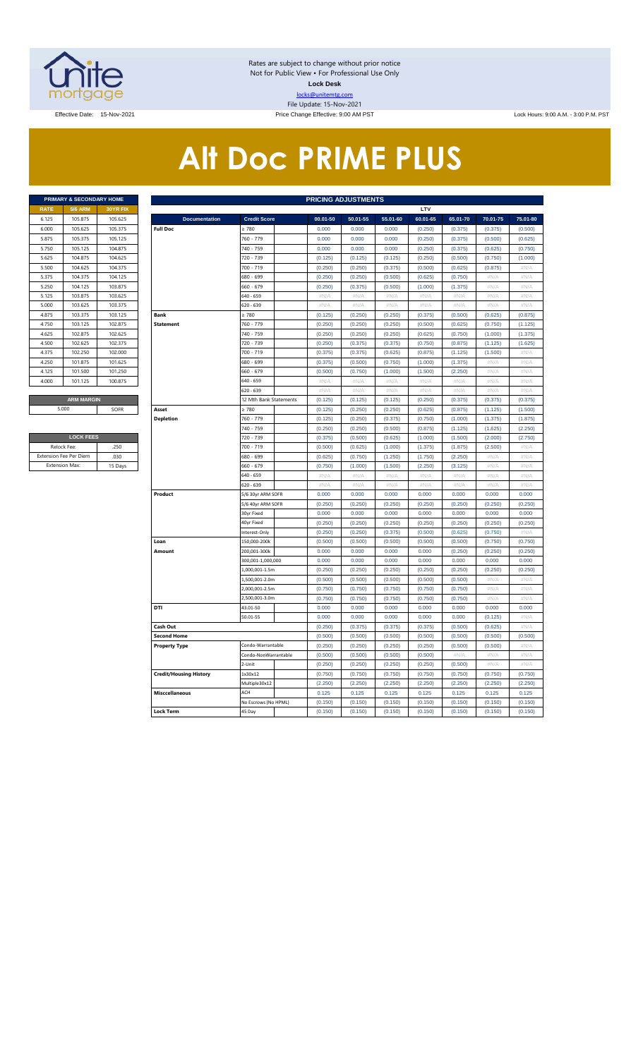

Rates are subject to change without prior notice Not for Public View • For Professional Use Only **Lock Desk** locks@unitemtg.com File Update: 15-Nov-2021

Effective Date: 15-Nov-2021 Price Change Effective: 9:00 AM PST Lock Hours: 9:00 A.M. - 3:00 P.M. PST

# **Alt Doc PRIME PLUS**

|             | <b>PRIMARY &amp; SECONDARY HOME</b> |                 |
|-------------|-------------------------------------|-----------------|
| <b>RATE</b> | <b>5/6 ARM</b>                      | <b>30YR FIX</b> |
| 6.125       | 105.875                             | 105.625         |
| 6.000       | 105.625                             | 105.375         |
| 5.875       | 105.375                             | 105.125         |
| 5.750       | 105.125                             | 104.875         |
| 5.625       | 104.875                             | 104.625         |
| 5.500       | 104.625                             | 104.375         |
| 5.375       | 104.375                             | 104.125         |
| 5.250       | 104.125                             | 103.875         |
| 5.125       | 103.875                             | 103.625         |
| 5.000       | 103.625                             | 103.375         |
| 4.875       | 103.375                             | 103.125         |
| 4.750       | 103.125                             | 102.875         |
| 4.625       | 102.875                             | 102.625         |
| 4.500       | 102.625                             | 102.375         |
| 4.375       | 102.250                             | 102.000         |
| 4.250       | 101.875                             | 101.625         |
| 4.125       | 101.500                             | 101.250         |
| 4.000       | 101.125                             | 100.875         |
|             |                                     |                 |
|             | <b>ARM MARGIN</b>                   |                 |

| <b>LOCK FEES</b>              |         |
|-------------------------------|---------|
| Relock Fee:                   | 250     |
| <b>Extension Fee Per Diem</b> | .030    |
| <b>Extension Max:</b>         | 15 Days |

|                       | PRIMARY & SECONDARY HOME |          | <b>PRICING ADJUSTMENTS</b>    |                        |          |          |          |          |          |          |             |  |  |
|-----------------------|--------------------------|----------|-------------------------------|------------------------|----------|----------|----------|----------|----------|----------|-------------|--|--|
| <b>RATE</b>           | <b>5/6 ARM</b>           | 30YR FIX |                               |                        |          |          |          | LTV      |          |          |             |  |  |
| 6.125                 | 105.875                  | 105.625  | <b>Documentation</b>          | <b>Credit Score</b>    | 00.01-50 | 50.01-55 | 55.01-60 | 60.01-65 | 65.01-70 | 70.01-75 | 75.01-80    |  |  |
| 6.000                 | 105.625                  | 105.375  | <b>Full Doc</b>               | 2780                   | 0.000    | 0.000    | 0.000    | (0.250)  | (0.375)  | (0.375)  | (0.500)     |  |  |
| 5.875                 | 105.375                  | 105.125  |                               | 760 - 779              | 0.000    | 0.000    | 0.000    | (0.250)  | (0.375)  | (0.500)  | (0.625)     |  |  |
| 5.750                 | 105.125                  | 104.875  |                               | 740 - 759              | 0.000    | 0.000    | 0.000    | (0.250)  | (0.375)  | (0.625)  | (0.750)     |  |  |
| 5.625                 | 104.875                  | 104.625  |                               | 720 - 739              | (0.125)  | (0.125)  | (0.125)  | (0.250)  | (0.500)  | (0.750)  | (1.000)     |  |  |
| 5.500                 | 104.625                  | 104.375  |                               | 700 - 719              | (0.250)  | (0.250)  | (0.375)  | (0.500)  | (0.625)  | (0.875)  | #N/A        |  |  |
| 5.375                 | 104.375                  | 104.125  |                               | 680 - 699              | (0.250)  | (0.250)  | (0.500)  | (0.625)  | (0.750)  | $\#N/F$  | #N/A        |  |  |
| 5.250                 | 104.125                  | 103.875  |                               | 660 - 679              | (0.250)  | (0.375)  | (0.500)  | (1.000)  | (1.375)  | #N/A     | #N/A        |  |  |
| 5.125                 | 103.875                  | 103.625  |                               | 540 - 659              | #N/A     | #N/A     | #N/A     | $\#N/A$  | #N/A     | #N/A     | #N/A        |  |  |
| 5.000                 | 103.625                  | 103.375  |                               | 620 - 639              | $\#N/A$  | $\#N/A$  | #N/A     | #N/A     | #N/A     | #N/A     | #N/A        |  |  |
| 4.875                 | 103.375                  | 103.125  | <b>Bank</b>                   | > 780                  | (0.125)  | (0.250)  | (0.250)  | (0.375)  | (0.500)  | (0.625)  | (0.875)     |  |  |
| 4.750                 | 103.125                  | 102.875  | <b>Statement</b>              | 760 - 779              | (0.250)  | (0.250)  | (0.250)  | (0.500)  | (0.625)  | (0.750)  | (1.125)     |  |  |
| 4.625                 | 102.875                  | 102.625  |                               | 740 - 759              | (0.250)  | (0.250)  | (0.250)  | (0.625)  | (0.750)  | (1.000)  | (1.375)     |  |  |
| 4.500                 | 102.625                  | 102.375  |                               | 720 - 739              | (0.250)  | (0.375)  | (0.375)  | (0.750)  | (0.875)  | (1.125)  | (1.625)     |  |  |
| 4.375                 | 102.250                  | 102.000  |                               | 700 - 719              | (0.375)  | (0.375)  | (0.625)  | (0.875)  | (1.125)  | (1.500)  | #N/A        |  |  |
| 4.250                 | 101.875                  | 101.625  |                               | 680 - 699              | (0.375)  | (0.500)  | (0.750)  | (1.000)  | (1.375)  | #N/A     | #N/A        |  |  |
| 4.125                 | 101.500                  | 101.250  |                               | 560 - 679              | (0.500)  | (0.750)  | (1.000)  | (1.500)  | (2.250)  | #N/A     | #N/A        |  |  |
| 4.000                 | 101.125                  | 100.875  |                               | 640 - 659              | #N/A     | #N/A     | #N/A     | #N/A     | #N/A     | #N/A     | $\#N/A$     |  |  |
|                       |                          |          |                               | 620 - 639              | $\#N/A$  | #N/A     | $\#N/A$  | $\#N/A$  | #N/A     | #N/A     | #N/A        |  |  |
|                       | <b>ARM MARGIN</b>        |          |                               | 12 Mth Bank Statements | (0.125)  | (0.125)  | (0.125)  | (0.250)  | (0.375)  | (0.375)  | (0.375)     |  |  |
| 5.000                 |                          | SOFR     | Asset                         | 2780                   | (0.125)  | (0.250)  | (0.250)  | (0.625)  | (0.875)  | (1.125)  | (1.500)     |  |  |
|                       |                          |          | <b>Depletion</b>              | 760 - 779              | (0.125)  | (0.250)  | (0.375)  | (0.750)  | (1.000)  | (1.375)  | (1.875)     |  |  |
|                       |                          |          |                               | 740 - 759              | (0.250)  | (0.250)  | (0.500)  | (0.875)  | (1.125)  | (1.625)  | (2.250)     |  |  |
|                       | <b>LOCK FEES</b>         |          |                               | 720 - 739              | (0.375)  | (0.500)  | (0.625)  | (1.000)  | (1.500)  | (2.000)  | (2.750)     |  |  |
| Relock Fee:           |                          | .250     |                               | 700 - 719              | (0.500)  | (0.625)  | (1.000)  | (1.375)  | (1.875)  | (2.500)  | #N/A        |  |  |
|                       | xtension Fee Per Diem    | .030     |                               | 680 - 699              | (0.625)  | (0.750)  | (1.250)  | (1.750)  | (2.250)  | #N/A     | #N/A        |  |  |
| <b>Extension Max:</b> |                          | 15 Days  |                               | 660 - 679              | (0.750)  | (1.000)  | (1.500)  | (2.250)  | (3.125)  | #N/A     | #N/A        |  |  |
|                       |                          |          |                               | 640 - 659              | #N/A     | #N/A     | #N/A     | #N/A     | #N/A     | #N/A     | #N/A        |  |  |
|                       |                          |          |                               | 620 - 639              | $\#N/A$  | $\#N/A$  | $\#N/A$  | $\#N/A$  | $\#N/A$  | #N/A     | $\#N/A$     |  |  |
|                       |                          |          | Product                       | 5/6 30yr ARM SOFR      | 0.000    | 0.000    | 0.000    | 0.000    | 0.000    | 0.000    | 0.000       |  |  |
|                       |                          |          |                               | 5/6 40yr ARM SOFR      | (0.250)  | (0.250)  | (0.250)  | (0.250)  | (0.250)  | (0.250)  | (0.250)     |  |  |
|                       |                          |          |                               | 30yr Fixed             | 0.000    | 0.000    | 0.000    | 0.000    | 0.000    | 0.000    | 0.000       |  |  |
|                       |                          |          |                               | 40yr Fixed             | (0.250)  | (0.250)  | (0.250)  | (0.250)  | (0.250)  | (0.250)  | (0.250)     |  |  |
|                       |                          |          |                               | nterest-Only           | (0.250)  | (0.250)  | (0.375)  | (0.500)  | (0.625)  | (0.750)  | #N/A        |  |  |
|                       |                          |          | Loan                          | 150,000-200k           | (0.500)  | (0.500)  | (0.500)  | (0.500)  | (0.500)  | (0.750)  | (0.750)     |  |  |
|                       |                          |          | Amount                        | 200.001-300k           | 0.000    | 0.000    | 0.000    | 0.000    | (0.250)  | (0.250)  | (0.250)     |  |  |
|                       |                          |          |                               | 300,001-1,000,000      | 0.000    | 0.000    | 0.000    | 0.000    | 0.000    | 0.000    | 0.000       |  |  |
|                       |                          |          |                               | 1,000,001-1.5m         | (0.250)  | (0.250)  | (0.250)  | (0.250)  | (0.250)  | (0.250)  | (0.250)     |  |  |
|                       |                          |          |                               | L,500,001-2.0m         | (0.500)  | (0.500)  | (0.500)  | (0.500)  | (0.500)  | #N/A     | #N/A        |  |  |
|                       |                          |          |                               | .000,001-2.5m          | (0.750)  | (0.750)  | (0.750)  | (0.750)  | (0.750)  | #N/A     | $\#N/A$     |  |  |
|                       |                          |          |                               | 2,500,001-3.0m         | (0.750)  | (0.750)  | (0.750)  | (0.750)  | (0.750)  | #N/A     | $\#N/\beta$ |  |  |
|                       |                          |          | DTI                           | 43.01-50               | 0.000    | 0.000    | 0.000    | 0.000    | 0.000    | 0.000    | 0.000       |  |  |
|                       |                          |          |                               | 50.01-55               | 0.000    | 0.000    | 0.000    | 0.000    | 0.000    | (0.125)  | #N/A        |  |  |
|                       |                          |          | Cash Out                      |                        | (0.250)  | (0.375)  | (0.375)  | (0.375)  | (0.500)  | (0.625)  | $\#N/A$     |  |  |
|                       |                          |          | <b>Second Home</b>            |                        | (0.500)  | (0.500)  | (0.500)  | (0.500)  | (0.500)  | (0.500)  | (0.500)     |  |  |
|                       |                          |          | <b>Property Type</b>          | Condo-Warrantable      | (0.250)  | (0.250)  | (0.250)  | (0.250)  | (0.500)  | (0.500)  | $\#N/A$     |  |  |
|                       |                          |          |                               | Condo-NonWarrantable   | (0.500)  | (0.500)  | (0.500)  | (0.500)  | #N/A     | #N/A     | #N/A        |  |  |
|                       |                          |          |                               | 2-Unit                 | (0.250)  | (0.250)  | (0.250)  | (0.250)  | (0.500)  | #N/A     | $\#N/A$     |  |  |
|                       |                          |          | <b>Credit/Housing History</b> | 1x30x12                | (0.750)  | (0.750)  | (0.750)  | (0.750)  | (0.750)  | (0.750)  | (0.750)     |  |  |
|                       |                          |          |                               | Multiple30x12          | (2.250)  | (2.250)  | (2.250)  | (2.250)  | (2.250)  | (2.250)  | (2.250)     |  |  |
|                       |                          |          | <b>Misccellaneous</b>         | ACH                    | 0.125    | 0.125    | 0.125    | 0.125    | 0.125    | 0.125    | 0.125       |  |  |
|                       |                          |          |                               | No Escrows (No HPML)   | (0.150)  | (0.150)  | (0.150)  | (0.150)  | (0.150)  | (0.150)  | (0.150)     |  |  |
|                       |                          |          | <b>Lock Term</b>              | 45 Day                 | (0.150)  | (0.150)  | (0.150)  | (0.150)  | (0.150)  | (0.150)  | (0.150)     |  |  |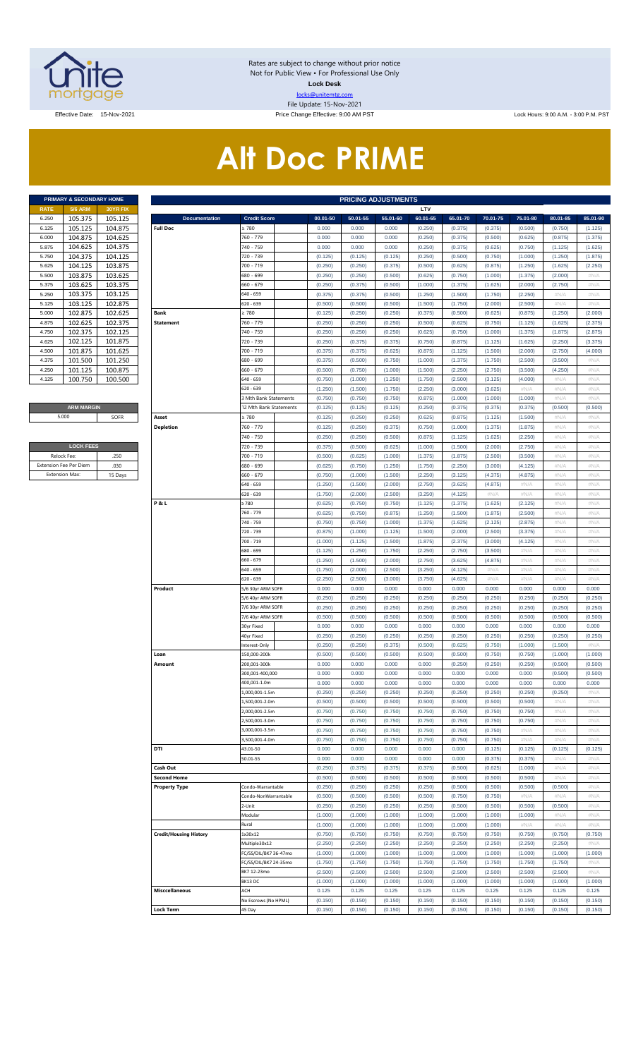

Rates are subject to change without prior notice Not for Public View • For Professional Use Only **Lock Desk** locks@unitemtg.com File Update: 15-Nov-2021

Effective Date: 15-Nov-2021 Price Change Effective: 9:00 AM PST Lock Hours: 9:00 A.M. - 3:00 P.M. PST

# **Alt Doc PRIME**

|             | PRIMARY & SECONDARY HOME |                 |
|-------------|--------------------------|-----------------|
| <b>RATE</b> | <b>5/6 ARM</b>           | <b>30YR FIX</b> |
| 6.250       | 105.375                  | 105.125         |
| 6.125       | 105.125                  | 104.875         |
| 6.000       | 104.875                  | 104.625         |
| 5.875       | 104.625                  | 104.375         |
| 5.750       | 104.375                  | 104.125         |
| 5.625       | 104.125                  | 103.875         |
| 5.500       | 103.875                  | 103.625         |
| 5.375       | 103.625                  | 103.375         |
| 5.250       | 103.375                  | 103.125         |
| 5.125       | 103.125                  | 102.875         |
| 5.000       | 102.875                  | 102.625         |
| 4.875       | 102.625                  | 102.375         |
| 4.750       | 102.375                  | 102.125         |
| 4.625       | 102.125                  | 101.875         |
| 4.500       | 101.875                  | 101.625         |
| 4.375       | 101.500                  | 101.250         |
| 4.250       | 101.125                  | 100.875         |
| 4.125       | 100.750                  | 100.500         |

#### **ARM MARGIN** 5.000

| <b>LOCK FEES</b>              |         |
|-------------------------------|---------|
| Relock Fee:                   | 250     |
| <b>Extension Fee Per Diem</b> | .030    |
| <b>Extension Max:</b>         | 15 Days |

| <b>5/6 ARM</b><br>30YR FIX<br>LTV<br>105.375<br>105.125<br><b>Documentation</b><br><b>Credit Score</b><br>00.01-50<br>50.01-55<br>55.01-60<br>60.01-65<br>65.01-70<br>70.01-75<br>75.01-80<br>80.01-85<br>85.01-90<br>105.125<br>104.875<br><b>Full Doc</b><br>2780<br>0.000<br>0.000<br>0.000<br>(0.250)<br>(0.375)<br>(0.500)<br>(0.750)<br>(0.375)<br>(1.125)<br>104.875<br>104.625<br>760 - 779<br>0.000<br>0.000<br>0.000<br>(0.250)<br>(0.375)<br>(0.500)<br>(0.625)<br>(0.875)<br>(1.375)<br>104.625<br>104.375<br>740 - 759<br>0.000<br>5.875<br>0.000<br>0.000<br>(0.250)<br>(0.375)<br>(0.625)<br>(0.750)<br>(1.125)<br>(1.625)<br>104.375<br>104.125<br>5.750<br>720 - 739<br>(0.125)<br>(0.125)<br>(0.125)<br>(0.250)<br>(0.500)<br>(0.750)<br>(1.000)<br>(1.250)<br>(1.875)<br>104.125<br>103.875<br>700 - 719<br>(0.250)<br>5.625<br>(0.250)<br>(0.375)<br>(0.500)<br>(0.625)<br>(0.875)<br>(1.250)<br>(1.625)<br>(2.250)<br>103.875<br>103.625<br>5.500<br>680 - 699<br>(0.250)<br>(0.250)<br>(0.500)<br>(0.625)<br>(0.750)<br>(1.000)<br>(1.375)<br>(2.000)<br>#N/A<br>103.625<br>103.375<br>660 - 679<br>5.375<br>(0.250)<br>(0.375)<br>(0.500)<br>(1.000)<br>(1.375)<br>(1.625)<br>(2.000)<br>(2.750)<br>#N/A<br>103.375<br>103.125<br>640 - 659<br>5.250<br>(0.375)<br>(0.375)<br>(0.500)<br>(1.250)<br>(1.500)<br>(1.750)<br>(2.250)<br>#N/A<br>#N/A<br>103.125<br>102.875<br>620 - 639<br>(0.500)<br>5.125<br>(0.500)<br>(0.500)<br>(1.500)<br>(1.750)<br>(2.000)<br>(2.500)<br>#N/A<br>#N/A<br>102.875<br>102.625<br>5.000<br>Bank<br>$\geq 780$<br>(0.125)<br>(0.250)<br>(0.250)<br>(0.375)<br>(0.500)<br>(0.625)<br>(0.875)<br>(1.250)<br>(2.000)<br>102.625<br>102.375<br>760 - 779<br><b>Statement</b><br>(0.250)<br>(0.250)<br>(0.250)<br>(0.500)<br>(0.625)<br>(0.750)<br>(1.125)<br>(1.625)<br>(2.375)<br>102.375<br>102.125<br>740 - 759<br>(0.250)<br>(0.250)<br>(0.250)<br>(0.625)<br>(0.750)<br>(1.000)<br>(1.375)<br>(1.875)<br>(2.875)<br>102.125<br>101.875<br>720 - 739<br>4.625<br>(0.250)<br>(0.375)<br>(0.375)<br>(0.750)<br>(0.875)<br>(1.125)<br>(1.625)<br>(2.250)<br>(3.375)<br>101.875<br>101.625<br>4.500<br>700 - 719<br>(0.375)<br>(0.375)<br>(0.625)<br>(0.875)<br>(1.125)<br>(1.500)<br>(2.000)<br>(2.750)<br>(4.000)<br>101.500<br>101.250<br>680 - 699<br>4.375<br>(0.375)<br>(0.500)<br>(0.750)<br>(1.000)<br>(1.375)<br>(1.750)<br>(2.500)<br>(3.500)<br>#N/A<br>101.125<br>100.875<br>4.250<br>660 - 679<br>(0.500)<br>(0.750)<br>(1.000)<br>(1.500)<br>(2.250)<br>(2.750)<br>(3.500)<br>(4.250)<br>#N/A<br>100.750<br>100.500<br>640 - 659<br>4.125<br>(0.750)<br>(1.000)<br>(1.250)<br>(1.750)<br>(2.500)<br>(3.125)<br>(4.000)<br>#N/A<br>#N/A<br>620 - 639<br>(1.250)<br>(1.500)<br>(1.750)<br>(2.250)<br>(3.000)<br>(3.625)<br>#N/A<br>#N/A<br>#N/A<br>3 Mth Bank Statements<br>(0.750)<br>(0.750)<br>(0.750)<br>(0.875)<br>(1.000)<br>(1.000)<br>(1.000)<br>#N/A<br>#N/A<br><b>ARM MARGIN</b><br>12 Mth Bank Statements<br>(0.125)<br>(0.125)<br>(0.125)<br>(0.250)<br>(0.375)<br>(0.375)<br>(0.375)<br>(0.500)<br>(0.500)<br>5.000<br>SOFR<br>Asset<br>$\geq 780$<br>(0.125)<br>(0.250)<br>(0.250)<br>(0.625)<br>(0.875)<br>(1.125)<br>(1.500)<br>#N/A<br>#N/A<br><b>Depletion</b><br>760 - 779<br>(0.125)<br>(0.250)<br>(0.375)<br>(0.750)<br>(1.000)<br>(1.375)<br>(1.875)<br>#N/A<br>#N/A<br>(0.250)<br>740 - 759<br>(0.250)<br>(0.500)<br>(0.875)<br>(1.125)<br>(1.625)<br>(2.250)<br>#N/A<br>#N/A<br><b>LOCK FEES</b><br>720 - 739<br>(0.375)<br>(0.500)<br>(0.625)<br>(1.000)<br>(1.500)<br>(2.000)<br>(2.750)<br>#N/A<br>#N/A<br>Relock Fee:<br>.250<br>700 - 719<br>(0.500)<br>(0.625)<br>(1.000)<br>(1.375)<br>(1.875)<br>(2.500)<br>(3.500)<br>#N/A<br>#N/A<br>xtension Fee Per Diem<br>.030<br>680 - 699<br>(0.625)<br>(0.750)<br>(1.250)<br>(1.750)<br>(2.250)<br>(3.000)<br>(4.125)<br>#N/A<br>#N/A<br>Extension Max:<br>15 Days<br>660 - 679<br>(0.750)<br>(1.000)<br>(1.500)<br>(2.250)<br>(3.125)<br>(4.375)<br>(4.875)<br>$\#N/A$<br>#N/A<br>640 - 659<br>(1.250)<br>(1.500)<br>(2.000)<br>(2.750)<br>(3.625)<br>(4.875)<br>#N/A<br>#N/A<br>#N/A<br>520 - 639<br>(1.750)<br>(2.000)<br>(2.500)<br>(3.250)<br>(4.125)<br>#N/A<br>#N/A<br>#N/A<br>#N/A<br>P&L<br>2780<br>(0.625)<br>(0.750)<br>(0.750)<br>(1.125)<br>(1.375)<br>(1.625)<br>(2.125)<br>#N/A<br>#N/A<br>760 - 779<br>(0.625)<br>(0.750)<br>(0.875)<br>(1.250)<br>(1.500)<br>(1.875)<br>(2.500)<br>#N/A<br>#N/A<br>740 - 759<br>(0.750)<br>(0.750)<br>(1.000)<br>(1.375)<br>(1.625)<br>(2.125)<br>(2.875)<br>$\#N/A$<br>#N/A<br>720 - 739<br>(0.875)<br>(1.000)<br>(1.125)<br>(1.500)<br>(2.000)<br>(2.500)<br>(3.375)<br>#N/A<br>#N/A<br>700 - 719<br>(1.000)<br>(1.125)<br>(1.500)<br>(1.875)<br>(2.375)<br>(3.000)<br>(4.125)<br>$\#N/A$<br>#N/A<br>680 - 699<br>(1.125)<br>(1.250)<br>(1.750)<br>(2.250)<br>(2.750)<br>(3.500)<br>#N/A<br>#N/A<br>#N/A<br>660 - 679<br>(1.250)<br>(1.500)<br>(2.000)<br>(2.750)<br>(3.625)<br>(4.875)<br>#N/A<br>$\#N/A$<br>#N/A<br>540 - 659<br>(1.750)<br>(2.000)<br>(2.500)<br>(3.250)<br>(4.125)<br>#N/A<br>#N/A<br>#N/A<br>#N/A<br>620 - 639<br>(2.250)<br>(2.500)<br>(3.000)<br>(3.750)<br>(4.625)<br>#N/A<br>#N/A<br>$\#N/A$<br>#N/A<br>Product<br>5/6 30yr ARM SOFR<br>0.000<br>0.000<br>0.000<br>0.000<br>0.000<br>0.000<br>0.000<br>0.000<br>0.000<br>5/6 40yr ARM SOFR<br>(0.250)<br>(0.250)<br>(0.250)<br>(0.250)<br>(0.250)<br>(0.250)<br>(0.250)<br>(0.250)<br>(0.250)<br>7/6 30yr ARM SOFR<br>(0.250)<br>(0.250)<br>(0.250)<br>(0.250)<br>(0.250)<br>(0.250)<br>(0.250)<br>(0.250)<br>(0.250)<br>7/6 40yr ARM SOFR<br>(0.500)<br>(0.500)<br>(0.500)<br>(0.500)<br>(0.500)<br>(0.500)<br>(0.500)<br>(0.500)<br>(0.500)<br>30yr Fixed<br>0.000<br>0.000<br>0.000<br>0.000<br>0.000<br>0.000<br>0.000<br>0.000<br>0.000<br>(0.250)<br>(0.250)<br>(0.250)<br>(0.250)<br>(0.250)<br>(0.250)<br>(0.250)<br>(0.250)<br>(0.250)<br>40yr Fixed<br>(0.250)<br>(0.250)<br>(0.375)<br>(0.500)<br>(0.625)<br>(0.750)<br>(1.000)<br>(1.500)<br>#N/A<br>nterest-Only<br>Loan<br>150,000-200k<br>(0.500)<br>(0.500)<br>(0.500)<br>(0.500)<br>(0.500)<br>(0.750)<br>(0.750)<br>(1.000)<br>(1.000)<br>0.000<br>(0.500)<br>0.000<br>0.000<br>(0.250)<br>(0.250)<br>(0.250)<br>!00,001-300k<br>(0.500)<br>0.000<br>Amounτ<br>300,001-400,000<br>0.000<br>0.000<br>0.000<br>0.000<br>0.000<br>0.000<br>0.000<br>(0.500)<br>(0.500)<br>0.000<br>0.000<br>0.000<br>0.000<br>0.000<br>0.000<br>400,001-1.0m<br>0.000<br>0.000<br>0.000<br>(0.250)<br>(0.250)<br>(0.250)<br>(0.250)<br>(0.250)<br>(0.250)<br>(0.250)<br>1,000,001-1.5m<br>(0.250)<br>#N/A<br>(0.500)<br>(0.500)<br>(0.500)<br>(0.500)<br>(0.500)<br>#N/A<br>#N/A<br>.,500,001-2.0m<br>(0.500)<br>(0.500)<br>(0.750)<br>(0.750)<br>(0.750)<br>#N/A<br>#N/A<br>2,000,001-2.5m<br>(0.750)<br>(0.750)<br>(0.750)<br>(0.750)<br>(0.750)<br>(0.750)<br>(0.750)<br>(0.750)<br>(0.750)<br>#N/A<br>#N/A<br>500,001-3.0m<br>(0.750)<br>(0.750)<br>(0.750)<br>(0.750)<br>(0.750)<br>(0.750)<br>(0.750)<br>#N/A<br>#N/A<br>#N/A<br>3,000,001-3.5m<br>(0.750)<br>(0.750)<br>#N/A<br>#N/A<br>#N/A<br>500,001-4.0m<br>(0.750)<br>(0.750)<br>(0.750)<br>(0.750)<br>(0.750)<br>DTI<br>0.000<br>0.000<br>0.000<br>0.000<br>(0.125)<br>43.01-50<br>0.000<br>(0.125)<br>(0.125)<br>(0.125)<br>0.01-55<br>0.000<br>0.000<br>0.000<br>0.000<br>(0.375)<br>(0.375)<br>#N/A<br>#N/A<br>0.000<br>Cash Out<br>(0.250)<br>(0.375)<br>(0.375)<br>(0.375)<br>(0.500)<br>(0.625)<br>(1.000)<br>#N/A<br>#N/A<br>(0.500)<br>(0.500)<br>(0.500)<br>(0.500)<br>(0.500)<br>(0.500)<br>#N/A<br>#N/A<br><b>Second Home</b><br>(0.500)<br><b>Property Type</b><br>(0.250)<br>#N/A<br>Condo-Warrantable<br>(0.250)<br>(0.250)<br>(0.250)<br>(0.500)<br>(0.500)<br>(0.500)<br>(0.500)<br>(0.500)<br>(0.750)<br>(0.750)<br>#N/A<br>#N/A<br>#N/A<br>Condo-NonWarrantable<br>(0.500)<br>(0.500)<br>(0.500)<br>(0.250)<br>(0.250)<br>(0.250)<br>(0.250)<br>(0.500)<br>(0.500)<br>(0.500)<br>(0.500)<br>#N/A<br>2-Unit<br>(1.000)<br>(1.000)<br>#N/A<br>Modular<br>(1.000)<br>(1.000)<br>(1.000)<br>(1.000)<br>(1.000)<br>#N/A<br>(1.000)<br>#N/A<br>#N/A<br>#N/A<br>Rural<br>(1.000)<br>(1.000)<br>(1.000)<br>(1.000)<br>(1.000)<br>1x30x12<br>(0.750)<br><b>Credit/Housing History</b><br>(0.750)<br>(0.750)<br>(0.750)<br>(0.750)<br>(0.750)<br>(0.750)<br>(0.750)<br>(0.750)<br>(2.250)<br>(2.250)<br>(2.250)<br>(2.250)<br>(2.250)<br>(2.250)<br>(2.250)<br>(2.250)<br>#N/A<br>Multiple30x12<br>(1.000)<br>(1.000)<br>(1.000)<br>C/SS/DIL/BK7 36-47mo<br>(1.000)<br>(1.000)<br>(1.000)<br>(1.000)<br>(1.000)<br>(1.000)<br>(1.750)<br>(1.750)<br>#N/A<br>C/SS/DIL/BK7 24-35mo<br>(1.750)<br>(1.750)<br>(1.750)<br>(1.750)<br>(1.750)<br>(1.750)<br>(2.500)<br>#N/A<br>BK7 12-23mo<br>(2.500)<br>(2.500)<br>(2.500)<br>(2.500)<br>(2.500)<br>(2.500)<br>(2.500)<br>BK13 DC<br>(1.000)<br>(1.000)<br>(1.000)<br>(1.000)<br>(1.000)<br>(1.000)<br>(1.000)<br>(1.000)<br>(1.000)<br>0.125<br>0.125<br>0.125<br>0.125<br>0.125<br>0.125<br>0.125<br>0.125<br><b>Misccellaneous</b><br>ACH<br>0.125<br>No Escrows (No HPML)<br>(0.150)<br>(0.150)<br>(0.150)<br>(0.150)<br>(0.150)<br>(0.150)<br>(0.150)<br>(0.150)<br>(0.150)<br>Lock Term<br>(0.150)<br>45 Day<br>(0.150)<br>(0.150)<br>(0.150)<br>(0.150)<br>(0.150)<br>(0.150)<br>(0.150)<br>(0.150) |       | PRIMARY & SECONDARY HOME | <b>PRICING ADJUSTMENTS</b> |  |  |  |  |  |  |  |  |  |  |  |
|------------------------------------------------------------------------------------------------------------------------------------------------------------------------------------------------------------------------------------------------------------------------------------------------------------------------------------------------------------------------------------------------------------------------------------------------------------------------------------------------------------------------------------------------------------------------------------------------------------------------------------------------------------------------------------------------------------------------------------------------------------------------------------------------------------------------------------------------------------------------------------------------------------------------------------------------------------------------------------------------------------------------------------------------------------------------------------------------------------------------------------------------------------------------------------------------------------------------------------------------------------------------------------------------------------------------------------------------------------------------------------------------------------------------------------------------------------------------------------------------------------------------------------------------------------------------------------------------------------------------------------------------------------------------------------------------------------------------------------------------------------------------------------------------------------------------------------------------------------------------------------------------------------------------------------------------------------------------------------------------------------------------------------------------------------------------------------------------------------------------------------------------------------------------------------------------------------------------------------------------------------------------------------------------------------------------------------------------------------------------------------------------------------------------------------------------------------------------------------------------------------------------------------------------------------------------------------------------------------------------------------------------------------------------------------------------------------------------------------------------------------------------------------------------------------------------------------------------------------------------------------------------------------------------------------------------------------------------------------------------------------------------------------------------------------------------------------------------------------------------------------------------------------------------------------------------------------------------------------------------------------------------------------------------------------------------------------------------------------------------------------------------------------------------------------------------------------------------------------------------------------------------------------------------------------------------------------------------------------------------------------------------------------------------------------------------------------------------------------------------------------------------------------------------------------------------------------------------------------------------------------------------------------------------------------------------------------------------------------------------------------------------------------------------------------------------------------------------------------------------------------------------------------------------------------------------------------------------------------------------------------------------------------------------------------------------------------------------------------------------------------------------------------------------------------------------------------------------------------------------------------------------------------------------------------------------------------------------------------------------------------------------------------------------------------------------------------------------------------------------------------------------------------------------------------------------------------------------------------------------------------------------------------------------------------------------------------------------------------------------------------------------------------------------------------------------------------------------------------------------------------------------------------------------------------------------------------------------------------------------------------------------------------------------------------------------------------------------------------------------------------------------------------------------------------------------------------------------------------------------------------------------------------------------------------------------------------------------------------------------------------------------------------------------------------------------------------------------------------------------------------------------------------------------------------------------------------------------------------------------------------------------------------------------------------------------------------------------------------------------------------------------------------------------------------------------------------------------------------------------------------------------------------------------------------------------------------------------------------------------------------------------------------------------------------------------------------------------------------------------------------------------------------------------------------------------------------------------------------------------------------------------------------------------------------------------------------------------------------------------------------------------------------------------------------------------------------------------------------------------------------------------------------------------------------------------------------------------------------------------------------------------------------------------------------------------------------------------------------------------------------------------------------------------------------------------------------------------------------------------------------------------------------------------------------------------------------------------------------------------------------------------------------------------------------------------------------------------------------------------------------------------------------------------------------------------------------------------------------------------------------------------------------------------------------------------------------------------------------------------------------------------------------------------------------------------------------------------------------------------------------------------------------------------------------------------------------------------------------------------------------------------------------------------------------------------------------------------------------------------------------------------------------------------------------------------------------------------------------------------------------------------------------------------------------------------------------------------------------------------------------------------------------------------------------------------------------------------------------------------------------------------------------------------------------------------------------------------------------------------------------------------------------------------------------------------------------------------------------------------------------------------------------------------------------------------------------------------------------------------------------------------------------------------------------------------------------------------------------------------------------------------------------------------------------------------------------------------------------------------------------------------------------------------------------------------------------------------------------------------------------------------------------------------------------------------------------------------------------------------------------------------------------------------------------------------------------------------|-------|--------------------------|----------------------------|--|--|--|--|--|--|--|--|--|--|--|
|                                                                                                                                                                                                                                                                                                                                                                                                                                                                                                                                                                                                                                                                                                                                                                                                                                                                                                                                                                                                                                                                                                                                                                                                                                                                                                                                                                                                                                                                                                                                                                                                                                                                                                                                                                                                                                                                                                                                                                                                                                                                                                                                                                                                                                                                                                                                                                                                                                                                                                                                                                                                                                                                                                                                                                                                                                                                                                                                                                                                                                                                                                                                                                                                                                                                                                                                                                                                                                                                                                                                                                                                                                                                                                                                                                                                                                                                                                                                                                                                                                                                                                                                                                                                                                                                                                                                                                                                                                                                                                                                                                                                                                                                                                                                                                                                                                                                                                                                                                                                                                                                                                                                                                                                                                                                                                                                                                                                                                                                                                                                                                                                                                                                                                                                                                                                                                                                                                                                                                                                                                                                                                                                                                                                                                                                                                                                                                                                                                                                                                                                                                                                                                                                                                                                                                                                                                                                                                                                                                                                                                                                                                                                                                                                                                                                                                                                                                                                                                                                                                                                                                                                                                                                                                                                                                                                                                                                                                                                                                                                                                                                                                                                                                                                                                                                                                                                                                                                                                                                                                                                                                                                                                                                                                                                                                                                                                                                                                                                                                                                                                                                                                                                                                                                                                                                                                                                                | RATE  |                          |                            |  |  |  |  |  |  |  |  |  |  |  |
|                                                                                                                                                                                                                                                                                                                                                                                                                                                                                                                                                                                                                                                                                                                                                                                                                                                                                                                                                                                                                                                                                                                                                                                                                                                                                                                                                                                                                                                                                                                                                                                                                                                                                                                                                                                                                                                                                                                                                                                                                                                                                                                                                                                                                                                                                                                                                                                                                                                                                                                                                                                                                                                                                                                                                                                                                                                                                                                                                                                                                                                                                                                                                                                                                                                                                                                                                                                                                                                                                                                                                                                                                                                                                                                                                                                                                                                                                                                                                                                                                                                                                                                                                                                                                                                                                                                                                                                                                                                                                                                                                                                                                                                                                                                                                                                                                                                                                                                                                                                                                                                                                                                                                                                                                                                                                                                                                                                                                                                                                                                                                                                                                                                                                                                                                                                                                                                                                                                                                                                                                                                                                                                                                                                                                                                                                                                                                                                                                                                                                                                                                                                                                                                                                                                                                                                                                                                                                                                                                                                                                                                                                                                                                                                                                                                                                                                                                                                                                                                                                                                                                                                                                                                                                                                                                                                                                                                                                                                                                                                                                                                                                                                                                                                                                                                                                                                                                                                                                                                                                                                                                                                                                                                                                                                                                                                                                                                                                                                                                                                                                                                                                                                                                                                                                                                                                                                                                | 6.250 |                          |                            |  |  |  |  |  |  |  |  |  |  |  |
|                                                                                                                                                                                                                                                                                                                                                                                                                                                                                                                                                                                                                                                                                                                                                                                                                                                                                                                                                                                                                                                                                                                                                                                                                                                                                                                                                                                                                                                                                                                                                                                                                                                                                                                                                                                                                                                                                                                                                                                                                                                                                                                                                                                                                                                                                                                                                                                                                                                                                                                                                                                                                                                                                                                                                                                                                                                                                                                                                                                                                                                                                                                                                                                                                                                                                                                                                                                                                                                                                                                                                                                                                                                                                                                                                                                                                                                                                                                                                                                                                                                                                                                                                                                                                                                                                                                                                                                                                                                                                                                                                                                                                                                                                                                                                                                                                                                                                                                                                                                                                                                                                                                                                                                                                                                                                                                                                                                                                                                                                                                                                                                                                                                                                                                                                                                                                                                                                                                                                                                                                                                                                                                                                                                                                                                                                                                                                                                                                                                                                                                                                                                                                                                                                                                                                                                                                                                                                                                                                                                                                                                                                                                                                                                                                                                                                                                                                                                                                                                                                                                                                                                                                                                                                                                                                                                                                                                                                                                                                                                                                                                                                                                                                                                                                                                                                                                                                                                                                                                                                                                                                                                                                                                                                                                                                                                                                                                                                                                                                                                                                                                                                                                                                                                                                                                                                                                                                | 6.125 |                          |                            |  |  |  |  |  |  |  |  |  |  |  |
|                                                                                                                                                                                                                                                                                                                                                                                                                                                                                                                                                                                                                                                                                                                                                                                                                                                                                                                                                                                                                                                                                                                                                                                                                                                                                                                                                                                                                                                                                                                                                                                                                                                                                                                                                                                                                                                                                                                                                                                                                                                                                                                                                                                                                                                                                                                                                                                                                                                                                                                                                                                                                                                                                                                                                                                                                                                                                                                                                                                                                                                                                                                                                                                                                                                                                                                                                                                                                                                                                                                                                                                                                                                                                                                                                                                                                                                                                                                                                                                                                                                                                                                                                                                                                                                                                                                                                                                                                                                                                                                                                                                                                                                                                                                                                                                                                                                                                                                                                                                                                                                                                                                                                                                                                                                                                                                                                                                                                                                                                                                                                                                                                                                                                                                                                                                                                                                                                                                                                                                                                                                                                                                                                                                                                                                                                                                                                                                                                                                                                                                                                                                                                                                                                                                                                                                                                                                                                                                                                                                                                                                                                                                                                                                                                                                                                                                                                                                                                                                                                                                                                                                                                                                                                                                                                                                                                                                                                                                                                                                                                                                                                                                                                                                                                                                                                                                                                                                                                                                                                                                                                                                                                                                                                                                                                                                                                                                                                                                                                                                                                                                                                                                                                                                                                                                                                                                                                | 6.000 |                          |                            |  |  |  |  |  |  |  |  |  |  |  |
|                                                                                                                                                                                                                                                                                                                                                                                                                                                                                                                                                                                                                                                                                                                                                                                                                                                                                                                                                                                                                                                                                                                                                                                                                                                                                                                                                                                                                                                                                                                                                                                                                                                                                                                                                                                                                                                                                                                                                                                                                                                                                                                                                                                                                                                                                                                                                                                                                                                                                                                                                                                                                                                                                                                                                                                                                                                                                                                                                                                                                                                                                                                                                                                                                                                                                                                                                                                                                                                                                                                                                                                                                                                                                                                                                                                                                                                                                                                                                                                                                                                                                                                                                                                                                                                                                                                                                                                                                                                                                                                                                                                                                                                                                                                                                                                                                                                                                                                                                                                                                                                                                                                                                                                                                                                                                                                                                                                                                                                                                                                                                                                                                                                                                                                                                                                                                                                                                                                                                                                                                                                                                                                                                                                                                                                                                                                                                                                                                                                                                                                                                                                                                                                                                                                                                                                                                                                                                                                                                                                                                                                                                                                                                                                                                                                                                                                                                                                                                                                                                                                                                                                                                                                                                                                                                                                                                                                                                                                                                                                                                                                                                                                                                                                                                                                                                                                                                                                                                                                                                                                                                                                                                                                                                                                                                                                                                                                                                                                                                                                                                                                                                                                                                                                                                                                                                                                                                |       |                          |                            |  |  |  |  |  |  |  |  |  |  |  |
|                                                                                                                                                                                                                                                                                                                                                                                                                                                                                                                                                                                                                                                                                                                                                                                                                                                                                                                                                                                                                                                                                                                                                                                                                                                                                                                                                                                                                                                                                                                                                                                                                                                                                                                                                                                                                                                                                                                                                                                                                                                                                                                                                                                                                                                                                                                                                                                                                                                                                                                                                                                                                                                                                                                                                                                                                                                                                                                                                                                                                                                                                                                                                                                                                                                                                                                                                                                                                                                                                                                                                                                                                                                                                                                                                                                                                                                                                                                                                                                                                                                                                                                                                                                                                                                                                                                                                                                                                                                                                                                                                                                                                                                                                                                                                                                                                                                                                                                                                                                                                                                                                                                                                                                                                                                                                                                                                                                                                                                                                                                                                                                                                                                                                                                                                                                                                                                                                                                                                                                                                                                                                                                                                                                                                                                                                                                                                                                                                                                                                                                                                                                                                                                                                                                                                                                                                                                                                                                                                                                                                                                                                                                                                                                                                                                                                                                                                                                                                                                                                                                                                                                                                                                                                                                                                                                                                                                                                                                                                                                                                                                                                                                                                                                                                                                                                                                                                                                                                                                                                                                                                                                                                                                                                                                                                                                                                                                                                                                                                                                                                                                                                                                                                                                                                                                                                                                                                |       |                          |                            |  |  |  |  |  |  |  |  |  |  |  |
|                                                                                                                                                                                                                                                                                                                                                                                                                                                                                                                                                                                                                                                                                                                                                                                                                                                                                                                                                                                                                                                                                                                                                                                                                                                                                                                                                                                                                                                                                                                                                                                                                                                                                                                                                                                                                                                                                                                                                                                                                                                                                                                                                                                                                                                                                                                                                                                                                                                                                                                                                                                                                                                                                                                                                                                                                                                                                                                                                                                                                                                                                                                                                                                                                                                                                                                                                                                                                                                                                                                                                                                                                                                                                                                                                                                                                                                                                                                                                                                                                                                                                                                                                                                                                                                                                                                                                                                                                                                                                                                                                                                                                                                                                                                                                                                                                                                                                                                                                                                                                                                                                                                                                                                                                                                                                                                                                                                                                                                                                                                                                                                                                                                                                                                                                                                                                                                                                                                                                                                                                                                                                                                                                                                                                                                                                                                                                                                                                                                                                                                                                                                                                                                                                                                                                                                                                                                                                                                                                                                                                                                                                                                                                                                                                                                                                                                                                                                                                                                                                                                                                                                                                                                                                                                                                                                                                                                                                                                                                                                                                                                                                                                                                                                                                                                                                                                                                                                                                                                                                                                                                                                                                                                                                                                                                                                                                                                                                                                                                                                                                                                                                                                                                                                                                                                                                                                                                |       |                          |                            |  |  |  |  |  |  |  |  |  |  |  |
|                                                                                                                                                                                                                                                                                                                                                                                                                                                                                                                                                                                                                                                                                                                                                                                                                                                                                                                                                                                                                                                                                                                                                                                                                                                                                                                                                                                                                                                                                                                                                                                                                                                                                                                                                                                                                                                                                                                                                                                                                                                                                                                                                                                                                                                                                                                                                                                                                                                                                                                                                                                                                                                                                                                                                                                                                                                                                                                                                                                                                                                                                                                                                                                                                                                                                                                                                                                                                                                                                                                                                                                                                                                                                                                                                                                                                                                                                                                                                                                                                                                                                                                                                                                                                                                                                                                                                                                                                                                                                                                                                                                                                                                                                                                                                                                                                                                                                                                                                                                                                                                                                                                                                                                                                                                                                                                                                                                                                                                                                                                                                                                                                                                                                                                                                                                                                                                                                                                                                                                                                                                                                                                                                                                                                                                                                                                                                                                                                                                                                                                                                                                                                                                                                                                                                                                                                                                                                                                                                                                                                                                                                                                                                                                                                                                                                                                                                                                                                                                                                                                                                                                                                                                                                                                                                                                                                                                                                                                                                                                                                                                                                                                                                                                                                                                                                                                                                                                                                                                                                                                                                                                                                                                                                                                                                                                                                                                                                                                                                                                                                                                                                                                                                                                                                                                                                                                                                |       |                          |                            |  |  |  |  |  |  |  |  |  |  |  |
|                                                                                                                                                                                                                                                                                                                                                                                                                                                                                                                                                                                                                                                                                                                                                                                                                                                                                                                                                                                                                                                                                                                                                                                                                                                                                                                                                                                                                                                                                                                                                                                                                                                                                                                                                                                                                                                                                                                                                                                                                                                                                                                                                                                                                                                                                                                                                                                                                                                                                                                                                                                                                                                                                                                                                                                                                                                                                                                                                                                                                                                                                                                                                                                                                                                                                                                                                                                                                                                                                                                                                                                                                                                                                                                                                                                                                                                                                                                                                                                                                                                                                                                                                                                                                                                                                                                                                                                                                                                                                                                                                                                                                                                                                                                                                                                                                                                                                                                                                                                                                                                                                                                                                                                                                                                                                                                                                                                                                                                                                                                                                                                                                                                                                                                                                                                                                                                                                                                                                                                                                                                                                                                                                                                                                                                                                                                                                                                                                                                                                                                                                                                                                                                                                                                                                                                                                                                                                                                                                                                                                                                                                                                                                                                                                                                                                                                                                                                                                                                                                                                                                                                                                                                                                                                                                                                                                                                                                                                                                                                                                                                                                                                                                                                                                                                                                                                                                                                                                                                                                                                                                                                                                                                                                                                                                                                                                                                                                                                                                                                                                                                                                                                                                                                                                                                                                                                                                |       |                          |                            |  |  |  |  |  |  |  |  |  |  |  |
|                                                                                                                                                                                                                                                                                                                                                                                                                                                                                                                                                                                                                                                                                                                                                                                                                                                                                                                                                                                                                                                                                                                                                                                                                                                                                                                                                                                                                                                                                                                                                                                                                                                                                                                                                                                                                                                                                                                                                                                                                                                                                                                                                                                                                                                                                                                                                                                                                                                                                                                                                                                                                                                                                                                                                                                                                                                                                                                                                                                                                                                                                                                                                                                                                                                                                                                                                                                                                                                                                                                                                                                                                                                                                                                                                                                                                                                                                                                                                                                                                                                                                                                                                                                                                                                                                                                                                                                                                                                                                                                                                                                                                                                                                                                                                                                                                                                                                                                                                                                                                                                                                                                                                                                                                                                                                                                                                                                                                                                                                                                                                                                                                                                                                                                                                                                                                                                                                                                                                                                                                                                                                                                                                                                                                                                                                                                                                                                                                                                                                                                                                                                                                                                                                                                                                                                                                                                                                                                                                                                                                                                                                                                                                                                                                                                                                                                                                                                                                                                                                                                                                                                                                                                                                                                                                                                                                                                                                                                                                                                                                                                                                                                                                                                                                                                                                                                                                                                                                                                                                                                                                                                                                                                                                                                                                                                                                                                                                                                                                                                                                                                                                                                                                                                                                                                                                                                                                |       |                          |                            |  |  |  |  |  |  |  |  |  |  |  |
|                                                                                                                                                                                                                                                                                                                                                                                                                                                                                                                                                                                                                                                                                                                                                                                                                                                                                                                                                                                                                                                                                                                                                                                                                                                                                                                                                                                                                                                                                                                                                                                                                                                                                                                                                                                                                                                                                                                                                                                                                                                                                                                                                                                                                                                                                                                                                                                                                                                                                                                                                                                                                                                                                                                                                                                                                                                                                                                                                                                                                                                                                                                                                                                                                                                                                                                                                                                                                                                                                                                                                                                                                                                                                                                                                                                                                                                                                                                                                                                                                                                                                                                                                                                                                                                                                                                                                                                                                                                                                                                                                                                                                                                                                                                                                                                                                                                                                                                                                                                                                                                                                                                                                                                                                                                                                                                                                                                                                                                                                                                                                                                                                                                                                                                                                                                                                                                                                                                                                                                                                                                                                                                                                                                                                                                                                                                                                                                                                                                                                                                                                                                                                                                                                                                                                                                                                                                                                                                                                                                                                                                                                                                                                                                                                                                                                                                                                                                                                                                                                                                                                                                                                                                                                                                                                                                                                                                                                                                                                                                                                                                                                                                                                                                                                                                                                                                                                                                                                                                                                                                                                                                                                                                                                                                                                                                                                                                                                                                                                                                                                                                                                                                                                                                                                                                                                                                                                |       |                          |                            |  |  |  |  |  |  |  |  |  |  |  |
|                                                                                                                                                                                                                                                                                                                                                                                                                                                                                                                                                                                                                                                                                                                                                                                                                                                                                                                                                                                                                                                                                                                                                                                                                                                                                                                                                                                                                                                                                                                                                                                                                                                                                                                                                                                                                                                                                                                                                                                                                                                                                                                                                                                                                                                                                                                                                                                                                                                                                                                                                                                                                                                                                                                                                                                                                                                                                                                                                                                                                                                                                                                                                                                                                                                                                                                                                                                                                                                                                                                                                                                                                                                                                                                                                                                                                                                                                                                                                                                                                                                                                                                                                                                                                                                                                                                                                                                                                                                                                                                                                                                                                                                                                                                                                                                                                                                                                                                                                                                                                                                                                                                                                                                                                                                                                                                                                                                                                                                                                                                                                                                                                                                                                                                                                                                                                                                                                                                                                                                                                                                                                                                                                                                                                                                                                                                                                                                                                                                                                                                                                                                                                                                                                                                                                                                                                                                                                                                                                                                                                                                                                                                                                                                                                                                                                                                                                                                                                                                                                                                                                                                                                                                                                                                                                                                                                                                                                                                                                                                                                                                                                                                                                                                                                                                                                                                                                                                                                                                                                                                                                                                                                                                                                                                                                                                                                                                                                                                                                                                                                                                                                                                                                                                                                                                                                                                                                | 4.875 |                          |                            |  |  |  |  |  |  |  |  |  |  |  |
|                                                                                                                                                                                                                                                                                                                                                                                                                                                                                                                                                                                                                                                                                                                                                                                                                                                                                                                                                                                                                                                                                                                                                                                                                                                                                                                                                                                                                                                                                                                                                                                                                                                                                                                                                                                                                                                                                                                                                                                                                                                                                                                                                                                                                                                                                                                                                                                                                                                                                                                                                                                                                                                                                                                                                                                                                                                                                                                                                                                                                                                                                                                                                                                                                                                                                                                                                                                                                                                                                                                                                                                                                                                                                                                                                                                                                                                                                                                                                                                                                                                                                                                                                                                                                                                                                                                                                                                                                                                                                                                                                                                                                                                                                                                                                                                                                                                                                                                                                                                                                                                                                                                                                                                                                                                                                                                                                                                                                                                                                                                                                                                                                                                                                                                                                                                                                                                                                                                                                                                                                                                                                                                                                                                                                                                                                                                                                                                                                                                                                                                                                                                                                                                                                                                                                                                                                                                                                                                                                                                                                                                                                                                                                                                                                                                                                                                                                                                                                                                                                                                                                                                                                                                                                                                                                                                                                                                                                                                                                                                                                                                                                                                                                                                                                                                                                                                                                                                                                                                                                                                                                                                                                                                                                                                                                                                                                                                                                                                                                                                                                                                                                                                                                                                                                                                                                                                                                | 4.750 |                          |                            |  |  |  |  |  |  |  |  |  |  |  |
|                                                                                                                                                                                                                                                                                                                                                                                                                                                                                                                                                                                                                                                                                                                                                                                                                                                                                                                                                                                                                                                                                                                                                                                                                                                                                                                                                                                                                                                                                                                                                                                                                                                                                                                                                                                                                                                                                                                                                                                                                                                                                                                                                                                                                                                                                                                                                                                                                                                                                                                                                                                                                                                                                                                                                                                                                                                                                                                                                                                                                                                                                                                                                                                                                                                                                                                                                                                                                                                                                                                                                                                                                                                                                                                                                                                                                                                                                                                                                                                                                                                                                                                                                                                                                                                                                                                                                                                                                                                                                                                                                                                                                                                                                                                                                                                                                                                                                                                                                                                                                                                                                                                                                                                                                                                                                                                                                                                                                                                                                                                                                                                                                                                                                                                                                                                                                                                                                                                                                                                                                                                                                                                                                                                                                                                                                                                                                                                                                                                                                                                                                                                                                                                                                                                                                                                                                                                                                                                                                                                                                                                                                                                                                                                                                                                                                                                                                                                                                                                                                                                                                                                                                                                                                                                                                                                                                                                                                                                                                                                                                                                                                                                                                                                                                                                                                                                                                                                                                                                                                                                                                                                                                                                                                                                                                                                                                                                                                                                                                                                                                                                                                                                                                                                                                                                                                                                                                |       |                          |                            |  |  |  |  |  |  |  |  |  |  |  |
|                                                                                                                                                                                                                                                                                                                                                                                                                                                                                                                                                                                                                                                                                                                                                                                                                                                                                                                                                                                                                                                                                                                                                                                                                                                                                                                                                                                                                                                                                                                                                                                                                                                                                                                                                                                                                                                                                                                                                                                                                                                                                                                                                                                                                                                                                                                                                                                                                                                                                                                                                                                                                                                                                                                                                                                                                                                                                                                                                                                                                                                                                                                                                                                                                                                                                                                                                                                                                                                                                                                                                                                                                                                                                                                                                                                                                                                                                                                                                                                                                                                                                                                                                                                                                                                                                                                                                                                                                                                                                                                                                                                                                                                                                                                                                                                                                                                                                                                                                                                                                                                                                                                                                                                                                                                                                                                                                                                                                                                                                                                                                                                                                                                                                                                                                                                                                                                                                                                                                                                                                                                                                                                                                                                                                                                                                                                                                                                                                                                                                                                                                                                                                                                                                                                                                                                                                                                                                                                                                                                                                                                                                                                                                                                                                                                                                                                                                                                                                                                                                                                                                                                                                                                                                                                                                                                                                                                                                                                                                                                                                                                                                                                                                                                                                                                                                                                                                                                                                                                                                                                                                                                                                                                                                                                                                                                                                                                                                                                                                                                                                                                                                                                                                                                                                                                                                                                                                |       |                          |                            |  |  |  |  |  |  |  |  |  |  |  |
|                                                                                                                                                                                                                                                                                                                                                                                                                                                                                                                                                                                                                                                                                                                                                                                                                                                                                                                                                                                                                                                                                                                                                                                                                                                                                                                                                                                                                                                                                                                                                                                                                                                                                                                                                                                                                                                                                                                                                                                                                                                                                                                                                                                                                                                                                                                                                                                                                                                                                                                                                                                                                                                                                                                                                                                                                                                                                                                                                                                                                                                                                                                                                                                                                                                                                                                                                                                                                                                                                                                                                                                                                                                                                                                                                                                                                                                                                                                                                                                                                                                                                                                                                                                                                                                                                                                                                                                                                                                                                                                                                                                                                                                                                                                                                                                                                                                                                                                                                                                                                                                                                                                                                                                                                                                                                                                                                                                                                                                                                                                                                                                                                                                                                                                                                                                                                                                                                                                                                                                                                                                                                                                                                                                                                                                                                                                                                                                                                                                                                                                                                                                                                                                                                                                                                                                                                                                                                                                                                                                                                                                                                                                                                                                                                                                                                                                                                                                                                                                                                                                                                                                                                                                                                                                                                                                                                                                                                                                                                                                                                                                                                                                                                                                                                                                                                                                                                                                                                                                                                                                                                                                                                                                                                                                                                                                                                                                                                                                                                                                                                                                                                                                                                                                                                                                                                                                                                |       |                          |                            |  |  |  |  |  |  |  |  |  |  |  |
|                                                                                                                                                                                                                                                                                                                                                                                                                                                                                                                                                                                                                                                                                                                                                                                                                                                                                                                                                                                                                                                                                                                                                                                                                                                                                                                                                                                                                                                                                                                                                                                                                                                                                                                                                                                                                                                                                                                                                                                                                                                                                                                                                                                                                                                                                                                                                                                                                                                                                                                                                                                                                                                                                                                                                                                                                                                                                                                                                                                                                                                                                                                                                                                                                                                                                                                                                                                                                                                                                                                                                                                                                                                                                                                                                                                                                                                                                                                                                                                                                                                                                                                                                                                                                                                                                                                                                                                                                                                                                                                                                                                                                                                                                                                                                                                                                                                                                                                                                                                                                                                                                                                                                                                                                                                                                                                                                                                                                                                                                                                                                                                                                                                                                                                                                                                                                                                                                                                                                                                                                                                                                                                                                                                                                                                                                                                                                                                                                                                                                                                                                                                                                                                                                                                                                                                                                                                                                                                                                                                                                                                                                                                                                                                                                                                                                                                                                                                                                                                                                                                                                                                                                                                                                                                                                                                                                                                                                                                                                                                                                                                                                                                                                                                                                                                                                                                                                                                                                                                                                                                                                                                                                                                                                                                                                                                                                                                                                                                                                                                                                                                                                                                                                                                                                                                                                                                                                |       |                          |                            |  |  |  |  |  |  |  |  |  |  |  |
|                                                                                                                                                                                                                                                                                                                                                                                                                                                                                                                                                                                                                                                                                                                                                                                                                                                                                                                                                                                                                                                                                                                                                                                                                                                                                                                                                                                                                                                                                                                                                                                                                                                                                                                                                                                                                                                                                                                                                                                                                                                                                                                                                                                                                                                                                                                                                                                                                                                                                                                                                                                                                                                                                                                                                                                                                                                                                                                                                                                                                                                                                                                                                                                                                                                                                                                                                                                                                                                                                                                                                                                                                                                                                                                                                                                                                                                                                                                                                                                                                                                                                                                                                                                                                                                                                                                                                                                                                                                                                                                                                                                                                                                                                                                                                                                                                                                                                                                                                                                                                                                                                                                                                                                                                                                                                                                                                                                                                                                                                                                                                                                                                                                                                                                                                                                                                                                                                                                                                                                                                                                                                                                                                                                                                                                                                                                                                                                                                                                                                                                                                                                                                                                                                                                                                                                                                                                                                                                                                                                                                                                                                                                                                                                                                                                                                                                                                                                                                                                                                                                                                                                                                                                                                                                                                                                                                                                                                                                                                                                                                                                                                                                                                                                                                                                                                                                                                                                                                                                                                                                                                                                                                                                                                                                                                                                                                                                                                                                                                                                                                                                                                                                                                                                                                                                                                                                                                |       |                          |                            |  |  |  |  |  |  |  |  |  |  |  |
|                                                                                                                                                                                                                                                                                                                                                                                                                                                                                                                                                                                                                                                                                                                                                                                                                                                                                                                                                                                                                                                                                                                                                                                                                                                                                                                                                                                                                                                                                                                                                                                                                                                                                                                                                                                                                                                                                                                                                                                                                                                                                                                                                                                                                                                                                                                                                                                                                                                                                                                                                                                                                                                                                                                                                                                                                                                                                                                                                                                                                                                                                                                                                                                                                                                                                                                                                                                                                                                                                                                                                                                                                                                                                                                                                                                                                                                                                                                                                                                                                                                                                                                                                                                                                                                                                                                                                                                                                                                                                                                                                                                                                                                                                                                                                                                                                                                                                                                                                                                                                                                                                                                                                                                                                                                                                                                                                                                                                                                                                                                                                                                                                                                                                                                                                                                                                                                                                                                                                                                                                                                                                                                                                                                                                                                                                                                                                                                                                                                                                                                                                                                                                                                                                                                                                                                                                                                                                                                                                                                                                                                                                                                                                                                                                                                                                                                                                                                                                                                                                                                                                                                                                                                                                                                                                                                                                                                                                                                                                                                                                                                                                                                                                                                                                                                                                                                                                                                                                                                                                                                                                                                                                                                                                                                                                                                                                                                                                                                                                                                                                                                                                                                                                                                                                                                                                                                                                |       |                          |                            |  |  |  |  |  |  |  |  |  |  |  |
|                                                                                                                                                                                                                                                                                                                                                                                                                                                                                                                                                                                                                                                                                                                                                                                                                                                                                                                                                                                                                                                                                                                                                                                                                                                                                                                                                                                                                                                                                                                                                                                                                                                                                                                                                                                                                                                                                                                                                                                                                                                                                                                                                                                                                                                                                                                                                                                                                                                                                                                                                                                                                                                                                                                                                                                                                                                                                                                                                                                                                                                                                                                                                                                                                                                                                                                                                                                                                                                                                                                                                                                                                                                                                                                                                                                                                                                                                                                                                                                                                                                                                                                                                                                                                                                                                                                                                                                                                                                                                                                                                                                                                                                                                                                                                                                                                                                                                                                                                                                                                                                                                                                                                                                                                                                                                                                                                                                                                                                                                                                                                                                                                                                                                                                                                                                                                                                                                                                                                                                                                                                                                                                                                                                                                                                                                                                                                                                                                                                                                                                                                                                                                                                                                                                                                                                                                                                                                                                                                                                                                                                                                                                                                                                                                                                                                                                                                                                                                                                                                                                                                                                                                                                                                                                                                                                                                                                                                                                                                                                                                                                                                                                                                                                                                                                                                                                                                                                                                                                                                                                                                                                                                                                                                                                                                                                                                                                                                                                                                                                                                                                                                                                                                                                                                                                                                                                                                |       |                          |                            |  |  |  |  |  |  |  |  |  |  |  |
|                                                                                                                                                                                                                                                                                                                                                                                                                                                                                                                                                                                                                                                                                                                                                                                                                                                                                                                                                                                                                                                                                                                                                                                                                                                                                                                                                                                                                                                                                                                                                                                                                                                                                                                                                                                                                                                                                                                                                                                                                                                                                                                                                                                                                                                                                                                                                                                                                                                                                                                                                                                                                                                                                                                                                                                                                                                                                                                                                                                                                                                                                                                                                                                                                                                                                                                                                                                                                                                                                                                                                                                                                                                                                                                                                                                                                                                                                                                                                                                                                                                                                                                                                                                                                                                                                                                                                                                                                                                                                                                                                                                                                                                                                                                                                                                                                                                                                                                                                                                                                                                                                                                                                                                                                                                                                                                                                                                                                                                                                                                                                                                                                                                                                                                                                                                                                                                                                                                                                                                                                                                                                                                                                                                                                                                                                                                                                                                                                                                                                                                                                                                                                                                                                                                                                                                                                                                                                                                                                                                                                                                                                                                                                                                                                                                                                                                                                                                                                                                                                                                                                                                                                                                                                                                                                                                                                                                                                                                                                                                                                                                                                                                                                                                                                                                                                                                                                                                                                                                                                                                                                                                                                                                                                                                                                                                                                                                                                                                                                                                                                                                                                                                                                                                                                                                                                                                                                |       |                          |                            |  |  |  |  |  |  |  |  |  |  |  |
|                                                                                                                                                                                                                                                                                                                                                                                                                                                                                                                                                                                                                                                                                                                                                                                                                                                                                                                                                                                                                                                                                                                                                                                                                                                                                                                                                                                                                                                                                                                                                                                                                                                                                                                                                                                                                                                                                                                                                                                                                                                                                                                                                                                                                                                                                                                                                                                                                                                                                                                                                                                                                                                                                                                                                                                                                                                                                                                                                                                                                                                                                                                                                                                                                                                                                                                                                                                                                                                                                                                                                                                                                                                                                                                                                                                                                                                                                                                                                                                                                                                                                                                                                                                                                                                                                                                                                                                                                                                                                                                                                                                                                                                                                                                                                                                                                                                                                                                                                                                                                                                                                                                                                                                                                                                                                                                                                                                                                                                                                                                                                                                                                                                                                                                                                                                                                                                                                                                                                                                                                                                                                                                                                                                                                                                                                                                                                                                                                                                                                                                                                                                                                                                                                                                                                                                                                                                                                                                                                                                                                                                                                                                                                                                                                                                                                                                                                                                                                                                                                                                                                                                                                                                                                                                                                                                                                                                                                                                                                                                                                                                                                                                                                                                                                                                                                                                                                                                                                                                                                                                                                                                                                                                                                                                                                                                                                                                                                                                                                                                                                                                                                                                                                                                                                                                                                                                                                |       |                          |                            |  |  |  |  |  |  |  |  |  |  |  |
|                                                                                                                                                                                                                                                                                                                                                                                                                                                                                                                                                                                                                                                                                                                                                                                                                                                                                                                                                                                                                                                                                                                                                                                                                                                                                                                                                                                                                                                                                                                                                                                                                                                                                                                                                                                                                                                                                                                                                                                                                                                                                                                                                                                                                                                                                                                                                                                                                                                                                                                                                                                                                                                                                                                                                                                                                                                                                                                                                                                                                                                                                                                                                                                                                                                                                                                                                                                                                                                                                                                                                                                                                                                                                                                                                                                                                                                                                                                                                                                                                                                                                                                                                                                                                                                                                                                                                                                                                                                                                                                                                                                                                                                                                                                                                                                                                                                                                                                                                                                                                                                                                                                                                                                                                                                                                                                                                                                                                                                                                                                                                                                                                                                                                                                                                                                                                                                                                                                                                                                                                                                                                                                                                                                                                                                                                                                                                                                                                                                                                                                                                                                                                                                                                                                                                                                                                                                                                                                                                                                                                                                                                                                                                                                                                                                                                                                                                                                                                                                                                                                                                                                                                                                                                                                                                                                                                                                                                                                                                                                                                                                                                                                                                                                                                                                                                                                                                                                                                                                                                                                                                                                                                                                                                                                                                                                                                                                                                                                                                                                                                                                                                                                                                                                                                                                                                                                                                |       |                          |                            |  |  |  |  |  |  |  |  |  |  |  |
|                                                                                                                                                                                                                                                                                                                                                                                                                                                                                                                                                                                                                                                                                                                                                                                                                                                                                                                                                                                                                                                                                                                                                                                                                                                                                                                                                                                                                                                                                                                                                                                                                                                                                                                                                                                                                                                                                                                                                                                                                                                                                                                                                                                                                                                                                                                                                                                                                                                                                                                                                                                                                                                                                                                                                                                                                                                                                                                                                                                                                                                                                                                                                                                                                                                                                                                                                                                                                                                                                                                                                                                                                                                                                                                                                                                                                                                                                                                                                                                                                                                                                                                                                                                                                                                                                                                                                                                                                                                                                                                                                                                                                                                                                                                                                                                                                                                                                                                                                                                                                                                                                                                                                                                                                                                                                                                                                                                                                                                                                                                                                                                                                                                                                                                                                                                                                                                                                                                                                                                                                                                                                                                                                                                                                                                                                                                                                                                                                                                                                                                                                                                                                                                                                                                                                                                                                                                                                                                                                                                                                                                                                                                                                                                                                                                                                                                                                                                                                                                                                                                                                                                                                                                                                                                                                                                                                                                                                                                                                                                                                                                                                                                                                                                                                                                                                                                                                                                                                                                                                                                                                                                                                                                                                                                                                                                                                                                                                                                                                                                                                                                                                                                                                                                                                                                                                                                                                |       |                          |                            |  |  |  |  |  |  |  |  |  |  |  |
|                                                                                                                                                                                                                                                                                                                                                                                                                                                                                                                                                                                                                                                                                                                                                                                                                                                                                                                                                                                                                                                                                                                                                                                                                                                                                                                                                                                                                                                                                                                                                                                                                                                                                                                                                                                                                                                                                                                                                                                                                                                                                                                                                                                                                                                                                                                                                                                                                                                                                                                                                                                                                                                                                                                                                                                                                                                                                                                                                                                                                                                                                                                                                                                                                                                                                                                                                                                                                                                                                                                                                                                                                                                                                                                                                                                                                                                                                                                                                                                                                                                                                                                                                                                                                                                                                                                                                                                                                                                                                                                                                                                                                                                                                                                                                                                                                                                                                                                                                                                                                                                                                                                                                                                                                                                                                                                                                                                                                                                                                                                                                                                                                                                                                                                                                                                                                                                                                                                                                                                                                                                                                                                                                                                                                                                                                                                                                                                                                                                                                                                                                                                                                                                                                                                                                                                                                                                                                                                                                                                                                                                                                                                                                                                                                                                                                                                                                                                                                                                                                                                                                                                                                                                                                                                                                                                                                                                                                                                                                                                                                                                                                                                                                                                                                                                                                                                                                                                                                                                                                                                                                                                                                                                                                                                                                                                                                                                                                                                                                                                                                                                                                                                                                                                                                                                                                                                                                |       |                          |                            |  |  |  |  |  |  |  |  |  |  |  |
|                                                                                                                                                                                                                                                                                                                                                                                                                                                                                                                                                                                                                                                                                                                                                                                                                                                                                                                                                                                                                                                                                                                                                                                                                                                                                                                                                                                                                                                                                                                                                                                                                                                                                                                                                                                                                                                                                                                                                                                                                                                                                                                                                                                                                                                                                                                                                                                                                                                                                                                                                                                                                                                                                                                                                                                                                                                                                                                                                                                                                                                                                                                                                                                                                                                                                                                                                                                                                                                                                                                                                                                                                                                                                                                                                                                                                                                                                                                                                                                                                                                                                                                                                                                                                                                                                                                                                                                                                                                                                                                                                                                                                                                                                                                                                                                                                                                                                                                                                                                                                                                                                                                                                                                                                                                                                                                                                                                                                                                                                                                                                                                                                                                                                                                                                                                                                                                                                                                                                                                                                                                                                                                                                                                                                                                                                                                                                                                                                                                                                                                                                                                                                                                                                                                                                                                                                                                                                                                                                                                                                                                                                                                                                                                                                                                                                                                                                                                                                                                                                                                                                                                                                                                                                                                                                                                                                                                                                                                                                                                                                                                                                                                                                                                                                                                                                                                                                                                                                                                                                                                                                                                                                                                                                                                                                                                                                                                                                                                                                                                                                                                                                                                                                                                                                                                                                                                                                |       |                          |                            |  |  |  |  |  |  |  |  |  |  |  |
|                                                                                                                                                                                                                                                                                                                                                                                                                                                                                                                                                                                                                                                                                                                                                                                                                                                                                                                                                                                                                                                                                                                                                                                                                                                                                                                                                                                                                                                                                                                                                                                                                                                                                                                                                                                                                                                                                                                                                                                                                                                                                                                                                                                                                                                                                                                                                                                                                                                                                                                                                                                                                                                                                                                                                                                                                                                                                                                                                                                                                                                                                                                                                                                                                                                                                                                                                                                                                                                                                                                                                                                                                                                                                                                                                                                                                                                                                                                                                                                                                                                                                                                                                                                                                                                                                                                                                                                                                                                                                                                                                                                                                                                                                                                                                                                                                                                                                                                                                                                                                                                                                                                                                                                                                                                                                                                                                                                                                                                                                                                                                                                                                                                                                                                                                                                                                                                                                                                                                                                                                                                                                                                                                                                                                                                                                                                                                                                                                                                                                                                                                                                                                                                                                                                                                                                                                                                                                                                                                                                                                                                                                                                                                                                                                                                                                                                                                                                                                                                                                                                                                                                                                                                                                                                                                                                                                                                                                                                                                                                                                                                                                                                                                                                                                                                                                                                                                                                                                                                                                                                                                                                                                                                                                                                                                                                                                                                                                                                                                                                                                                                                                                                                                                                                                                                                                                                                                |       |                          |                            |  |  |  |  |  |  |  |  |  |  |  |
|                                                                                                                                                                                                                                                                                                                                                                                                                                                                                                                                                                                                                                                                                                                                                                                                                                                                                                                                                                                                                                                                                                                                                                                                                                                                                                                                                                                                                                                                                                                                                                                                                                                                                                                                                                                                                                                                                                                                                                                                                                                                                                                                                                                                                                                                                                                                                                                                                                                                                                                                                                                                                                                                                                                                                                                                                                                                                                                                                                                                                                                                                                                                                                                                                                                                                                                                                                                                                                                                                                                                                                                                                                                                                                                                                                                                                                                                                                                                                                                                                                                                                                                                                                                                                                                                                                                                                                                                                                                                                                                                                                                                                                                                                                                                                                                                                                                                                                                                                                                                                                                                                                                                                                                                                                                                                                                                                                                                                                                                                                                                                                                                                                                                                                                                                                                                                                                                                                                                                                                                                                                                                                                                                                                                                                                                                                                                                                                                                                                                                                                                                                                                                                                                                                                                                                                                                                                                                                                                                                                                                                                                                                                                                                                                                                                                                                                                                                                                                                                                                                                                                                                                                                                                                                                                                                                                                                                                                                                                                                                                                                                                                                                                                                                                                                                                                                                                                                                                                                                                                                                                                                                                                                                                                                                                                                                                                                                                                                                                                                                                                                                                                                                                                                                                                                                                                                                                                |       |                          |                            |  |  |  |  |  |  |  |  |  |  |  |
|                                                                                                                                                                                                                                                                                                                                                                                                                                                                                                                                                                                                                                                                                                                                                                                                                                                                                                                                                                                                                                                                                                                                                                                                                                                                                                                                                                                                                                                                                                                                                                                                                                                                                                                                                                                                                                                                                                                                                                                                                                                                                                                                                                                                                                                                                                                                                                                                                                                                                                                                                                                                                                                                                                                                                                                                                                                                                                                                                                                                                                                                                                                                                                                                                                                                                                                                                                                                                                                                                                                                                                                                                                                                                                                                                                                                                                                                                                                                                                                                                                                                                                                                                                                                                                                                                                                                                                                                                                                                                                                                                                                                                                                                                                                                                                                                                                                                                                                                                                                                                                                                                                                                                                                                                                                                                                                                                                                                                                                                                                                                                                                                                                                                                                                                                                                                                                                                                                                                                                                                                                                                                                                                                                                                                                                                                                                                                                                                                                                                                                                                                                                                                                                                                                                                                                                                                                                                                                                                                                                                                                                                                                                                                                                                                                                                                                                                                                                                                                                                                                                                                                                                                                                                                                                                                                                                                                                                                                                                                                                                                                                                                                                                                                                                                                                                                                                                                                                                                                                                                                                                                                                                                                                                                                                                                                                                                                                                                                                                                                                                                                                                                                                                                                                                                                                                                                                                                |       |                          |                            |  |  |  |  |  |  |  |  |  |  |  |
|                                                                                                                                                                                                                                                                                                                                                                                                                                                                                                                                                                                                                                                                                                                                                                                                                                                                                                                                                                                                                                                                                                                                                                                                                                                                                                                                                                                                                                                                                                                                                                                                                                                                                                                                                                                                                                                                                                                                                                                                                                                                                                                                                                                                                                                                                                                                                                                                                                                                                                                                                                                                                                                                                                                                                                                                                                                                                                                                                                                                                                                                                                                                                                                                                                                                                                                                                                                                                                                                                                                                                                                                                                                                                                                                                                                                                                                                                                                                                                                                                                                                                                                                                                                                                                                                                                                                                                                                                                                                                                                                                                                                                                                                                                                                                                                                                                                                                                                                                                                                                                                                                                                                                                                                                                                                                                                                                                                                                                                                                                                                                                                                                                                                                                                                                                                                                                                                                                                                                                                                                                                                                                                                                                                                                                                                                                                                                                                                                                                                                                                                                                                                                                                                                                                                                                                                                                                                                                                                                                                                                                                                                                                                                                                                                                                                                                                                                                                                                                                                                                                                                                                                                                                                                                                                                                                                                                                                                                                                                                                                                                                                                                                                                                                                                                                                                                                                                                                                                                                                                                                                                                                                                                                                                                                                                                                                                                                                                                                                                                                                                                                                                                                                                                                                                                                                                                                                                |       |                          |                            |  |  |  |  |  |  |  |  |  |  |  |
|                                                                                                                                                                                                                                                                                                                                                                                                                                                                                                                                                                                                                                                                                                                                                                                                                                                                                                                                                                                                                                                                                                                                                                                                                                                                                                                                                                                                                                                                                                                                                                                                                                                                                                                                                                                                                                                                                                                                                                                                                                                                                                                                                                                                                                                                                                                                                                                                                                                                                                                                                                                                                                                                                                                                                                                                                                                                                                                                                                                                                                                                                                                                                                                                                                                                                                                                                                                                                                                                                                                                                                                                                                                                                                                                                                                                                                                                                                                                                                                                                                                                                                                                                                                                                                                                                                                                                                                                                                                                                                                                                                                                                                                                                                                                                                                                                                                                                                                                                                                                                                                                                                                                                                                                                                                                                                                                                                                                                                                                                                                                                                                                                                                                                                                                                                                                                                                                                                                                                                                                                                                                                                                                                                                                                                                                                                                                                                                                                                                                                                                                                                                                                                                                                                                                                                                                                                                                                                                                                                                                                                                                                                                                                                                                                                                                                                                                                                                                                                                                                                                                                                                                                                                                                                                                                                                                                                                                                                                                                                                                                                                                                                                                                                                                                                                                                                                                                                                                                                                                                                                                                                                                                                                                                                                                                                                                                                                                                                                                                                                                                                                                                                                                                                                                                                                                                                                                                |       |                          |                            |  |  |  |  |  |  |  |  |  |  |  |
|                                                                                                                                                                                                                                                                                                                                                                                                                                                                                                                                                                                                                                                                                                                                                                                                                                                                                                                                                                                                                                                                                                                                                                                                                                                                                                                                                                                                                                                                                                                                                                                                                                                                                                                                                                                                                                                                                                                                                                                                                                                                                                                                                                                                                                                                                                                                                                                                                                                                                                                                                                                                                                                                                                                                                                                                                                                                                                                                                                                                                                                                                                                                                                                                                                                                                                                                                                                                                                                                                                                                                                                                                                                                                                                                                                                                                                                                                                                                                                                                                                                                                                                                                                                                                                                                                                                                                                                                                                                                                                                                                                                                                                                                                                                                                                                                                                                                                                                                                                                                                                                                                                                                                                                                                                                                                                                                                                                                                                                                                                                                                                                                                                                                                                                                                                                                                                                                                                                                                                                                                                                                                                                                                                                                                                                                                                                                                                                                                                                                                                                                                                                                                                                                                                                                                                                                                                                                                                                                                                                                                                                                                                                                                                                                                                                                                                                                                                                                                                                                                                                                                                                                                                                                                                                                                                                                                                                                                                                                                                                                                                                                                                                                                                                                                                                                                                                                                                                                                                                                                                                                                                                                                                                                                                                                                                                                                                                                                                                                                                                                                                                                                                                                                                                                                                                                                                                                                |       |                          |                            |  |  |  |  |  |  |  |  |  |  |  |
|                                                                                                                                                                                                                                                                                                                                                                                                                                                                                                                                                                                                                                                                                                                                                                                                                                                                                                                                                                                                                                                                                                                                                                                                                                                                                                                                                                                                                                                                                                                                                                                                                                                                                                                                                                                                                                                                                                                                                                                                                                                                                                                                                                                                                                                                                                                                                                                                                                                                                                                                                                                                                                                                                                                                                                                                                                                                                                                                                                                                                                                                                                                                                                                                                                                                                                                                                                                                                                                                                                                                                                                                                                                                                                                                                                                                                                                                                                                                                                                                                                                                                                                                                                                                                                                                                                                                                                                                                                                                                                                                                                                                                                                                                                                                                                                                                                                                                                                                                                                                                                                                                                                                                                                                                                                                                                                                                                                                                                                                                                                                                                                                                                                                                                                                                                                                                                                                                                                                                                                                                                                                                                                                                                                                                                                                                                                                                                                                                                                                                                                                                                                                                                                                                                                                                                                                                                                                                                                                                                                                                                                                                                                                                                                                                                                                                                                                                                                                                                                                                                                                                                                                                                                                                                                                                                                                                                                                                                                                                                                                                                                                                                                                                                                                                                                                                                                                                                                                                                                                                                                                                                                                                                                                                                                                                                                                                                                                                                                                                                                                                                                                                                                                                                                                                                                                                                                                                |       |                          |                            |  |  |  |  |  |  |  |  |  |  |  |
|                                                                                                                                                                                                                                                                                                                                                                                                                                                                                                                                                                                                                                                                                                                                                                                                                                                                                                                                                                                                                                                                                                                                                                                                                                                                                                                                                                                                                                                                                                                                                                                                                                                                                                                                                                                                                                                                                                                                                                                                                                                                                                                                                                                                                                                                                                                                                                                                                                                                                                                                                                                                                                                                                                                                                                                                                                                                                                                                                                                                                                                                                                                                                                                                                                                                                                                                                                                                                                                                                                                                                                                                                                                                                                                                                                                                                                                                                                                                                                                                                                                                                                                                                                                                                                                                                                                                                                                                                                                                                                                                                                                                                                                                                                                                                                                                                                                                                                                                                                                                                                                                                                                                                                                                                                                                                                                                                                                                                                                                                                                                                                                                                                                                                                                                                                                                                                                                                                                                                                                                                                                                                                                                                                                                                                                                                                                                                                                                                                                                                                                                                                                                                                                                                                                                                                                                                                                                                                                                                                                                                                                                                                                                                                                                                                                                                                                                                                                                                                                                                                                                                                                                                                                                                                                                                                                                                                                                                                                                                                                                                                                                                                                                                                                                                                                                                                                                                                                                                                                                                                                                                                                                                                                                                                                                                                                                                                                                                                                                                                                                                                                                                                                                                                                                                                                                                                                                                |       |                          |                            |  |  |  |  |  |  |  |  |  |  |  |
|                                                                                                                                                                                                                                                                                                                                                                                                                                                                                                                                                                                                                                                                                                                                                                                                                                                                                                                                                                                                                                                                                                                                                                                                                                                                                                                                                                                                                                                                                                                                                                                                                                                                                                                                                                                                                                                                                                                                                                                                                                                                                                                                                                                                                                                                                                                                                                                                                                                                                                                                                                                                                                                                                                                                                                                                                                                                                                                                                                                                                                                                                                                                                                                                                                                                                                                                                                                                                                                                                                                                                                                                                                                                                                                                                                                                                                                                                                                                                                                                                                                                                                                                                                                                                                                                                                                                                                                                                                                                                                                                                                                                                                                                                                                                                                                                                                                                                                                                                                                                                                                                                                                                                                                                                                                                                                                                                                                                                                                                                                                                                                                                                                                                                                                                                                                                                                                                                                                                                                                                                                                                                                                                                                                                                                                                                                                                                                                                                                                                                                                                                                                                                                                                                                                                                                                                                                                                                                                                                                                                                                                                                                                                                                                                                                                                                                                                                                                                                                                                                                                                                                                                                                                                                                                                                                                                                                                                                                                                                                                                                                                                                                                                                                                                                                                                                                                                                                                                                                                                                                                                                                                                                                                                                                                                                                                                                                                                                                                                                                                                                                                                                                                                                                                                                                                                                                                                                |       |                          |                            |  |  |  |  |  |  |  |  |  |  |  |
|                                                                                                                                                                                                                                                                                                                                                                                                                                                                                                                                                                                                                                                                                                                                                                                                                                                                                                                                                                                                                                                                                                                                                                                                                                                                                                                                                                                                                                                                                                                                                                                                                                                                                                                                                                                                                                                                                                                                                                                                                                                                                                                                                                                                                                                                                                                                                                                                                                                                                                                                                                                                                                                                                                                                                                                                                                                                                                                                                                                                                                                                                                                                                                                                                                                                                                                                                                                                                                                                                                                                                                                                                                                                                                                                                                                                                                                                                                                                                                                                                                                                                                                                                                                                                                                                                                                                                                                                                                                                                                                                                                                                                                                                                                                                                                                                                                                                                                                                                                                                                                                                                                                                                                                                                                                                                                                                                                                                                                                                                                                                                                                                                                                                                                                                                                                                                                                                                                                                                                                                                                                                                                                                                                                                                                                                                                                                                                                                                                                                                                                                                                                                                                                                                                                                                                                                                                                                                                                                                                                                                                                                                                                                                                                                                                                                                                                                                                                                                                                                                                                                                                                                                                                                                                                                                                                                                                                                                                                                                                                                                                                                                                                                                                                                                                                                                                                                                                                                                                                                                                                                                                                                                                                                                                                                                                                                                                                                                                                                                                                                                                                                                                                                                                                                                                                                                                                                                |       |                          |                            |  |  |  |  |  |  |  |  |  |  |  |
|                                                                                                                                                                                                                                                                                                                                                                                                                                                                                                                                                                                                                                                                                                                                                                                                                                                                                                                                                                                                                                                                                                                                                                                                                                                                                                                                                                                                                                                                                                                                                                                                                                                                                                                                                                                                                                                                                                                                                                                                                                                                                                                                                                                                                                                                                                                                                                                                                                                                                                                                                                                                                                                                                                                                                                                                                                                                                                                                                                                                                                                                                                                                                                                                                                                                                                                                                                                                                                                                                                                                                                                                                                                                                                                                                                                                                                                                                                                                                                                                                                                                                                                                                                                                                                                                                                                                                                                                                                                                                                                                                                                                                                                                                                                                                                                                                                                                                                                                                                                                                                                                                                                                                                                                                                                                                                                                                                                                                                                                                                                                                                                                                                                                                                                                                                                                                                                                                                                                                                                                                                                                                                                                                                                                                                                                                                                                                                                                                                                                                                                                                                                                                                                                                                                                                                                                                                                                                                                                                                                                                                                                                                                                                                                                                                                                                                                                                                                                                                                                                                                                                                                                                                                                                                                                                                                                                                                                                                                                                                                                                                                                                                                                                                                                                                                                                                                                                                                                                                                                                                                                                                                                                                                                                                                                                                                                                                                                                                                                                                                                                                                                                                                                                                                                                                                                                                                                                |       |                          |                            |  |  |  |  |  |  |  |  |  |  |  |
|                                                                                                                                                                                                                                                                                                                                                                                                                                                                                                                                                                                                                                                                                                                                                                                                                                                                                                                                                                                                                                                                                                                                                                                                                                                                                                                                                                                                                                                                                                                                                                                                                                                                                                                                                                                                                                                                                                                                                                                                                                                                                                                                                                                                                                                                                                                                                                                                                                                                                                                                                                                                                                                                                                                                                                                                                                                                                                                                                                                                                                                                                                                                                                                                                                                                                                                                                                                                                                                                                                                                                                                                                                                                                                                                                                                                                                                                                                                                                                                                                                                                                                                                                                                                                                                                                                                                                                                                                                                                                                                                                                                                                                                                                                                                                                                                                                                                                                                                                                                                                                                                                                                                                                                                                                                                                                                                                                                                                                                                                                                                                                                                                                                                                                                                                                                                                                                                                                                                                                                                                                                                                                                                                                                                                                                                                                                                                                                                                                                                                                                                                                                                                                                                                                                                                                                                                                                                                                                                                                                                                                                                                                                                                                                                                                                                                                                                                                                                                                                                                                                                                                                                                                                                                                                                                                                                                                                                                                                                                                                                                                                                                                                                                                                                                                                                                                                                                                                                                                                                                                                                                                                                                                                                                                                                                                                                                                                                                                                                                                                                                                                                                                                                                                                                                                                                                                                                                |       |                          |                            |  |  |  |  |  |  |  |  |  |  |  |
|                                                                                                                                                                                                                                                                                                                                                                                                                                                                                                                                                                                                                                                                                                                                                                                                                                                                                                                                                                                                                                                                                                                                                                                                                                                                                                                                                                                                                                                                                                                                                                                                                                                                                                                                                                                                                                                                                                                                                                                                                                                                                                                                                                                                                                                                                                                                                                                                                                                                                                                                                                                                                                                                                                                                                                                                                                                                                                                                                                                                                                                                                                                                                                                                                                                                                                                                                                                                                                                                                                                                                                                                                                                                                                                                                                                                                                                                                                                                                                                                                                                                                                                                                                                                                                                                                                                                                                                                                                                                                                                                                                                                                                                                                                                                                                                                                                                                                                                                                                                                                                                                                                                                                                                                                                                                                                                                                                                                                                                                                                                                                                                                                                                                                                                                                                                                                                                                                                                                                                                                                                                                                                                                                                                                                                                                                                                                                                                                                                                                                                                                                                                                                                                                                                                                                                                                                                                                                                                                                                                                                                                                                                                                                                                                                                                                                                                                                                                                                                                                                                                                                                                                                                                                                                                                                                                                                                                                                                                                                                                                                                                                                                                                                                                                                                                                                                                                                                                                                                                                                                                                                                                                                                                                                                                                                                                                                                                                                                                                                                                                                                                                                                                                                                                                                                                                                                                                                |       |                          |                            |  |  |  |  |  |  |  |  |  |  |  |
|                                                                                                                                                                                                                                                                                                                                                                                                                                                                                                                                                                                                                                                                                                                                                                                                                                                                                                                                                                                                                                                                                                                                                                                                                                                                                                                                                                                                                                                                                                                                                                                                                                                                                                                                                                                                                                                                                                                                                                                                                                                                                                                                                                                                                                                                                                                                                                                                                                                                                                                                                                                                                                                                                                                                                                                                                                                                                                                                                                                                                                                                                                                                                                                                                                                                                                                                                                                                                                                                                                                                                                                                                                                                                                                                                                                                                                                                                                                                                                                                                                                                                                                                                                                                                                                                                                                                                                                                                                                                                                                                                                                                                                                                                                                                                                                                                                                                                                                                                                                                                                                                                                                                                                                                                                                                                                                                                                                                                                                                                                                                                                                                                                                                                                                                                                                                                                                                                                                                                                                                                                                                                                                                                                                                                                                                                                                                                                                                                                                                                                                                                                                                                                                                                                                                                                                                                                                                                                                                                                                                                                                                                                                                                                                                                                                                                                                                                                                                                                                                                                                                                                                                                                                                                                                                                                                                                                                                                                                                                                                                                                                                                                                                                                                                                                                                                                                                                                                                                                                                                                                                                                                                                                                                                                                                                                                                                                                                                                                                                                                                                                                                                                                                                                                                                                                                                                                                                |       |                          |                            |  |  |  |  |  |  |  |  |  |  |  |
|                                                                                                                                                                                                                                                                                                                                                                                                                                                                                                                                                                                                                                                                                                                                                                                                                                                                                                                                                                                                                                                                                                                                                                                                                                                                                                                                                                                                                                                                                                                                                                                                                                                                                                                                                                                                                                                                                                                                                                                                                                                                                                                                                                                                                                                                                                                                                                                                                                                                                                                                                                                                                                                                                                                                                                                                                                                                                                                                                                                                                                                                                                                                                                                                                                                                                                                                                                                                                                                                                                                                                                                                                                                                                                                                                                                                                                                                                                                                                                                                                                                                                                                                                                                                                                                                                                                                                                                                                                                                                                                                                                                                                                                                                                                                                                                                                                                                                                                                                                                                                                                                                                                                                                                                                                                                                                                                                                                                                                                                                                                                                                                                                                                                                                                                                                                                                                                                                                                                                                                                                                                                                                                                                                                                                                                                                                                                                                                                                                                                                                                                                                                                                                                                                                                                                                                                                                                                                                                                                                                                                                                                                                                                                                                                                                                                                                                                                                                                                                                                                                                                                                                                                                                                                                                                                                                                                                                                                                                                                                                                                                                                                                                                                                                                                                                                                                                                                                                                                                                                                                                                                                                                                                                                                                                                                                                                                                                                                                                                                                                                                                                                                                                                                                                                                                                                                                                                                |       |                          |                            |  |  |  |  |  |  |  |  |  |  |  |
|                                                                                                                                                                                                                                                                                                                                                                                                                                                                                                                                                                                                                                                                                                                                                                                                                                                                                                                                                                                                                                                                                                                                                                                                                                                                                                                                                                                                                                                                                                                                                                                                                                                                                                                                                                                                                                                                                                                                                                                                                                                                                                                                                                                                                                                                                                                                                                                                                                                                                                                                                                                                                                                                                                                                                                                                                                                                                                                                                                                                                                                                                                                                                                                                                                                                                                                                                                                                                                                                                                                                                                                                                                                                                                                                                                                                                                                                                                                                                                                                                                                                                                                                                                                                                                                                                                                                                                                                                                                                                                                                                                                                                                                                                                                                                                                                                                                                                                                                                                                                                                                                                                                                                                                                                                                                                                                                                                                                                                                                                                                                                                                                                                                                                                                                                                                                                                                                                                                                                                                                                                                                                                                                                                                                                                                                                                                                                                                                                                                                                                                                                                                                                                                                                                                                                                                                                                                                                                                                                                                                                                                                                                                                                                                                                                                                                                                                                                                                                                                                                                                                                                                                                                                                                                                                                                                                                                                                                                                                                                                                                                                                                                                                                                                                                                                                                                                                                                                                                                                                                                                                                                                                                                                                                                                                                                                                                                                                                                                                                                                                                                                                                                                                                                                                                                                                                                                                                |       |                          |                            |  |  |  |  |  |  |  |  |  |  |  |
|                                                                                                                                                                                                                                                                                                                                                                                                                                                                                                                                                                                                                                                                                                                                                                                                                                                                                                                                                                                                                                                                                                                                                                                                                                                                                                                                                                                                                                                                                                                                                                                                                                                                                                                                                                                                                                                                                                                                                                                                                                                                                                                                                                                                                                                                                                                                                                                                                                                                                                                                                                                                                                                                                                                                                                                                                                                                                                                                                                                                                                                                                                                                                                                                                                                                                                                                                                                                                                                                                                                                                                                                                                                                                                                                                                                                                                                                                                                                                                                                                                                                                                                                                                                                                                                                                                                                                                                                                                                                                                                                                                                                                                                                                                                                                                                                                                                                                                                                                                                                                                                                                                                                                                                                                                                                                                                                                                                                                                                                                                                                                                                                                                                                                                                                                                                                                                                                                                                                                                                                                                                                                                                                                                                                                                                                                                                                                                                                                                                                                                                                                                                                                                                                                                                                                                                                                                                                                                                                                                                                                                                                                                                                                                                                                                                                                                                                                                                                                                                                                                                                                                                                                                                                                                                                                                                                                                                                                                                                                                                                                                                                                                                                                                                                                                                                                                                                                                                                                                                                                                                                                                                                                                                                                                                                                                                                                                                                                                                                                                                                                                                                                                                                                                                                                                                                                                                                                |       |                          |                            |  |  |  |  |  |  |  |  |  |  |  |
|                                                                                                                                                                                                                                                                                                                                                                                                                                                                                                                                                                                                                                                                                                                                                                                                                                                                                                                                                                                                                                                                                                                                                                                                                                                                                                                                                                                                                                                                                                                                                                                                                                                                                                                                                                                                                                                                                                                                                                                                                                                                                                                                                                                                                                                                                                                                                                                                                                                                                                                                                                                                                                                                                                                                                                                                                                                                                                                                                                                                                                                                                                                                                                                                                                                                                                                                                                                                                                                                                                                                                                                                                                                                                                                                                                                                                                                                                                                                                                                                                                                                                                                                                                                                                                                                                                                                                                                                                                                                                                                                                                                                                                                                                                                                                                                                                                                                                                                                                                                                                                                                                                                                                                                                                                                                                                                                                                                                                                                                                                                                                                                                                                                                                                                                                                                                                                                                                                                                                                                                                                                                                                                                                                                                                                                                                                                                                                                                                                                                                                                                                                                                                                                                                                                                                                                                                                                                                                                                                                                                                                                                                                                                                                                                                                                                                                                                                                                                                                                                                                                                                                                                                                                                                                                                                                                                                                                                                                                                                                                                                                                                                                                                                                                                                                                                                                                                                                                                                                                                                                                                                                                                                                                                                                                                                                                                                                                                                                                                                                                                                                                                                                                                                                                                                                                                                                                                                |       |                          |                            |  |  |  |  |  |  |  |  |  |  |  |
|                                                                                                                                                                                                                                                                                                                                                                                                                                                                                                                                                                                                                                                                                                                                                                                                                                                                                                                                                                                                                                                                                                                                                                                                                                                                                                                                                                                                                                                                                                                                                                                                                                                                                                                                                                                                                                                                                                                                                                                                                                                                                                                                                                                                                                                                                                                                                                                                                                                                                                                                                                                                                                                                                                                                                                                                                                                                                                                                                                                                                                                                                                                                                                                                                                                                                                                                                                                                                                                                                                                                                                                                                                                                                                                                                                                                                                                                                                                                                                                                                                                                                                                                                                                                                                                                                                                                                                                                                                                                                                                                                                                                                                                                                                                                                                                                                                                                                                                                                                                                                                                                                                                                                                                                                                                                                                                                                                                                                                                                                                                                                                                                                                                                                                                                                                                                                                                                                                                                                                                                                                                                                                                                                                                                                                                                                                                                                                                                                                                                                                                                                                                                                                                                                                                                                                                                                                                                                                                                                                                                                                                                                                                                                                                                                                                                                                                                                                                                                                                                                                                                                                                                                                                                                                                                                                                                                                                                                                                                                                                                                                                                                                                                                                                                                                                                                                                                                                                                                                                                                                                                                                                                                                                                                                                                                                                                                                                                                                                                                                                                                                                                                                                                                                                                                                                                                                                                                |       |                          |                            |  |  |  |  |  |  |  |  |  |  |  |
|                                                                                                                                                                                                                                                                                                                                                                                                                                                                                                                                                                                                                                                                                                                                                                                                                                                                                                                                                                                                                                                                                                                                                                                                                                                                                                                                                                                                                                                                                                                                                                                                                                                                                                                                                                                                                                                                                                                                                                                                                                                                                                                                                                                                                                                                                                                                                                                                                                                                                                                                                                                                                                                                                                                                                                                                                                                                                                                                                                                                                                                                                                                                                                                                                                                                                                                                                                                                                                                                                                                                                                                                                                                                                                                                                                                                                                                                                                                                                                                                                                                                                                                                                                                                                                                                                                                                                                                                                                                                                                                                                                                                                                                                                                                                                                                                                                                                                                                                                                                                                                                                                                                                                                                                                                                                                                                                                                                                                                                                                                                                                                                                                                                                                                                                                                                                                                                                                                                                                                                                                                                                                                                                                                                                                                                                                                                                                                                                                                                                                                                                                                                                                                                                                                                                                                                                                                                                                                                                                                                                                                                                                                                                                                                                                                                                                                                                                                                                                                                                                                                                                                                                                                                                                                                                                                                                                                                                                                                                                                                                                                                                                                                                                                                                                                                                                                                                                                                                                                                                                                                                                                                                                                                                                                                                                                                                                                                                                                                                                                                                                                                                                                                                                                                                                                                                                                                                                |       |                          |                            |  |  |  |  |  |  |  |  |  |  |  |
|                                                                                                                                                                                                                                                                                                                                                                                                                                                                                                                                                                                                                                                                                                                                                                                                                                                                                                                                                                                                                                                                                                                                                                                                                                                                                                                                                                                                                                                                                                                                                                                                                                                                                                                                                                                                                                                                                                                                                                                                                                                                                                                                                                                                                                                                                                                                                                                                                                                                                                                                                                                                                                                                                                                                                                                                                                                                                                                                                                                                                                                                                                                                                                                                                                                                                                                                                                                                                                                                                                                                                                                                                                                                                                                                                                                                                                                                                                                                                                                                                                                                                                                                                                                                                                                                                                                                                                                                                                                                                                                                                                                                                                                                                                                                                                                                                                                                                                                                                                                                                                                                                                                                                                                                                                                                                                                                                                                                                                                                                                                                                                                                                                                                                                                                                                                                                                                                                                                                                                                                                                                                                                                                                                                                                                                                                                                                                                                                                                                                                                                                                                                                                                                                                                                                                                                                                                                                                                                                                                                                                                                                                                                                                                                                                                                                                                                                                                                                                                                                                                                                                                                                                                                                                                                                                                                                                                                                                                                                                                                                                                                                                                                                                                                                                                                                                                                                                                                                                                                                                                                                                                                                                                                                                                                                                                                                                                                                                                                                                                                                                                                                                                                                                                                                                                                                                                                                                |       |                          |                            |  |  |  |  |  |  |  |  |  |  |  |
|                                                                                                                                                                                                                                                                                                                                                                                                                                                                                                                                                                                                                                                                                                                                                                                                                                                                                                                                                                                                                                                                                                                                                                                                                                                                                                                                                                                                                                                                                                                                                                                                                                                                                                                                                                                                                                                                                                                                                                                                                                                                                                                                                                                                                                                                                                                                                                                                                                                                                                                                                                                                                                                                                                                                                                                                                                                                                                                                                                                                                                                                                                                                                                                                                                                                                                                                                                                                                                                                                                                                                                                                                                                                                                                                                                                                                                                                                                                                                                                                                                                                                                                                                                                                                                                                                                                                                                                                                                                                                                                                                                                                                                                                                                                                                                                                                                                                                                                                                                                                                                                                                                                                                                                                                                                                                                                                                                                                                                                                                                                                                                                                                                                                                                                                                                                                                                                                                                                                                                                                                                                                                                                                                                                                                                                                                                                                                                                                                                                                                                                                                                                                                                                                                                                                                                                                                                                                                                                                                                                                                                                                                                                                                                                                                                                                                                                                                                                                                                                                                                                                                                                                                                                                                                                                                                                                                                                                                                                                                                                                                                                                                                                                                                                                                                                                                                                                                                                                                                                                                                                                                                                                                                                                                                                                                                                                                                                                                                                                                                                                                                                                                                                                                                                                                                                                                                                                                |       |                          |                            |  |  |  |  |  |  |  |  |  |  |  |
|                                                                                                                                                                                                                                                                                                                                                                                                                                                                                                                                                                                                                                                                                                                                                                                                                                                                                                                                                                                                                                                                                                                                                                                                                                                                                                                                                                                                                                                                                                                                                                                                                                                                                                                                                                                                                                                                                                                                                                                                                                                                                                                                                                                                                                                                                                                                                                                                                                                                                                                                                                                                                                                                                                                                                                                                                                                                                                                                                                                                                                                                                                                                                                                                                                                                                                                                                                                                                                                                                                                                                                                                                                                                                                                                                                                                                                                                                                                                                                                                                                                                                                                                                                                                                                                                                                                                                                                                                                                                                                                                                                                                                                                                                                                                                                                                                                                                                                                                                                                                                                                                                                                                                                                                                                                                                                                                                                                                                                                                                                                                                                                                                                                                                                                                                                                                                                                                                                                                                                                                                                                                                                                                                                                                                                                                                                                                                                                                                                                                                                                                                                                                                                                                                                                                                                                                                                                                                                                                                                                                                                                                                                                                                                                                                                                                                                                                                                                                                                                                                                                                                                                                                                                                                                                                                                                                                                                                                                                                                                                                                                                                                                                                                                                                                                                                                                                                                                                                                                                                                                                                                                                                                                                                                                                                                                                                                                                                                                                                                                                                                                                                                                                                                                                                                                                                                                                                                |       |                          |                            |  |  |  |  |  |  |  |  |  |  |  |
|                                                                                                                                                                                                                                                                                                                                                                                                                                                                                                                                                                                                                                                                                                                                                                                                                                                                                                                                                                                                                                                                                                                                                                                                                                                                                                                                                                                                                                                                                                                                                                                                                                                                                                                                                                                                                                                                                                                                                                                                                                                                                                                                                                                                                                                                                                                                                                                                                                                                                                                                                                                                                                                                                                                                                                                                                                                                                                                                                                                                                                                                                                                                                                                                                                                                                                                                                                                                                                                                                                                                                                                                                                                                                                                                                                                                                                                                                                                                                                                                                                                                                                                                                                                                                                                                                                                                                                                                                                                                                                                                                                                                                                                                                                                                                                                                                                                                                                                                                                                                                                                                                                                                                                                                                                                                                                                                                                                                                                                                                                                                                                                                                                                                                                                                                                                                                                                                                                                                                                                                                                                                                                                                                                                                                                                                                                                                                                                                                                                                                                                                                                                                                                                                                                                                                                                                                                                                                                                                                                                                                                                                                                                                                                                                                                                                                                                                                                                                                                                                                                                                                                                                                                                                                                                                                                                                                                                                                                                                                                                                                                                                                                                                                                                                                                                                                                                                                                                                                                                                                                                                                                                                                                                                                                                                                                                                                                                                                                                                                                                                                                                                                                                                                                                                                                                                                                                                                |       |                          |                            |  |  |  |  |  |  |  |  |  |  |  |
|                                                                                                                                                                                                                                                                                                                                                                                                                                                                                                                                                                                                                                                                                                                                                                                                                                                                                                                                                                                                                                                                                                                                                                                                                                                                                                                                                                                                                                                                                                                                                                                                                                                                                                                                                                                                                                                                                                                                                                                                                                                                                                                                                                                                                                                                                                                                                                                                                                                                                                                                                                                                                                                                                                                                                                                                                                                                                                                                                                                                                                                                                                                                                                                                                                                                                                                                                                                                                                                                                                                                                                                                                                                                                                                                                                                                                                                                                                                                                                                                                                                                                                                                                                                                                                                                                                                                                                                                                                                                                                                                                                                                                                                                                                                                                                                                                                                                                                                                                                                                                                                                                                                                                                                                                                                                                                                                                                                                                                                                                                                                                                                                                                                                                                                                                                                                                                                                                                                                                                                                                                                                                                                                                                                                                                                                                                                                                                                                                                                                                                                                                                                                                                                                                                                                                                                                                                                                                                                                                                                                                                                                                                                                                                                                                                                                                                                                                                                                                                                                                                                                                                                                                                                                                                                                                                                                                                                                                                                                                                                                                                                                                                                                                                                                                                                                                                                                                                                                                                                                                                                                                                                                                                                                                                                                                                                                                                                                                                                                                                                                                                                                                                                                                                                                                                                                                                                                                |       |                          |                            |  |  |  |  |  |  |  |  |  |  |  |
|                                                                                                                                                                                                                                                                                                                                                                                                                                                                                                                                                                                                                                                                                                                                                                                                                                                                                                                                                                                                                                                                                                                                                                                                                                                                                                                                                                                                                                                                                                                                                                                                                                                                                                                                                                                                                                                                                                                                                                                                                                                                                                                                                                                                                                                                                                                                                                                                                                                                                                                                                                                                                                                                                                                                                                                                                                                                                                                                                                                                                                                                                                                                                                                                                                                                                                                                                                                                                                                                                                                                                                                                                                                                                                                                                                                                                                                                                                                                                                                                                                                                                                                                                                                                                                                                                                                                                                                                                                                                                                                                                                                                                                                                                                                                                                                                                                                                                                                                                                                                                                                                                                                                                                                                                                                                                                                                                                                                                                                                                                                                                                                                                                                                                                                                                                                                                                                                                                                                                                                                                                                                                                                                                                                                                                                                                                                                                                                                                                                                                                                                                                                                                                                                                                                                                                                                                                                                                                                                                                                                                                                                                                                                                                                                                                                                                                                                                                                                                                                                                                                                                                                                                                                                                                                                                                                                                                                                                                                                                                                                                                                                                                                                                                                                                                                                                                                                                                                                                                                                                                                                                                                                                                                                                                                                                                                                                                                                                                                                                                                                                                                                                                                                                                                                                                                                                                                                                |       |                          |                            |  |  |  |  |  |  |  |  |  |  |  |
|                                                                                                                                                                                                                                                                                                                                                                                                                                                                                                                                                                                                                                                                                                                                                                                                                                                                                                                                                                                                                                                                                                                                                                                                                                                                                                                                                                                                                                                                                                                                                                                                                                                                                                                                                                                                                                                                                                                                                                                                                                                                                                                                                                                                                                                                                                                                                                                                                                                                                                                                                                                                                                                                                                                                                                                                                                                                                                                                                                                                                                                                                                                                                                                                                                                                                                                                                                                                                                                                                                                                                                                                                                                                                                                                                                                                                                                                                                                                                                                                                                                                                                                                                                                                                                                                                                                                                                                                                                                                                                                                                                                                                                                                                                                                                                                                                                                                                                                                                                                                                                                                                                                                                                                                                                                                                                                                                                                                                                                                                                                                                                                                                                                                                                                                                                                                                                                                                                                                                                                                                                                                                                                                                                                                                                                                                                                                                                                                                                                                                                                                                                                                                                                                                                                                                                                                                                                                                                                                                                                                                                                                                                                                                                                                                                                                                                                                                                                                                                                                                                                                                                                                                                                                                                                                                                                                                                                                                                                                                                                                                                                                                                                                                                                                                                                                                                                                                                                                                                                                                                                                                                                                                                                                                                                                                                                                                                                                                                                                                                                                                                                                                                                                                                                                                                                                                                                                                |       |                          |                            |  |  |  |  |  |  |  |  |  |  |  |
|                                                                                                                                                                                                                                                                                                                                                                                                                                                                                                                                                                                                                                                                                                                                                                                                                                                                                                                                                                                                                                                                                                                                                                                                                                                                                                                                                                                                                                                                                                                                                                                                                                                                                                                                                                                                                                                                                                                                                                                                                                                                                                                                                                                                                                                                                                                                                                                                                                                                                                                                                                                                                                                                                                                                                                                                                                                                                                                                                                                                                                                                                                                                                                                                                                                                                                                                                                                                                                                                                                                                                                                                                                                                                                                                                                                                                                                                                                                                                                                                                                                                                                                                                                                                                                                                                                                                                                                                                                                                                                                                                                                                                                                                                                                                                                                                                                                                                                                                                                                                                                                                                                                                                                                                                                                                                                                                                                                                                                                                                                                                                                                                                                                                                                                                                                                                                                                                                                                                                                                                                                                                                                                                                                                                                                                                                                                                                                                                                                                                                                                                                                                                                                                                                                                                                                                                                                                                                                                                                                                                                                                                                                                                                                                                                                                                                                                                                                                                                                                                                                                                                                                                                                                                                                                                                                                                                                                                                                                                                                                                                                                                                                                                                                                                                                                                                                                                                                                                                                                                                                                                                                                                                                                                                                                                                                                                                                                                                                                                                                                                                                                                                                                                                                                                                                                                                                                                                |       |                          |                            |  |  |  |  |  |  |  |  |  |  |  |
|                                                                                                                                                                                                                                                                                                                                                                                                                                                                                                                                                                                                                                                                                                                                                                                                                                                                                                                                                                                                                                                                                                                                                                                                                                                                                                                                                                                                                                                                                                                                                                                                                                                                                                                                                                                                                                                                                                                                                                                                                                                                                                                                                                                                                                                                                                                                                                                                                                                                                                                                                                                                                                                                                                                                                                                                                                                                                                                                                                                                                                                                                                                                                                                                                                                                                                                                                                                                                                                                                                                                                                                                                                                                                                                                                                                                                                                                                                                                                                                                                                                                                                                                                                                                                                                                                                                                                                                                                                                                                                                                                                                                                                                                                                                                                                                                                                                                                                                                                                                                                                                                                                                                                                                                                                                                                                                                                                                                                                                                                                                                                                                                                                                                                                                                                                                                                                                                                                                                                                                                                                                                                                                                                                                                                                                                                                                                                                                                                                                                                                                                                                                                                                                                                                                                                                                                                                                                                                                                                                                                                                                                                                                                                                                                                                                                                                                                                                                                                                                                                                                                                                                                                                                                                                                                                                                                                                                                                                                                                                                                                                                                                                                                                                                                                                                                                                                                                                                                                                                                                                                                                                                                                                                                                                                                                                                                                                                                                                                                                                                                                                                                                                                                                                                                                                                                                                                                                |       |                          |                            |  |  |  |  |  |  |  |  |  |  |  |
|                                                                                                                                                                                                                                                                                                                                                                                                                                                                                                                                                                                                                                                                                                                                                                                                                                                                                                                                                                                                                                                                                                                                                                                                                                                                                                                                                                                                                                                                                                                                                                                                                                                                                                                                                                                                                                                                                                                                                                                                                                                                                                                                                                                                                                                                                                                                                                                                                                                                                                                                                                                                                                                                                                                                                                                                                                                                                                                                                                                                                                                                                                                                                                                                                                                                                                                                                                                                                                                                                                                                                                                                                                                                                                                                                                                                                                                                                                                                                                                                                                                                                                                                                                                                                                                                                                                                                                                                                                                                                                                                                                                                                                                                                                                                                                                                                                                                                                                                                                                                                                                                                                                                                                                                                                                                                                                                                                                                                                                                                                                                                                                                                                                                                                                                                                                                                                                                                                                                                                                                                                                                                                                                                                                                                                                                                                                                                                                                                                                                                                                                                                                                                                                                                                                                                                                                                                                                                                                                                                                                                                                                                                                                                                                                                                                                                                                                                                                                                                                                                                                                                                                                                                                                                                                                                                                                                                                                                                                                                                                                                                                                                                                                                                                                                                                                                                                                                                                                                                                                                                                                                                                                                                                                                                                                                                                                                                                                                                                                                                                                                                                                                                                                                                                                                                                                                                                                                |       |                          |                            |  |  |  |  |  |  |  |  |  |  |  |
|                                                                                                                                                                                                                                                                                                                                                                                                                                                                                                                                                                                                                                                                                                                                                                                                                                                                                                                                                                                                                                                                                                                                                                                                                                                                                                                                                                                                                                                                                                                                                                                                                                                                                                                                                                                                                                                                                                                                                                                                                                                                                                                                                                                                                                                                                                                                                                                                                                                                                                                                                                                                                                                                                                                                                                                                                                                                                                                                                                                                                                                                                                                                                                                                                                                                                                                                                                                                                                                                                                                                                                                                                                                                                                                                                                                                                                                                                                                                                                                                                                                                                                                                                                                                                                                                                                                                                                                                                                                                                                                                                                                                                                                                                                                                                                                                                                                                                                                                                                                                                                                                                                                                                                                                                                                                                                                                                                                                                                                                                                                                                                                                                                                                                                                                                                                                                                                                                                                                                                                                                                                                                                                                                                                                                                                                                                                                                                                                                                                                                                                                                                                                                                                                                                                                                                                                                                                                                                                                                                                                                                                                                                                                                                                                                                                                                                                                                                                                                                                                                                                                                                                                                                                                                                                                                                                                                                                                                                                                                                                                                                                                                                                                                                                                                                                                                                                                                                                                                                                                                                                                                                                                                                                                                                                                                                                                                                                                                                                                                                                                                                                                                                                                                                                                                                                                                                                                                |       |                          |                            |  |  |  |  |  |  |  |  |  |  |  |
|                                                                                                                                                                                                                                                                                                                                                                                                                                                                                                                                                                                                                                                                                                                                                                                                                                                                                                                                                                                                                                                                                                                                                                                                                                                                                                                                                                                                                                                                                                                                                                                                                                                                                                                                                                                                                                                                                                                                                                                                                                                                                                                                                                                                                                                                                                                                                                                                                                                                                                                                                                                                                                                                                                                                                                                                                                                                                                                                                                                                                                                                                                                                                                                                                                                                                                                                                                                                                                                                                                                                                                                                                                                                                                                                                                                                                                                                                                                                                                                                                                                                                                                                                                                                                                                                                                                                                                                                                                                                                                                                                                                                                                                                                                                                                                                                                                                                                                                                                                                                                                                                                                                                                                                                                                                                                                                                                                                                                                                                                                                                                                                                                                                                                                                                                                                                                                                                                                                                                                                                                                                                                                                                                                                                                                                                                                                                                                                                                                                                                                                                                                                                                                                                                                                                                                                                                                                                                                                                                                                                                                                                                                                                                                                                                                                                                                                                                                                                                                                                                                                                                                                                                                                                                                                                                                                                                                                                                                                                                                                                                                                                                                                                                                                                                                                                                                                                                                                                                                                                                                                                                                                                                                                                                                                                                                                                                                                                                                                                                                                                                                                                                                                                                                                                                                                                                                                                                |       |                          |                            |  |  |  |  |  |  |  |  |  |  |  |
|                                                                                                                                                                                                                                                                                                                                                                                                                                                                                                                                                                                                                                                                                                                                                                                                                                                                                                                                                                                                                                                                                                                                                                                                                                                                                                                                                                                                                                                                                                                                                                                                                                                                                                                                                                                                                                                                                                                                                                                                                                                                                                                                                                                                                                                                                                                                                                                                                                                                                                                                                                                                                                                                                                                                                                                                                                                                                                                                                                                                                                                                                                                                                                                                                                                                                                                                                                                                                                                                                                                                                                                                                                                                                                                                                                                                                                                                                                                                                                                                                                                                                                                                                                                                                                                                                                                                                                                                                                                                                                                                                                                                                                                                                                                                                                                                                                                                                                                                                                                                                                                                                                                                                                                                                                                                                                                                                                                                                                                                                                                                                                                                                                                                                                                                                                                                                                                                                                                                                                                                                                                                                                                                                                                                                                                                                                                                                                                                                                                                                                                                                                                                                                                                                                                                                                                                                                                                                                                                                                                                                                                                                                                                                                                                                                                                                                                                                                                                                                                                                                                                                                                                                                                                                                                                                                                                                                                                                                                                                                                                                                                                                                                                                                                                                                                                                                                                                                                                                                                                                                                                                                                                                                                                                                                                                                                                                                                                                                                                                                                                                                                                                                                                                                                                                                                                                                                                                |       |                          |                            |  |  |  |  |  |  |  |  |  |  |  |
|                                                                                                                                                                                                                                                                                                                                                                                                                                                                                                                                                                                                                                                                                                                                                                                                                                                                                                                                                                                                                                                                                                                                                                                                                                                                                                                                                                                                                                                                                                                                                                                                                                                                                                                                                                                                                                                                                                                                                                                                                                                                                                                                                                                                                                                                                                                                                                                                                                                                                                                                                                                                                                                                                                                                                                                                                                                                                                                                                                                                                                                                                                                                                                                                                                                                                                                                                                                                                                                                                                                                                                                                                                                                                                                                                                                                                                                                                                                                                                                                                                                                                                                                                                                                                                                                                                                                                                                                                                                                                                                                                                                                                                                                                                                                                                                                                                                                                                                                                                                                                                                                                                                                                                                                                                                                                                                                                                                                                                                                                                                                                                                                                                                                                                                                                                                                                                                                                                                                                                                                                                                                                                                                                                                                                                                                                                                                                                                                                                                                                                                                                                                                                                                                                                                                                                                                                                                                                                                                                                                                                                                                                                                                                                                                                                                                                                                                                                                                                                                                                                                                                                                                                                                                                                                                                                                                                                                                                                                                                                                                                                                                                                                                                                                                                                                                                                                                                                                                                                                                                                                                                                                                                                                                                                                                                                                                                                                                                                                                                                                                                                                                                                                                                                                                                                                                                                                                                |       |                          |                            |  |  |  |  |  |  |  |  |  |  |  |
|                                                                                                                                                                                                                                                                                                                                                                                                                                                                                                                                                                                                                                                                                                                                                                                                                                                                                                                                                                                                                                                                                                                                                                                                                                                                                                                                                                                                                                                                                                                                                                                                                                                                                                                                                                                                                                                                                                                                                                                                                                                                                                                                                                                                                                                                                                                                                                                                                                                                                                                                                                                                                                                                                                                                                                                                                                                                                                                                                                                                                                                                                                                                                                                                                                                                                                                                                                                                                                                                                                                                                                                                                                                                                                                                                                                                                                                                                                                                                                                                                                                                                                                                                                                                                                                                                                                                                                                                                                                                                                                                                                                                                                                                                                                                                                                                                                                                                                                                                                                                                                                                                                                                                                                                                                                                                                                                                                                                                                                                                                                                                                                                                                                                                                                                                                                                                                                                                                                                                                                                                                                                                                                                                                                                                                                                                                                                                                                                                                                                                                                                                                                                                                                                                                                                                                                                                                                                                                                                                                                                                                                                                                                                                                                                                                                                                                                                                                                                                                                                                                                                                                                                                                                                                                                                                                                                                                                                                                                                                                                                                                                                                                                                                                                                                                                                                                                                                                                                                                                                                                                                                                                                                                                                                                                                                                                                                                                                                                                                                                                                                                                                                                                                                                                                                                                                                                                                                |       |                          |                            |  |  |  |  |  |  |  |  |  |  |  |
|                                                                                                                                                                                                                                                                                                                                                                                                                                                                                                                                                                                                                                                                                                                                                                                                                                                                                                                                                                                                                                                                                                                                                                                                                                                                                                                                                                                                                                                                                                                                                                                                                                                                                                                                                                                                                                                                                                                                                                                                                                                                                                                                                                                                                                                                                                                                                                                                                                                                                                                                                                                                                                                                                                                                                                                                                                                                                                                                                                                                                                                                                                                                                                                                                                                                                                                                                                                                                                                                                                                                                                                                                                                                                                                                                                                                                                                                                                                                                                                                                                                                                                                                                                                                                                                                                                                                                                                                                                                                                                                                                                                                                                                                                                                                                                                                                                                                                                                                                                                                                                                                                                                                                                                                                                                                                                                                                                                                                                                                                                                                                                                                                                                                                                                                                                                                                                                                                                                                                                                                                                                                                                                                                                                                                                                                                                                                                                                                                                                                                                                                                                                                                                                                                                                                                                                                                                                                                                                                                                                                                                                                                                                                                                                                                                                                                                                                                                                                                                                                                                                                                                                                                                                                                                                                                                                                                                                                                                                                                                                                                                                                                                                                                                                                                                                                                                                                                                                                                                                                                                                                                                                                                                                                                                                                                                                                                                                                                                                                                                                                                                                                                                                                                                                                                                                                                                                                                |       |                          |                            |  |  |  |  |  |  |  |  |  |  |  |
|                                                                                                                                                                                                                                                                                                                                                                                                                                                                                                                                                                                                                                                                                                                                                                                                                                                                                                                                                                                                                                                                                                                                                                                                                                                                                                                                                                                                                                                                                                                                                                                                                                                                                                                                                                                                                                                                                                                                                                                                                                                                                                                                                                                                                                                                                                                                                                                                                                                                                                                                                                                                                                                                                                                                                                                                                                                                                                                                                                                                                                                                                                                                                                                                                                                                                                                                                                                                                                                                                                                                                                                                                                                                                                                                                                                                                                                                                                                                                                                                                                                                                                                                                                                                                                                                                                                                                                                                                                                                                                                                                                                                                                                                                                                                                                                                                                                                                                                                                                                                                                                                                                                                                                                                                                                                                                                                                                                                                                                                                                                                                                                                                                                                                                                                                                                                                                                                                                                                                                                                                                                                                                                                                                                                                                                                                                                                                                                                                                                                                                                                                                                                                                                                                                                                                                                                                                                                                                                                                                                                                                                                                                                                                                                                                                                                                                                                                                                                                                                                                                                                                                                                                                                                                                                                                                                                                                                                                                                                                                                                                                                                                                                                                                                                                                                                                                                                                                                                                                                                                                                                                                                                                                                                                                                                                                                                                                                                                                                                                                                                                                                                                                                                                                                                                                                                                                                                                |       |                          |                            |  |  |  |  |  |  |  |  |  |  |  |
|                                                                                                                                                                                                                                                                                                                                                                                                                                                                                                                                                                                                                                                                                                                                                                                                                                                                                                                                                                                                                                                                                                                                                                                                                                                                                                                                                                                                                                                                                                                                                                                                                                                                                                                                                                                                                                                                                                                                                                                                                                                                                                                                                                                                                                                                                                                                                                                                                                                                                                                                                                                                                                                                                                                                                                                                                                                                                                                                                                                                                                                                                                                                                                                                                                                                                                                                                                                                                                                                                                                                                                                                                                                                                                                                                                                                                                                                                                                                                                                                                                                                                                                                                                                                                                                                                                                                                                                                                                                                                                                                                                                                                                                                                                                                                                                                                                                                                                                                                                                                                                                                                                                                                                                                                                                                                                                                                                                                                                                                                                                                                                                                                                                                                                                                                                                                                                                                                                                                                                                                                                                                                                                                                                                                                                                                                                                                                                                                                                                                                                                                                                                                                                                                                                                                                                                                                                                                                                                                                                                                                                                                                                                                                                                                                                                                                                                                                                                                                                                                                                                                                                                                                                                                                                                                                                                                                                                                                                                                                                                                                                                                                                                                                                                                                                                                                                                                                                                                                                                                                                                                                                                                                                                                                                                                                                                                                                                                                                                                                                                                                                                                                                                                                                                                                                                                                                                                                |       |                          |                            |  |  |  |  |  |  |  |  |  |  |  |
|                                                                                                                                                                                                                                                                                                                                                                                                                                                                                                                                                                                                                                                                                                                                                                                                                                                                                                                                                                                                                                                                                                                                                                                                                                                                                                                                                                                                                                                                                                                                                                                                                                                                                                                                                                                                                                                                                                                                                                                                                                                                                                                                                                                                                                                                                                                                                                                                                                                                                                                                                                                                                                                                                                                                                                                                                                                                                                                                                                                                                                                                                                                                                                                                                                                                                                                                                                                                                                                                                                                                                                                                                                                                                                                                                                                                                                                                                                                                                                                                                                                                                                                                                                                                                                                                                                                                                                                                                                                                                                                                                                                                                                                                                                                                                                                                                                                                                                                                                                                                                                                                                                                                                                                                                                                                                                                                                                                                                                                                                                                                                                                                                                                                                                                                                                                                                                                                                                                                                                                                                                                                                                                                                                                                                                                                                                                                                                                                                                                                                                                                                                                                                                                                                                                                                                                                                                                                                                                                                                                                                                                                                                                                                                                                                                                                                                                                                                                                                                                                                                                                                                                                                                                                                                                                                                                                                                                                                                                                                                                                                                                                                                                                                                                                                                                                                                                                                                                                                                                                                                                                                                                                                                                                                                                                                                                                                                                                                                                                                                                                                                                                                                                                                                                                                                                                                                                                                |       |                          |                            |  |  |  |  |  |  |  |  |  |  |  |
|                                                                                                                                                                                                                                                                                                                                                                                                                                                                                                                                                                                                                                                                                                                                                                                                                                                                                                                                                                                                                                                                                                                                                                                                                                                                                                                                                                                                                                                                                                                                                                                                                                                                                                                                                                                                                                                                                                                                                                                                                                                                                                                                                                                                                                                                                                                                                                                                                                                                                                                                                                                                                                                                                                                                                                                                                                                                                                                                                                                                                                                                                                                                                                                                                                                                                                                                                                                                                                                                                                                                                                                                                                                                                                                                                                                                                                                                                                                                                                                                                                                                                                                                                                                                                                                                                                                                                                                                                                                                                                                                                                                                                                                                                                                                                                                                                                                                                                                                                                                                                                                                                                                                                                                                                                                                                                                                                                                                                                                                                                                                                                                                                                                                                                                                                                                                                                                                                                                                                                                                                                                                                                                                                                                                                                                                                                                                                                                                                                                                                                                                                                                                                                                                                                                                                                                                                                                                                                                                                                                                                                                                                                                                                                                                                                                                                                                                                                                                                                                                                                                                                                                                                                                                                                                                                                                                                                                                                                                                                                                                                                                                                                                                                                                                                                                                                                                                                                                                                                                                                                                                                                                                                                                                                                                                                                                                                                                                                                                                                                                                                                                                                                                                                                                                                                                                                                                                                |       |                          |                            |  |  |  |  |  |  |  |  |  |  |  |
|                                                                                                                                                                                                                                                                                                                                                                                                                                                                                                                                                                                                                                                                                                                                                                                                                                                                                                                                                                                                                                                                                                                                                                                                                                                                                                                                                                                                                                                                                                                                                                                                                                                                                                                                                                                                                                                                                                                                                                                                                                                                                                                                                                                                                                                                                                                                                                                                                                                                                                                                                                                                                                                                                                                                                                                                                                                                                                                                                                                                                                                                                                                                                                                                                                                                                                                                                                                                                                                                                                                                                                                                                                                                                                                                                                                                                                                                                                                                                                                                                                                                                                                                                                                                                                                                                                                                                                                                                                                                                                                                                                                                                                                                                                                                                                                                                                                                                                                                                                                                                                                                                                                                                                                                                                                                                                                                                                                                                                                                                                                                                                                                                                                                                                                                                                                                                                                                                                                                                                                                                                                                                                                                                                                                                                                                                                                                                                                                                                                                                                                                                                                                                                                                                                                                                                                                                                                                                                                                                                                                                                                                                                                                                                                                                                                                                                                                                                                                                                                                                                                                                                                                                                                                                                                                                                                                                                                                                                                                                                                                                                                                                                                                                                                                                                                                                                                                                                                                                                                                                                                                                                                                                                                                                                                                                                                                                                                                                                                                                                                                                                                                                                                                                                                                                                                                                                                                                |       |                          |                            |  |  |  |  |  |  |  |  |  |  |  |
|                                                                                                                                                                                                                                                                                                                                                                                                                                                                                                                                                                                                                                                                                                                                                                                                                                                                                                                                                                                                                                                                                                                                                                                                                                                                                                                                                                                                                                                                                                                                                                                                                                                                                                                                                                                                                                                                                                                                                                                                                                                                                                                                                                                                                                                                                                                                                                                                                                                                                                                                                                                                                                                                                                                                                                                                                                                                                                                                                                                                                                                                                                                                                                                                                                                                                                                                                                                                                                                                                                                                                                                                                                                                                                                                                                                                                                                                                                                                                                                                                                                                                                                                                                                                                                                                                                                                                                                                                                                                                                                                                                                                                                                                                                                                                                                                                                                                                                                                                                                                                                                                                                                                                                                                                                                                                                                                                                                                                                                                                                                                                                                                                                                                                                                                                                                                                                                                                                                                                                                                                                                                                                                                                                                                                                                                                                                                                                                                                                                                                                                                                                                                                                                                                                                                                                                                                                                                                                                                                                                                                                                                                                                                                                                                                                                                                                                                                                                                                                                                                                                                                                                                                                                                                                                                                                                                                                                                                                                                                                                                                                                                                                                                                                                                                                                                                                                                                                                                                                                                                                                                                                                                                                                                                                                                                                                                                                                                                                                                                                                                                                                                                                                                                                                                                                                                                                                                                |       |                          |                            |  |  |  |  |  |  |  |  |  |  |  |
|                                                                                                                                                                                                                                                                                                                                                                                                                                                                                                                                                                                                                                                                                                                                                                                                                                                                                                                                                                                                                                                                                                                                                                                                                                                                                                                                                                                                                                                                                                                                                                                                                                                                                                                                                                                                                                                                                                                                                                                                                                                                                                                                                                                                                                                                                                                                                                                                                                                                                                                                                                                                                                                                                                                                                                                                                                                                                                                                                                                                                                                                                                                                                                                                                                                                                                                                                                                                                                                                                                                                                                                                                                                                                                                                                                                                                                                                                                                                                                                                                                                                                                                                                                                                                                                                                                                                                                                                                                                                                                                                                                                                                                                                                                                                                                                                                                                                                                                                                                                                                                                                                                                                                                                                                                                                                                                                                                                                                                                                                                                                                                                                                                                                                                                                                                                                                                                                                                                                                                                                                                                                                                                                                                                                                                                                                                                                                                                                                                                                                                                                                                                                                                                                                                                                                                                                                                                                                                                                                                                                                                                                                                                                                                                                                                                                                                                                                                                                                                                                                                                                                                                                                                                                                                                                                                                                                                                                                                                                                                                                                                                                                                                                                                                                                                                                                                                                                                                                                                                                                                                                                                                                                                                                                                                                                                                                                                                                                                                                                                                                                                                                                                                                                                                                                                                                                                                                                |       |                          |                            |  |  |  |  |  |  |  |  |  |  |  |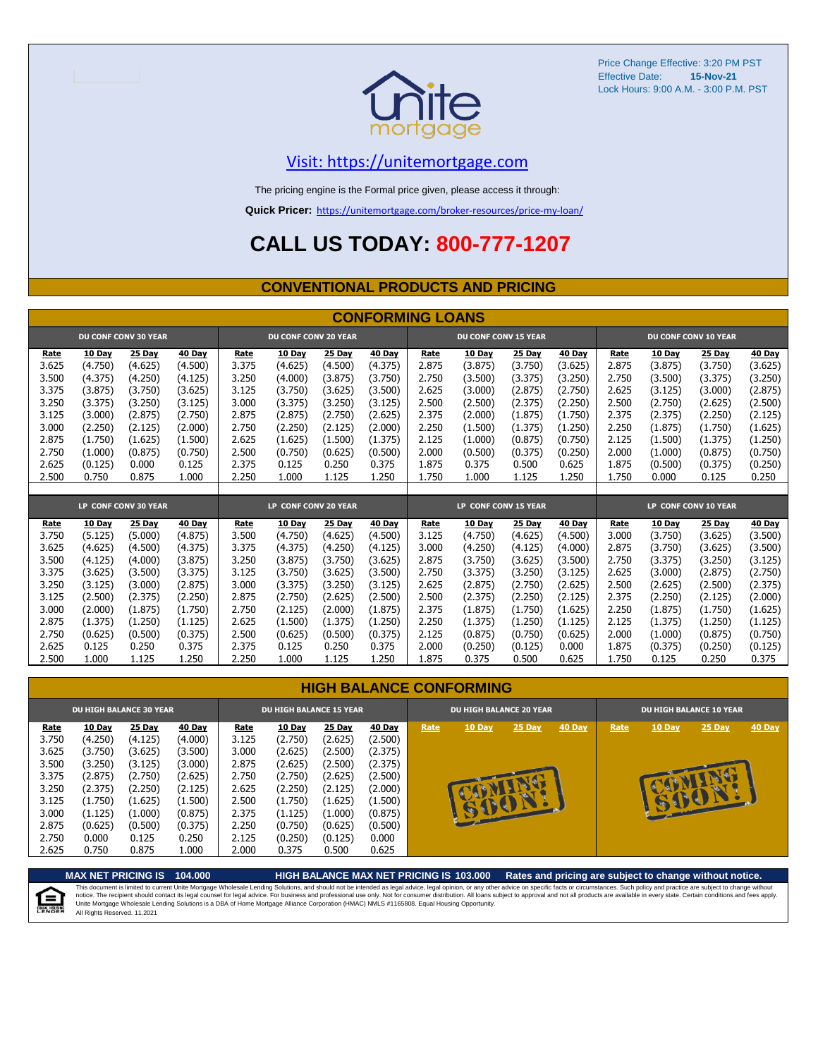

### [V](https://unitemortgage.com/)isit: https://unitemortgage.com

The pricing engine is the Formal price given, please access it through:

**Quick Pricer:** [https://un](https://unitemortgage.com/broker-resources/price-my-loan/)itemortgage.com/broker-resources/price-my-loan/

## **CALL US TODAY: 800-777-1207**

#### **CONVENTIONAL PRODUCTS AND PRICING**

|                | <b>CONFORMING LOANS</b>  |                             |                    |                |                             |                    |                    |                |                             |                    |                          |                |                          |                      |                          |
|----------------|--------------------------|-----------------------------|--------------------|----------------|-----------------------------|--------------------|--------------------|----------------|-----------------------------|--------------------|--------------------------|----------------|--------------------------|----------------------|--------------------------|
|                |                          | <b>DU CONF CONV 30 YEAR</b> |                    |                | <b>DU CONF CONV 20 YEAR</b> |                    |                    |                | <b>DU CONF CONV 15 YEAR</b> |                    |                          |                |                          | DU CONF CONV 10 YEAR |                          |
| Rate<br>3.625  | <b>10 Day</b><br>(4.750) | 25 Day<br>(4.625)           | 40 Day<br>(4.500)  | Rate<br>3.375  | 10 Day<br>(4.625)           | 25 Day<br>(4.500)  | 40 Day<br>(4.375)  | Rate<br>2.875  | 10 Day<br>(3.875)           | 25 Day<br>(3.750)  | <b>40 Day</b><br>(3.625) | Rate<br>2.875  | <b>10 Day</b><br>(3.875) | 25 Day<br>(3.750)    | <b>40 Day</b><br>(3.625) |
| 3.500          | (4.375)                  | (4.250)                     | (4.125)            | 3.250          | (4.000)                     | (3.875)            | (3.750)            | 2.750          | (3.500)                     | (3.375)            | (3.250)                  | 2.750          | (3.500)                  | (3.375)              | (3.250)                  |
| 3.375          | (3.875)                  | (3.750)                     | (3.625)            | 3.125          | (3.750)                     | (3.625)            | (3.500)            | 2.625          | (3.000)                     | (2.875)            | (2.750)                  | 2.625          | (3.125)                  | (3.000)              | (2.875)                  |
| 3.250          | (3.375)                  | (3.250)                     | (3.125)            | 3.000          | (3.375)                     | (3.250)            | (3.125)            | 2.500          | (2.500)                     | (2.375)            | (2.250)                  | 2.500          | (2.750)                  | (2.625)              | (2.500)                  |
| 3.125          | (3.000)                  | (2.875)                     | (2.750)            | 2.875          | (2.875)                     | (2.750)            | (2.625)            | 2.375          | (2.000)                     | (1.875)            | (1.750)                  | 2.375          | (2.375)                  | (2.250)              | (2.125)                  |
| 3.000          | (2.250)                  | (2.125)                     | (2.000)            | 2.750          | (2.250)                     | (2.125)            | (2.000)            | 2.250          | (1.500)                     | (1.375)            | (1.250)                  | 2.250          | (1.875)                  | (1.750)              | (1.625)                  |
| 2.875          | (1.750)                  | (1.625)                     | (1.500)            | 2.625          | (1.625)                     | (1.500)            | (1.375)            | 2.125          | (1.000)                     | (0.875)            | (0.750)                  | 2.125          | (1.500)                  | (1.375)              | (1.250)                  |
| 2.750          | (1.000)                  | (0.875)                     | (0.750)            | 2.500          | (0.750)                     | (0.625)            | (0.500)            | 2.000          | (0.500)                     | (0.375)            | (0.250)                  | 2.000          | (1.000)                  | (0.875)              | (0.750)                  |
| 2.625          | (0.125)                  | 0.000                       | 0.125              | 2.375          | 0.125                       | 0.250              | 0.375              | 1.875          | 0.375                       | 0.500              | 0.625                    | 1.875          | (0.500)                  | (0.375)              | (0.250)                  |
| 2.500          | 0.750                    | 0.875                       | 1.000              | 2.250          | 1.000                       | 1.125              | 1.250              | 1.750          | 1.000                       | 1.125              | 1.250                    | 1.750          | 0.000                    | 0.125                | 0.250                    |
|                |                          |                             |                    |                |                             |                    |                    |                |                             |                    |                          |                |                          |                      |                          |
|                |                          | LP CONF CONV 30 YEAR        |                    |                | LP CONF CONV 20 YEAR        |                    |                    |                | LP CONF CONV 15 YEAR        |                    |                          |                |                          | LP CONF CONV 10 YEAR |                          |
| Rate           | 10 Day                   | 25 Day                      | 40 Day             | Rate           | 10 Day                      | 25 Day             | 40 Day             | Rate           | 10 Day                      | 25 Day             | 40 Day                   | Rate           | 10 Day                   | 25 Day               | 40 Day                   |
| 3.750          | (5.125)                  | (5.000)                     | (4.875)            | 3.500          | (4.750)                     | (4.625)            | (4.500)            | 3.125          | (4.750)                     | (4.625)            | (4.500)                  | 3.000          | (3.750)                  | (3.625)              | (3.500)                  |
| 3.625          | (4.625)                  | (4.500)                     | (4.375)            | 3.375          | (4.375)                     | (4.250)            | (4.125)            | 3.000          | (4.250)                     | (4.125)            | (4.000)                  | 2.875          | (3.750)                  | (3.625)              | (3.500)                  |
| 3.500          | (4.125)                  | (4.000)                     | (3.875)            | 3.250          | (3.875)                     | (3.750)            | (3.625)            | 2.875          | (3.750)                     | (3.625)            | (3.500)                  | 2.750          | (3.375)                  | (3.250)              | (3.125)                  |
| 3.375          | (3.625)                  | (3.500)                     | (3.375)            | 3.125          | (3.750)                     | (3.625)            | (3.500)            | 2.750          | (3.375)                     | (3.250)            | (3.125)                  | 2.625          | (3.000)                  | (2.875)              | (2.750)                  |
| 3.250<br>3.125 | (3.125)                  | (3.000)                     | (2.875)            | 3.000          | (3.375)                     | (3.250)            | (3.125)            | 2.625          | (2.875)                     | (2.750)            | (2.625)                  | 2.500          | (2.625)                  | (2.500)              | (2.375)                  |
| 3.000          | (2.500)<br>(2.000)       | (2.375)<br>(1.875)          | (2.250)<br>(1.750) | 2.875<br>2.750 | (2.750)<br>(2.125)          | (2.625)<br>(2.000) | (2.500)<br>(1.875) | 2.500<br>2.375 | (2.375)<br>(1.875)          | (2.250)<br>(1.750) | (2.125)<br>(1.625)       | 2.375<br>2.250 | (2.250)<br>(1.875)       | (2.125)<br>(1.750)   | (2.000)<br>(1.625)       |
| 2.875          | (1.375)                  | (1.250)                     | (1.125)            | 2.625          | (1.500)                     | (1.375)            | (1.250)            | 2.250          | (1.375)                     | (1.250)            | (1.125)                  | 2.125          | (1.375)                  | (1.250)              | (1.125)                  |
| 2.750          | (0.625)                  | (0.500)                     | (0.375)            | 2.500          | (0.625)                     | (0.500)            | (0.375)            | 2.125          | (0.875)                     | (0.750)            | (0.625)                  | 2.000          | (1.000)                  | (0.875)              | (0.750)                  |
| 2.625          | 0.125                    | 0.250                       | 0.375              | 2.375          | 0.125                       | 0.250              | 0.375              | 2.000          | (0.250)                     | (0.125)            | 0.000                    | 1.875          | (0.375)                  | (0.250)              | (0.125)                  |
| 2.500          | 1.000                    | 1.125                       | 1.250              | 2.250          | 1.000                       | 1.125              | 1.250              | 1.875          | 0.375                       | 0.500              | 0.625                    | 1.750          | 0.125                    | 0.250                | 0.375                    |

|                                                                     | <b>DU HIGH BALANCE 30 YEAR</b>                                                             |                                                                                     |                                                                                     | <b>DU HIGH BALANCE 15 YEAR</b>                                      |                                                                                     |                                                                                     |                                                                                     |      | <b>DU HIGH BALANCE 20 YEAR</b> |                            |               | <b>DU HIGH BALANCE 10 YEAR</b> |               |               |               |  |
|---------------------------------------------------------------------|--------------------------------------------------------------------------------------------|-------------------------------------------------------------------------------------|-------------------------------------------------------------------------------------|---------------------------------------------------------------------|-------------------------------------------------------------------------------------|-------------------------------------------------------------------------------------|-------------------------------------------------------------------------------------|------|--------------------------------|----------------------------|---------------|--------------------------------|---------------|---------------|---------------|--|
| Rate<br>3.750<br>3.625<br>3.500<br>3.375<br>3.250<br>3.125<br>3.000 | <b>10 Day</b><br>(4.250)<br>(3.750)<br>(3.250)<br>(2.875)<br>(2.375)<br>(1.750)<br>(1.125) | 25 Day<br>(4.125)<br>(3.625)<br>(3.125)<br>(2.750)<br>(2.250)<br>(1.625)<br>(1.000) | 40 Day<br>(4.000)<br>(3.500)<br>(3.000)<br>(2.625)<br>(2.125)<br>(1.500)<br>(0.875) | Rate<br>3.125<br>3.000<br>2.875<br>2.750<br>2.625<br>2.500<br>2.375 | 10 Day<br>(2.750)<br>(2.625)<br>(2.625)<br>(2.750)<br>(2.250)<br>(1.750)<br>(1.125) | 25 Day<br>(2.625)<br>(2.500)<br>(2.500)<br>(2.625)<br>(2.125)<br>(1.625)<br>(1.000) | 40 Day<br>(2.500)<br>(2.375)<br>(2.375)<br>(2.500)<br>(2.000)<br>(1.500)<br>(0.875) | Rate | <b>10 Day</b>                  | 25 Day<br><b>SEPTED IN</b> | <b>40 Day</b> | Rate                           | <b>10 Day</b> | $25$ Day<br>œ | <b>40 Day</b> |  |
| 2.875<br>2.750<br>2.625                                             | (0.625)<br>0.000<br>0.750                                                                  | (0.500)<br>0.125<br>0.875                                                           | (0.375)<br>0.250<br>1.000                                                           | 2.250<br>2.125<br>2.000                                             | (0.750)<br>(0.250)<br>0.375                                                         | (0.625)<br>(0.125)<br>0.500                                                         | (0.500)<br>0.000<br>0.625                                                           |      |                                |                            |               |                                |               |               |               |  |

**MAX NET PRICING IS 104.000 HIGH BALANCE MAX NET PRICING IS 103.000 Rates and pricing are subject to change without notice.** This document is limited to current Unite Mortgage Wholesale Lending Solutions, and should not be intended as legal advice, legal opinion, or any other advice on specific facts or circumstances. Such policy and practice ar 自 All Rights Reserved. 11.2021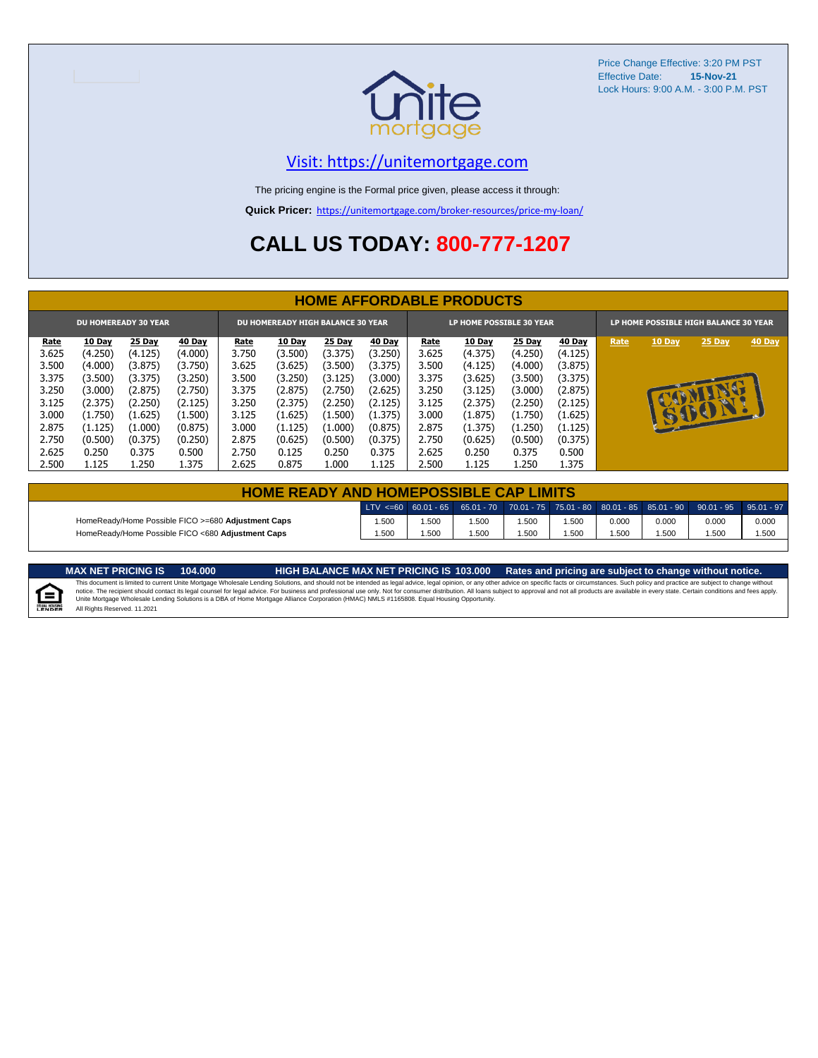

### [V](https://unitemortgage.com/)isit: https://unitemortgage.com

The pricing engine is the Formal price given, please access it through:

**Quick Pricer:** [https://un](https://unitemortgage.com/broker-resources/price-my-loan/)itemortgage.com/broker-resources/price-my-loan/

## **CALL US TODAY: 800-777-1207**

|                             | <b>HOME AFFORDABLE PRODUCTS</b> |         |               |                                          |               |               |               |             |                          |               |               |                                       |              |        |        |
|-----------------------------|---------------------------------|---------|---------------|------------------------------------------|---------------|---------------|---------------|-------------|--------------------------|---------------|---------------|---------------------------------------|--------------|--------|--------|
| <b>DU HOMEREADY 30 YEAR</b> |                                 |         |               | <b>DU HOMEREADY HIGH BALANCE 30 YEAR</b> |               |               |               |             | LP HOME POSSIBLE 30 YEAR |               |               | LP HOME POSSIBLE HIGH BALANCE 30 YEAR |              |        |        |
| <u>Rate</u>                 | <b>10 Day</b>                   | 25 Day  | <b>40 Day</b> | Rate                                     | <b>10 Day</b> | <b>25 Day</b> | <b>40 Day</b> | <u>Rate</u> | <b>10 Day</b>            | <b>25 Day</b> | <b>40 Day</b> | Rate                                  | 10 Day       | 25 Day | 40 Day |
| 3.625                       | (4.250)                         | (4.125) | (4.000)       | 3.750                                    | (3.500)       | (3.375)       | (3.250)       | 3.625       | (4.375)                  | (4.250)       | (4.125)       |                                       |              |        |        |
| 3.500                       | (4.000)                         | (3.875) | (3.750)       | 3.625                                    | (3.625)       | (3.500)       | (3.375)       | 3.500       | (4.125)                  | (4.000)       | (3.875)       |                                       |              |        |        |
| 3.375                       | (3.500)                         | (3.375) | (3.250)       | 3.500                                    | (3.250)       | (3.125)       | (3.000)       | 3.375       | (3.625)                  | (3.500)       | (3.375)       |                                       |              |        |        |
| 3.250                       | (3.000)                         | (2.875) | (2.750)       | 3.375                                    | (2.875)       | (2.750)       | (2.625)       | 3.250       | (3.125)                  | (3.000)       | (2.875)       |                                       |              |        |        |
| 3.125                       | (2.375)                         | (2.250) | (2.125)       | 3.250                                    | (2.375)       | (2.250)       | (2.125)       | 3.125       | (2.375)                  | (2.250)       | (2.125)       |                                       |              | u.     |        |
| 3.000                       | (1.750)                         | (1.625) | (1.500)       | 3.125                                    | (1.625)       | (1.500)       | (1.375)       | 3.000       | (1.875)                  | (1.750)       | (1.625)       |                                       | $\mathbf{r}$ | BOY    |        |
| 2.875                       | (1.125)                         | (1.000) | (0.875)       | 3.000                                    | (1.125)       | (1.000)       | (0.875)       | 2.875       | (1.375)                  | (1.250)       | (1.125)       |                                       |              |        |        |
| 2.750                       | (0.500)                         | (0.375) | (0.250)       | 2.875                                    | (0.625)       | (0.500)       | (0.375)       | 2.750       | (0.625)                  | (0.500)       | (0.375)       |                                       |              |        |        |
| 2.625                       | 0.250                           | 0.375   | 0.500         | 2.750                                    | 0.125         | 0.250         | 0.375         | 2.625       | 0.250                    | 0.375         | 0.500         |                                       |              |        |        |
| 2.500                       | 1.125                           | 1.250   | 1.375         | 2.625                                    | 0.875         | 1.000         | 1.125         | 2.500       | 1.125                    | 1.250         | 1.375         |                                       |              |        |        |

| <b>HOME READY AND HOMEPOSSIBLE CAP LIMITS</b>      |      |      |      |      |      |       |       |                                                                                                                   |       |  |  |  |
|----------------------------------------------------|------|------|------|------|------|-------|-------|-------------------------------------------------------------------------------------------------------------------|-------|--|--|--|
|                                                    |      |      |      |      |      |       |       | 「LTV <=60   60.01 - 65   65.01 - 70   70.01 - 75   75.01 - 80   80.01 - 85   85.01 - 90   90.01 - 95   95.01 - 97 |       |  |  |  |
| HomeReady/Home Possible FICO >=680 Adjustment Caps | .500 | .500 | .500 | .500 | .500 | 0.000 | 0.000 | 0.000                                                                                                             | 0.000 |  |  |  |
| HomeReady/Home Possible FICO <680 Adjustment Caps  | .500 | .500 | .500 | .500 | .500 | .500  | 1.500 | .500                                                                                                              | 1.500 |  |  |  |

E

MAX NET PRICING IS 103.000 Rates and pricing are subject to change without notice.<br>This document is limited to current Unite Mortgage Wholesale Lending Solutions, and should not be intended as legal advice, legal opinion, All Rights Reserved. 11.2021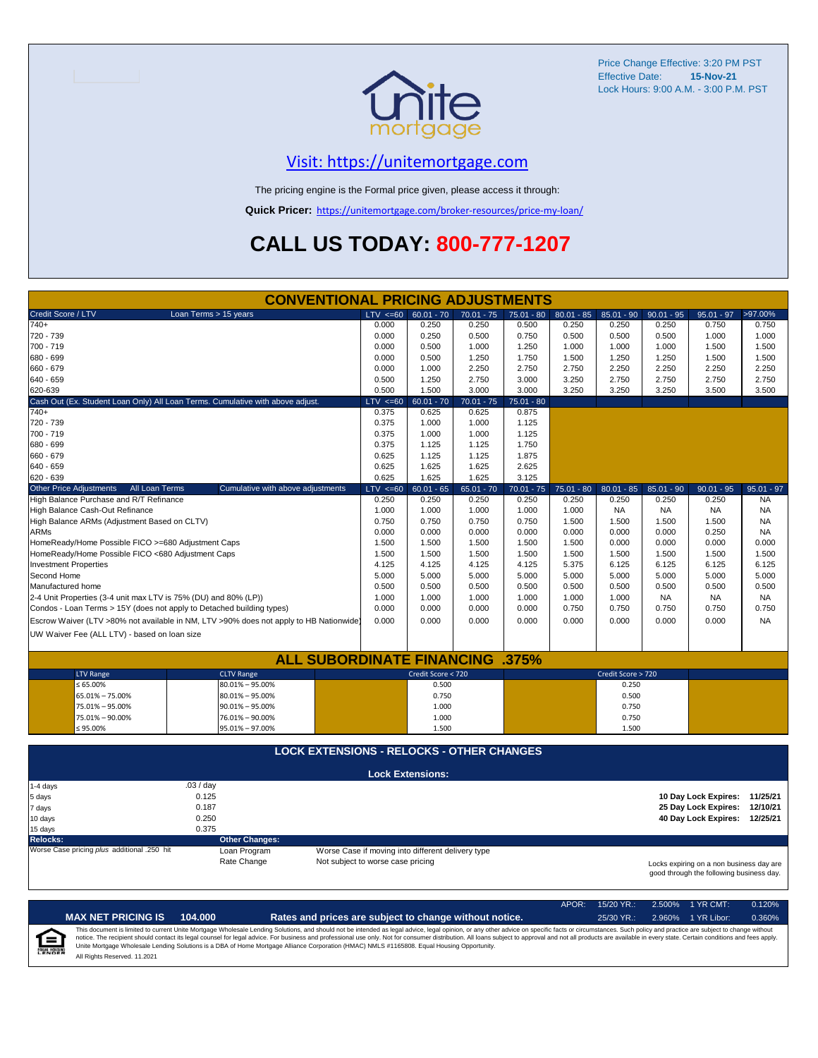

### [V](https://unitemortgage.com/)isit: https://unitemortgage.com

The pricing engine is the Formal price given, please access it through:

**Quick Pricer:** [https://un](https://unitemortgage.com/broker-resources/price-my-loan/)itemortgage.com/broker-resources/price-my-loan/

## **CALL US TODAY: 800-777-1207**

|                                                                                                                           | <b>CONVENTIONAL PRICING ADJUSTMENTS</b>                                                |              |                                                   |              |              |              |                    |              |                               |              |
|---------------------------------------------------------------------------------------------------------------------------|----------------------------------------------------------------------------------------|--------------|---------------------------------------------------|--------------|--------------|--------------|--------------------|--------------|-------------------------------|--------------|
| Credit Score / LTV                                                                                                        | Loan Terms > 15 years                                                                  | $LTV \le 60$ | $60.01 - 70$                                      | $70.01 - 75$ | $75.01 - 80$ | $80.01 - 85$ | $85.01 - 90$       | $90.01 - 95$ | $95.01 - 97$                  | >97.00%      |
| $740+$                                                                                                                    |                                                                                        | 0.000        | 0.250                                             | 0.250        | 0.500        | 0.250        | 0.250              | 0.250        | 0.750                         | 0.750        |
| 720 - 739                                                                                                                 |                                                                                        | 0.000        | 0.250                                             | 0.500        | 0.750        | 0.500        | 0.500              | 0.500        | 1.000                         | 1.000        |
| 700 - 719                                                                                                                 |                                                                                        | 0.000        | 0.500                                             | 1.000        | 1.250        | 1.000        | 1.000              | 1.000        | 1.500                         | 1.500        |
| 680 - 699                                                                                                                 |                                                                                        | 0.000        | 0.500                                             | 1.250        | 1.750        | 1.500        | 1.250              | 1.250        | 1.500                         | 1.500        |
| 660 - 679                                                                                                                 |                                                                                        | 0.000        | 1.000                                             | 2.250        | 2.750        | 2.750        | 2.250              | 2.250        | 2.250                         | 2.250        |
| 640 - 659                                                                                                                 |                                                                                        | 0.500        | 1.250                                             | 2.750        | 3.000        | 3.250        | 2.750              | 2.750        | 2.750                         | 2.750        |
| 620-639                                                                                                                   |                                                                                        | 0.500        | 1.500                                             | 3.000        | 3.000        | 3.250        | 3.250              | 3.250        | 3.500                         | 3.500        |
|                                                                                                                           | Cash Out (Ex. Student Loan Only) All Loan Terms. Cumulative with above adjust.         | $LTV \le 60$ | $60.01 - 70$                                      | $70.01 - 75$ | $75.01 - 80$ |              |                    |              |                               |              |
| 740+                                                                                                                      |                                                                                        | 0.375        | 0.625                                             | 0.625        | 0.875        |              |                    |              |                               |              |
| 720 - 739                                                                                                                 |                                                                                        | 0.375        | 1.000                                             | 1.000        | 1.125        |              |                    |              |                               |              |
| 700 - 719                                                                                                                 |                                                                                        | 0.375        | 1.000                                             | 1.000        | 1.125        |              |                    |              |                               |              |
| 680 - 699                                                                                                                 |                                                                                        | 0.375        | 1.125                                             | 1.125        | 1.750        |              |                    |              |                               |              |
| 660 - 679                                                                                                                 |                                                                                        | 0.625        | 1.125                                             | 1.125        | 1.875        |              |                    |              |                               |              |
| 640 - 659                                                                                                                 |                                                                                        | 0.625        | 1.625                                             | 1.625        | 2.625        |              |                    |              |                               |              |
| 620 - 639                                                                                                                 |                                                                                        | 0.625        | 1.625                                             | 1.625        | 3.125        |              |                    |              |                               |              |
| Other Price Adjustments<br>All Loan Terms                                                                                 | Cumulative with above adjustments                                                      | $LTV \le 60$ | $60.01 - 65$                                      | $65.01 - 70$ | $70.01 - 75$ | $75.01 - 80$ | $80.01 - 85$       | $85.01 - 90$ | $90.01 - 95$                  | $95.01 - 97$ |
| High Balance Purchase and R/T Refinance                                                                                   |                                                                                        | 0.250        | 0.250                                             | 0.250        | 0.250        | 0.250        | 0.250              | 0.250        | 0.250                         | <b>NA</b>    |
| High Balance Cash-Out Refinance                                                                                           |                                                                                        | 1.000        | 1.000                                             | 1.000        | 1.000        | 1.000        | <b>NA</b>          | <b>NA</b>    | <b>NA</b>                     | <b>NA</b>    |
| High Balance ARMs (Adjustment Based on CLTV)                                                                              |                                                                                        | 0.750        | 0.750                                             | 0.750        | 0.750        | 1.500        | 1.500              | 1.500        | 1.500                         | <b>NA</b>    |
| <b>ARMs</b>                                                                                                               |                                                                                        | 0.000        | 0.000                                             | 0.000        | 0.000        | 0.000        | 0.000              | 0.000        | 0.250                         | <b>NA</b>    |
| HomeReady/Home Possible FICO >=680 Adjustment Caps                                                                        |                                                                                        | 1.500        | 1.500                                             | 1.500        | 1.500        | 1.500        | 0.000              | 0.000        | 0.000                         | 0.000        |
| HomeReady/Home Possible FICO <680 Adjustment Caps                                                                         |                                                                                        | 1.500        | 1.500                                             | 1.500        | 1.500        | 1.500        | 1.500              | 1.500        | 1.500                         | 1.500        |
| <b>Investment Properties</b>                                                                                              |                                                                                        | 4.125        | 4.125                                             | 4.125        | 4.125        | 5.375        | 6.125              | 6.125        | 6.125                         | 6.125        |
| Second Home                                                                                                               |                                                                                        | 5.000        | 5.000                                             | 5.000        | 5.000        | 5.000        | 5.000              | 5.000        | 5.000                         | 5.000        |
| Manufactured home                                                                                                         |                                                                                        | 0.500        | 0.500                                             | 0.500        | 0.500        | 0.500        | 0.500              | 0.500        | 0.500                         | 0.500        |
| 2-4 Unit Properties (3-4 unit max LTV is 75% (DU) and 80% (LP))                                                           |                                                                                        | 1.000        | 1.000                                             | 1.000        | 1.000        | 1.000        | 1.000              | <b>NA</b>    | <b>NA</b>                     | <b>NA</b>    |
| Condos - Loan Terms > 15Y (does not apply to Detached building types)                                                     |                                                                                        | 0.000        | 0.000                                             | 0.000        | 0.000        | 0.750        | 0.750              | 0.750        | 0.750                         | 0.750        |
|                                                                                                                           | Escrow Waiver (LTV >80% not available in NM, LTV >90% does not apply to HB Nationwide) | 0.000        | 0.000                                             | 0.000        | 0.000        | 0.000        | 0.000              | 0.000        | 0.000                         | <b>NA</b>    |
| UW Waiver Fee (ALL LTV) - based on loan size                                                                              |                                                                                        |              |                                                   |              |              |              |                    |              |                               |              |
|                                                                                                                           |                                                                                        |              |                                                   |              |              |              |                    |              |                               |              |
|                                                                                                                           | <b>ALL SUBORDINATE FINANCING .375%</b>                                                 |              |                                                   |              |              |              |                    |              |                               |              |
| <b>LTV Range</b>                                                                                                          | <b>CLTV Range</b>                                                                      |              | Credit Score < 720                                |              |              |              | Credit Score > 720 |              |                               |              |
| $\leq 65.00\%$                                                                                                            | $80.01\% - 95.00\%$                                                                    |              | 0.500                                             |              |              |              | 0.250              |              |                               |              |
| 65.01% - 75.00%                                                                                                           | $80.01\% - 95.00\%$                                                                    |              | 0.750                                             |              |              |              | 0.500              |              |                               |              |
| 75.01% - 95.00%                                                                                                           | $90.01\% - 95.00\%$                                                                    |              | 1.000                                             |              |              |              | 0.750              |              |                               |              |
| 75.01% - 90.00%                                                                                                           | 76.01% - 90.00%                                                                        |              | 1.000                                             |              |              |              | 0.750              |              |                               |              |
| ≤ 95.00%                                                                                                                  | 95.01% - 97.00%                                                                        |              | 1.500                                             |              |              |              | 1.500              |              |                               |              |
|                                                                                                                           | <b>LOCK EXTENSIONS - RELOCKS - OTHER CHANGES</b>                                       |              |                                                   |              |              |              |                    |              |                               |              |
|                                                                                                                           |                                                                                        |              |                                                   |              |              |              |                    |              |                               |              |
|                                                                                                                           | .03/day                                                                                |              | <b>Lock Extensions:</b>                           |              |              |              |                    |              |                               |              |
| 1-4 days<br>5 days                                                                                                        | 0.125                                                                                  |              |                                                   |              |              |              |                    |              | 10 Day Lock Expires: 11/25/21 |              |
| 7 days                                                                                                                    | 0.187                                                                                  |              |                                                   |              |              |              |                    |              | 25 Day Lock Expires:          | 12/10/21     |
| 10 days                                                                                                                   | 0.250                                                                                  |              |                                                   |              |              |              |                    |              | 40 Day Lock Expires: 12/25/21 |              |
| 15 days                                                                                                                   | 0.375                                                                                  |              |                                                   |              |              |              |                    |              |                               |              |
| <b>Relocks:</b>                                                                                                           | <b>Other Changes:</b>                                                                  |              |                                                   |              |              |              |                    |              |                               |              |
| Worse Case pricing plus additional .250 hit                                                                               | Loan Program                                                                           |              | Worse Case if moving into different delivery type |              |              |              |                    |              |                               |              |
|                                                                                                                           | Rate Change                                                                            |              |                                                   |              |              |              |                    |              |                               |              |
| Not subject to worse case pricing<br>Locks expiring on a non business day are<br>good through the following business day. |                                                                                        |              |                                                   |              |              |              |                    |              |                               |              |

APOR: 15/20 YR.: 2.500% 1 YR CMT: 0.120% **MAX NET PRICING IS 104.000 Rates and prices are subject to change without notice.** 25/30 YR.: 2.960% 1 YR Libor: 0.360% This document is limited to current Unite Mortgage Wholesale Lending Solutions, and should not be intended as legal advice, legal opinion, or any other advice on specific facts or circumstances. Such policy and practice ar  $=$ **EQUAL HOUSING** All Rights Reserved. 11.2021